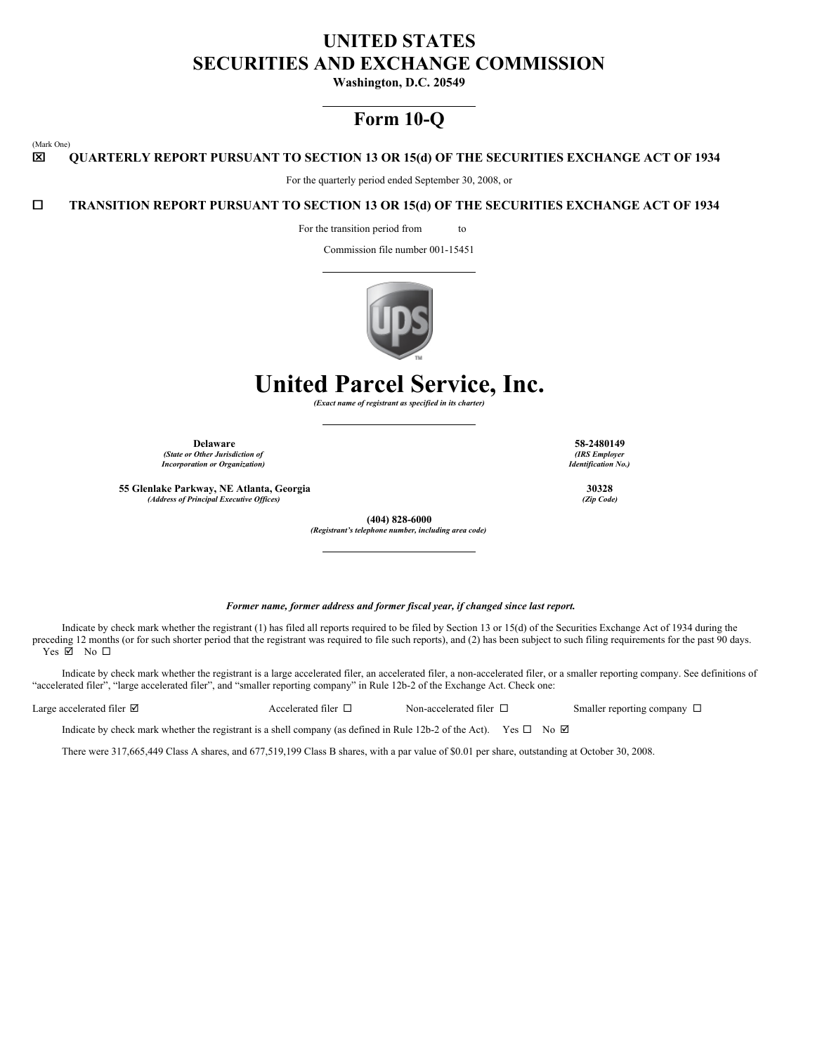# **UNITED STATES SECURITIES AND EXCHANGE COMMISSION**

**Washington, D.C. 20549**

# **Form 10-Q**

x **QUARTERLY REPORT PURSUANT TO SECTION 13 OR 15(d) OF THE SECURITIES EXCHANGE ACT OF 1934**

For the quarterly period ended September 30, 2008, or

¨ **TRANSITION REPORT PURSUANT TO SECTION 13 OR 15(d) OF THE SECURITIES EXCHANGE ACT OF 1934**

For the transition period from to

Commission file number 001-15451



# **United Parcel Service, Inc.**

*(Exact name of registrant as specified in its charter)*

**Delaware 58-2480149** *(State or Other Jurisdiction of Incorporation or Organization)*

**55 Glenlake Parkway, NE Atlanta, Georgia 30328**  $(A$ *ddress of Principal Executive Offices)* 

*(IRS Employer Identification No.)*

**(404) 828-6000** *(Registrant's telephone number, including area code)*

*Former name, former address and former fiscal year, if changed since last report.*

Indicate by check mark whether the registrant (1) has filed all reports required to be filed by Section 13 or 15(d) of the Securities Exchange Act of 1934 during the preceding 12 months (or for such shorter period that the registrant was required to file such reports), and (2) has been subject to such filing requirements for the past 90 days.  $Yes \nightharpoonup$  No  $\square$ 

Indicate by check mark whether the registrant is a large accelerated filer, an accelerated filer, a non-accelerated filer, or a smaller reporting company. See definitions of "accelerated filer", "large accelerated filer", and "smaller reporting company" in Rule 12b-2 of the Exchange Act. Check one:

Large accelerated filer  $\Box$  Accelerated filer  $\Box$  Non-accelerated filer  $\Box$  Smaller reporting company  $\Box$ 

Indicate by check mark whether the registrant is a shell company (as defined in Rule 12b-2 of the Act). Yes  $\Box$  No  $\Box$ 

There were 317,665,449 Class A shares, and 677,519,199 Class B shares, with a par value of \$0.01 per share, outstanding at October 30, 2008.

(Mark One)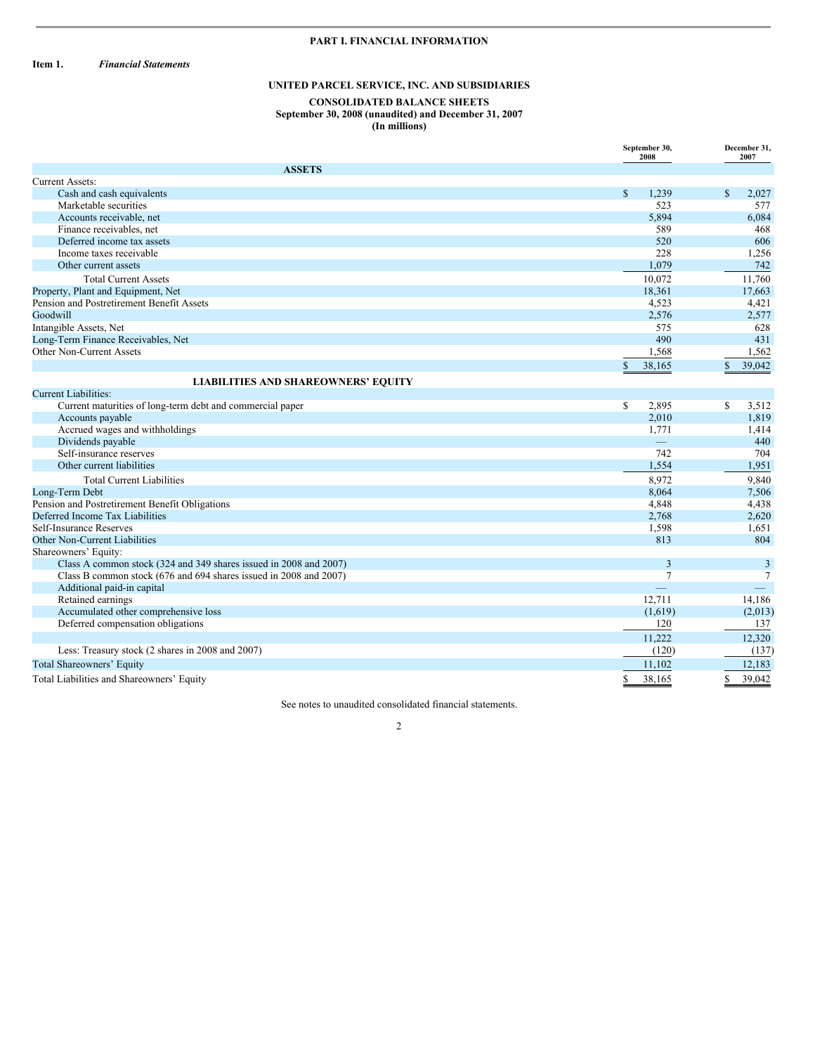# **PART I. FINANCIAL INFORMATION**

**Item 1.** *Financial Statements*

# **UNITED PARCEL SERVICE, INC. AND SUBSIDIARIES**

## **CONSOLIDATED BALANCE SHEETS September 30, 2008 (unaudited) and December 31, 2007 (In millions)**

|                                                                   | September 30,<br>2008  | December 31,<br>2007 |
|-------------------------------------------------------------------|------------------------|----------------------|
| <b>ASSETS</b>                                                     |                        |                      |
| <b>Current Assets:</b>                                            |                        |                      |
| Cash and cash equivalents                                         | $\mathbf S$<br>1,239   | S<br>2,027           |
| Marketable securities                                             | 523                    | 577                  |
| Accounts receivable, net                                          | 5.894                  | 6,084                |
| Finance receivables, net                                          | 589                    | 468                  |
| Deferred income tax assets                                        | 520                    | 606                  |
| Income taxes receivable                                           | 228                    | 1,256                |
| Other current assets                                              | 1,079                  | 742                  |
| <b>Total Current Assets</b>                                       | 10.072                 | 11.760               |
| Property, Plant and Equipment, Net                                | 18,361                 | 17,663               |
| Pension and Postretirement Benefit Assets                         | 4,523                  | 4,421                |
| Goodwill                                                          | 2,576                  | 2,577                |
| Intangible Assets, Net                                            | 575                    | 628                  |
| Long-Term Finance Receivables, Net                                | 490                    | 431                  |
| Other Non-Current Assets                                          | 1,568                  | 1,562                |
|                                                                   | 38,165<br>$\mathbb{S}$ | 39,042<br>S.         |
| <b>LIABILITIES AND SHAREOWNERS' EQUITY</b>                        |                        |                      |
| <b>Current Liabilities:</b>                                       |                        |                      |
| Current maturities of long-term debt and commercial paper         | <sup>\$</sup><br>2,895 | S<br>3,512           |
| Accounts payable                                                  | 2,010                  | 1,819                |
| Accrued wages and withholdings                                    | 1,771                  | 1,414                |
| Dividends payable                                                 |                        | 440                  |
| Self-insurance reserves                                           | 742                    | 704                  |
| Other current liabilities                                         | 1,554                  | 1,951                |
| <b>Total Current Liabilities</b>                                  | 8,972                  | 9,840                |
| Long-Term Debt                                                    | 8,064                  | 7,506                |
| Pension and Postretirement Benefit Obligations                    | 4,848                  | 4,438                |
| Deferred Income Tax Liabilities                                   | 2,768                  | 2,620                |
| <b>Self-Insurance Reserves</b>                                    | 1,598                  | 1,651                |
| Other Non-Current Liabilities                                     | 813                    | 804                  |
| Shareowners' Equity:                                              |                        |                      |
| Class A common stock (324 and 349 shares issued in 2008 and 2007) | 3                      | 3                    |
| Class B common stock (676 and 694 shares issued in 2008 and 2007) | $\overline{7}$         | $\tau$               |
| Additional paid-in capital                                        |                        |                      |
| Retained earnings                                                 | 12,711                 | 14,186               |
| Accumulated other comprehensive loss                              | (1,619)                | (2,013)              |
| Deferred compensation obligations                                 | 120                    | 137                  |
|                                                                   | 11,222                 | 12,320               |
| Less: Treasury stock (2 shares in 2008 and 2007)                  | (120)                  | (137)                |
| <b>Total Shareowners' Equity</b>                                  | 11,102                 | 12,183               |
| Total Liabilities and Shareowners' Equity                         | S<br>38,165            | 39,042<br>S          |

See notes to unaudited consolidated financial statements.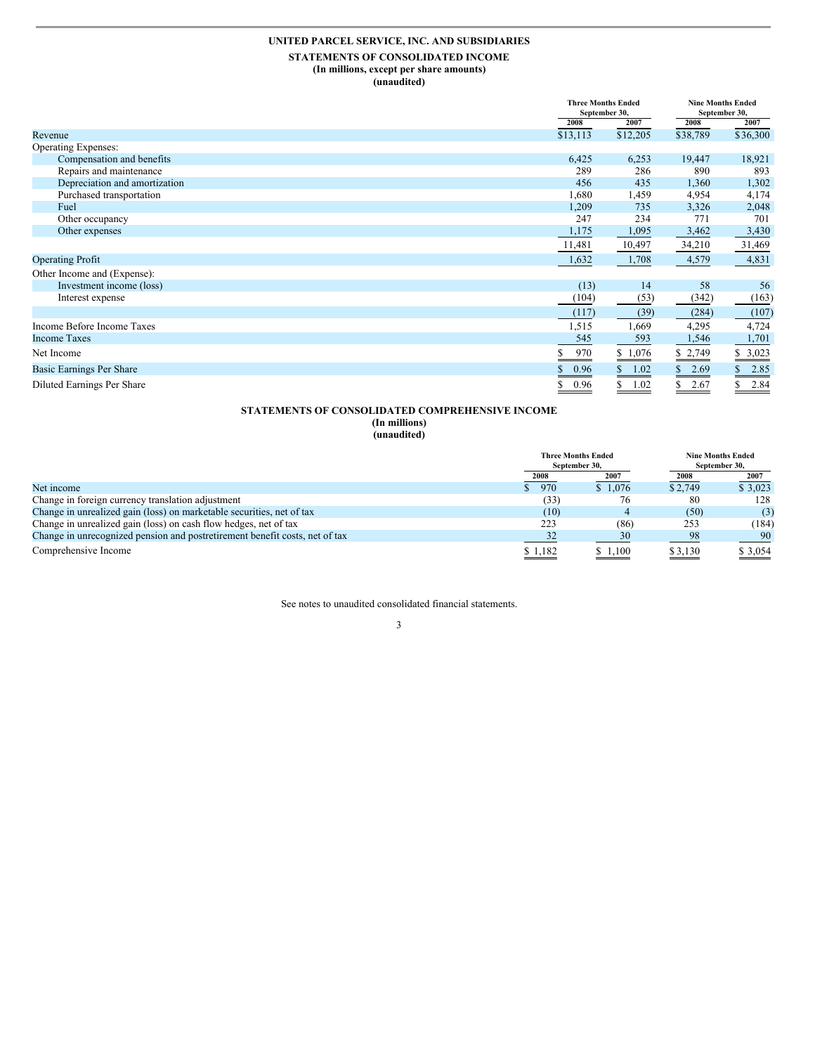# **UNITED PARCEL SERVICE, INC. AND SUBSIDIARIES**

## **STATEMENTS OF CONSOLIDATED INCOME (In millions, except per share amounts)**

**(unaudited)**

|                               |            | <b>Three Months Ended</b><br>September 30, |            | <b>Nine Months Ended</b><br>September 30, |
|-------------------------------|------------|--------------------------------------------|------------|-------------------------------------------|
|                               | 2008       | 2007                                       | 2008       | 2007                                      |
| Revenue                       | \$13,113   | \$12,205                                   | \$38,789   | \$36,300                                  |
| Operating Expenses:           |            |                                            |            |                                           |
| Compensation and benefits     | 6,425      | 6,253                                      | 19,447     | 18,921                                    |
| Repairs and maintenance       | 289        | 286                                        | 890        | 893                                       |
| Depreciation and amortization | 456        | 435                                        | 1,360      | 1,302                                     |
| Purchased transportation      | 1,680      | 1,459                                      | 4,954      | 4,174                                     |
| Fuel                          | 1,209      | 735                                        | 3,326      | 2,048                                     |
| Other occupancy               | 247        | 234                                        | 771        | 701                                       |
| Other expenses                | 1,175      | 1,095                                      | 3,462      | 3,430                                     |
|                               | 11,481     | 10,497                                     | 34,210     | 31,469                                    |
| <b>Operating Profit</b>       | 1,632      | 1,708                                      | 4,579      | 4,831                                     |
| Other Income and (Expense):   |            |                                            |            |                                           |
| Investment income (loss)      | (13)       | 14                                         | 58         | 56                                        |
| Interest expense              | (104)      | (53)                                       | (342)      | (163)                                     |
|                               | (117)      | (39)                                       | (284)      | (107)                                     |
| Income Before Income Taxes    | 1,515      | 1,669                                      | 4,295      | 4,724                                     |
| <b>Income Taxes</b>           | 545        | 593                                        | 1,546      | 1,701                                     |
| Net Income                    | \$<br>970  | \$1,076                                    | \$2,749    | 3,023<br>\$                               |
| Basic Earnings Per Share      | 0.96       | 1.02                                       | 2.69       | 2.85<br>S.                                |
| Diluted Earnings Per Share    | \$<br>0.96 | S.<br>1.02                                 | \$<br>2.67 | 2.84<br>\$                                |

# **STATEMENTS OF CONSOLIDATED COMPREHENSIVE INCOME**

**(In millions)**

**(unaudited)**

|                                                                             |         | <b>Three Months Ended</b><br>September 30, |         | <b>Nine Months Ended</b><br>September 30, |
|-----------------------------------------------------------------------------|---------|--------------------------------------------|---------|-------------------------------------------|
|                                                                             | 2008    | 2007                                       | 2008    | 2007                                      |
| Net income                                                                  | 970     | \$1.076                                    | \$2,749 | \$3,023                                   |
| Change in foreign currency translation adjustment                           | (33)    | 76                                         | 80      | 128                                       |
| Change in unrealized gain (loss) on marketable securities, net of tax       | (10)    |                                            | (50)    | (3)                                       |
| Change in unrealized gain (loss) on cash flow hedges, net of tax            | 223     | (86)                                       | 253     | (184)                                     |
| Change in unrecognized pension and postretirement benefit costs, net of tax | 32      | 30                                         | $-98$   | 90                                        |
| Comprehensive Income                                                        | \$1,182 | \$1,100                                    | \$3,130 | \$3,054                                   |

See notes to unaudited consolidated financial statements.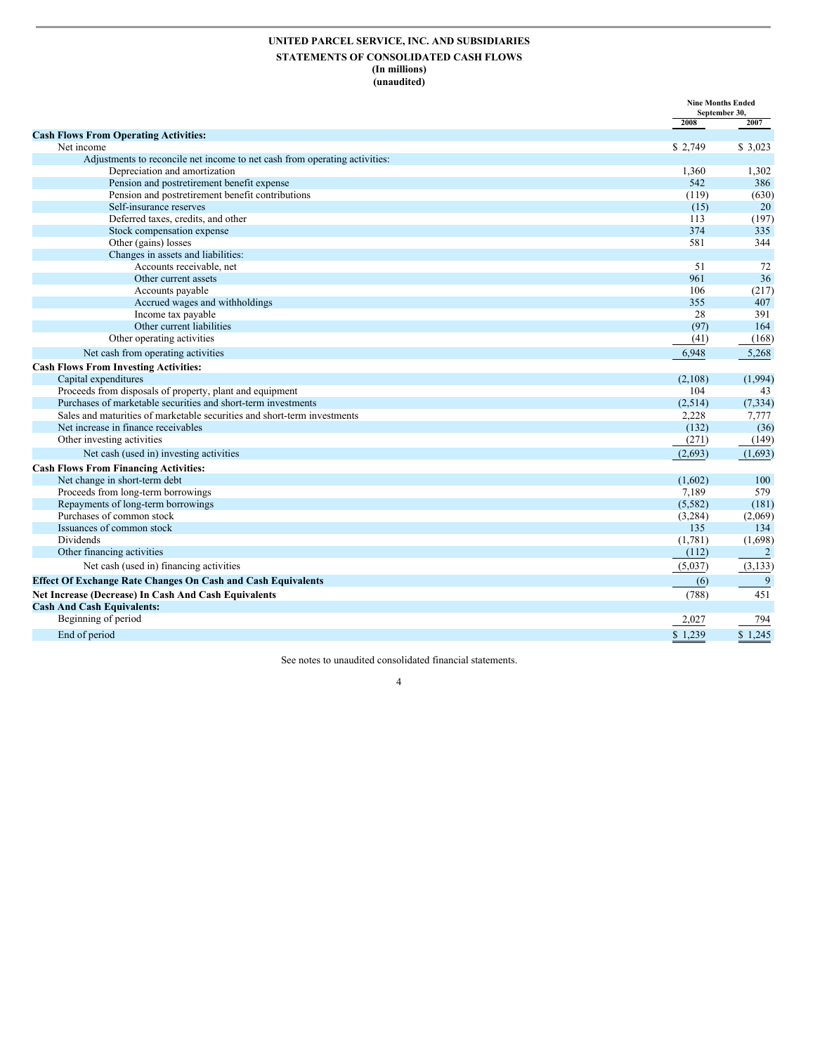# **UNITED PARCEL SERVICE, INC. AND SUBSIDIARIES STATEMENTS OF CONSOLIDATED CASH FLOWS (In millions) (unaudited)**

|                                                                            |         | <b>Nine Months Ended</b><br>September 30, |
|----------------------------------------------------------------------------|---------|-------------------------------------------|
|                                                                            | 2008    | 2007                                      |
| <b>Cash Flows From Operating Activities:</b>                               |         |                                           |
| Net income                                                                 | \$2,749 | \$ 3,023                                  |
| Adjustments to reconcile net income to net cash from operating activities: |         |                                           |
| Depreciation and amortization                                              | 1.360   | 1,302                                     |
| Pension and postretirement benefit expense                                 | 542     | 386                                       |
| Pension and postretirement benefit contributions                           | (119)   | (630)                                     |
| Self-insurance reserves                                                    | (15)    | 20                                        |
| Deferred taxes, credits, and other                                         | 113     | (197)                                     |
| Stock compensation expense                                                 | 374     | 335                                       |
| Other (gains) losses                                                       | 581     | 344                                       |
| Changes in assets and liabilities:                                         |         |                                           |
| Accounts receivable, net                                                   | 51      | 72                                        |
| Other current assets                                                       | 961     | 36                                        |
| Accounts payable                                                           | 106     | (217)                                     |
| Accrued wages and withholdings                                             | 355     | 407                                       |
| Income tax payable                                                         | 28      | 391                                       |
| Other current liabilities                                                  | (97)    | 164                                       |
| Other operating activities                                                 | (41)    | (168)                                     |
| Net cash from operating activities                                         | 6,948   | 5,268                                     |
| <b>Cash Flows From Investing Activities:</b>                               |         |                                           |
| Capital expenditures                                                       | (2,108) | (1,994)                                   |
| Proceeds from disposals of property, plant and equipment                   | 104     | 43                                        |
| Purchases of marketable securities and short-term investments              | (2,514) | (7, 334)                                  |
| Sales and maturities of marketable securities and short-term investments   | 2,228   | 7,777                                     |
| Net increase in finance receivables                                        | (132)   | (36)                                      |
| Other investing activities                                                 | (271)   | (149)                                     |
| Net cash (used in) investing activities                                    | (2,693) | (1,693)                                   |
| <b>Cash Flows From Financing Activities:</b>                               |         |                                           |
| Net change in short-term debt                                              | (1,602) | 100                                       |
| Proceeds from long-term borrowings                                         | 7,189   | 579                                       |
| Repayments of long-term borrowings                                         | (5,582) | (181)                                     |
| Purchases of common stock                                                  | (3,284) | (2,069)                                   |
| Issuances of common stock                                                  | 135     | 134                                       |
| Dividends                                                                  | (1,781) | (1,698)                                   |
| Other financing activities                                                 | (112)   | $\overline{2}$                            |
| Net cash (used in) financing activities                                    | (5,037) | (3, 133)                                  |
| <b>Effect Of Exchange Rate Changes On Cash and Cash Equivalents</b>        | (6)     | 9                                         |
| Net Increase (Decrease) In Cash And Cash Equivalents                       | (788)   | 451                                       |
| <b>Cash And Cash Equivalents:</b>                                          |         |                                           |
| Beginning of period                                                        | 2,027   | 794                                       |
| End of period                                                              | \$1,239 | \$1,245                                   |
|                                                                            |         |                                           |

See notes to unaudited consolidated financial statements.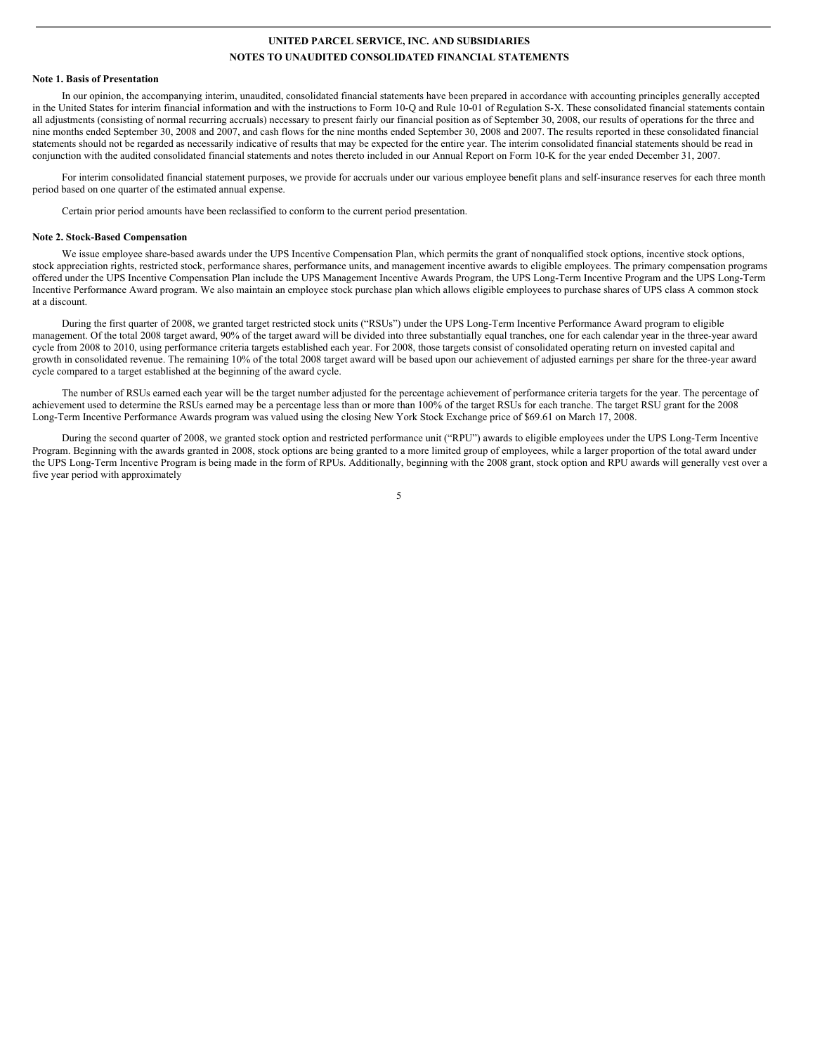## **Note 1. Basis of Presentation**

In our opinion, the accompanying interim, unaudited, consolidated financial statements have been prepared in accordance with accounting principles generally accepted in the United States for interim financial information and with the instructions to Form 10-Q and Rule 10-01 of Regulation S-X. These consolidated financial statements contain all adjustments (consisting of normal recurring accruals) necessary to present fairly our financial position as of September 30, 2008, our results of operations for the three and nine months ended September 30, 2008 and 2007, and cash flows for the nine months ended September 30, 2008 and 2007. The results reported in these consolidated financial statements should not be regarded as necessarily indicative of results that may be expected for the entire year. The interim consolidated financial statements should be read in conjunction with the audited consolidated financial statements and notes thereto included in our Annual Report on Form 10-K for the year ended December 31, 2007.

For interim consolidated financial statement purposes, we provide for accruals under our various employee benefit plans and self-insurance reserves for each three month period based on one quarter of the estimated annual expense.

Certain prior period amounts have been reclassified to conform to the current period presentation.

#### **Note 2. Stock-Based Compensation**

We issue employee share-based awards under the UPS Incentive Compensation Plan, which permits the grant of nonqualified stock options, incentive stock options, stock appreciation rights, restricted stock, performance shares, performance units, and management incentive awards to eligible employees. The primary compensation programs offered under the UPS Incentive Compensation Plan include the UPS Management Incentive Awards Program, the UPS Long-Term Incentive Program and the UPS Long-Term Incentive Performance Award program. We also maintain an employee stock purchase plan which allows eligible employees to purchase shares of UPS class A common stock at a discount.

During the first quarter of 2008, we granted target restricted stock units ("RSUs") under the UPS Long-Term Incentive Performance Award program to eligible management. Of the total 2008 target award, 90% of the target award will be divided into three substantially equal tranches, one for each calendar year in the three-year award cycle from 2008 to 2010, using performance criteria targets established each year. For 2008, those targets consist of consolidated operating return on invested capital and growth in consolidated revenue. The remaining 10% of the total 2008 target award will be based upon our achievement of adjusted earnings per share for the three-year award cycle compared to a target established at the beginning of the award cycle.

The number of RSUs earned each year will be the target number adjusted for the percentage achievement of performance criteria targets for the year. The percentage of achievement used to determine the RSUs earned may be a percentage less than or more than 100% of the target RSUs for each tranche. The target RSU grant for the 2008 Long-Term Incentive Performance Awards program was valued using the closing New York Stock Exchange price of \$69.61 on March 17, 2008.

During the second quarter of 2008, we granted stock option and restricted performance unit ("RPU") awards to eligible employees under the UPS Long-Term Incentive Program. Beginning with the awards granted in 2008, stock options are being granted to a more limited group of employees, while a larger proportion of the total award under the UPS Long-Term Incentive Program is being made in the form of RPUs. Additionally, beginning with the 2008 grant, stock option and RPU awards will generally vest over a five year period with approximately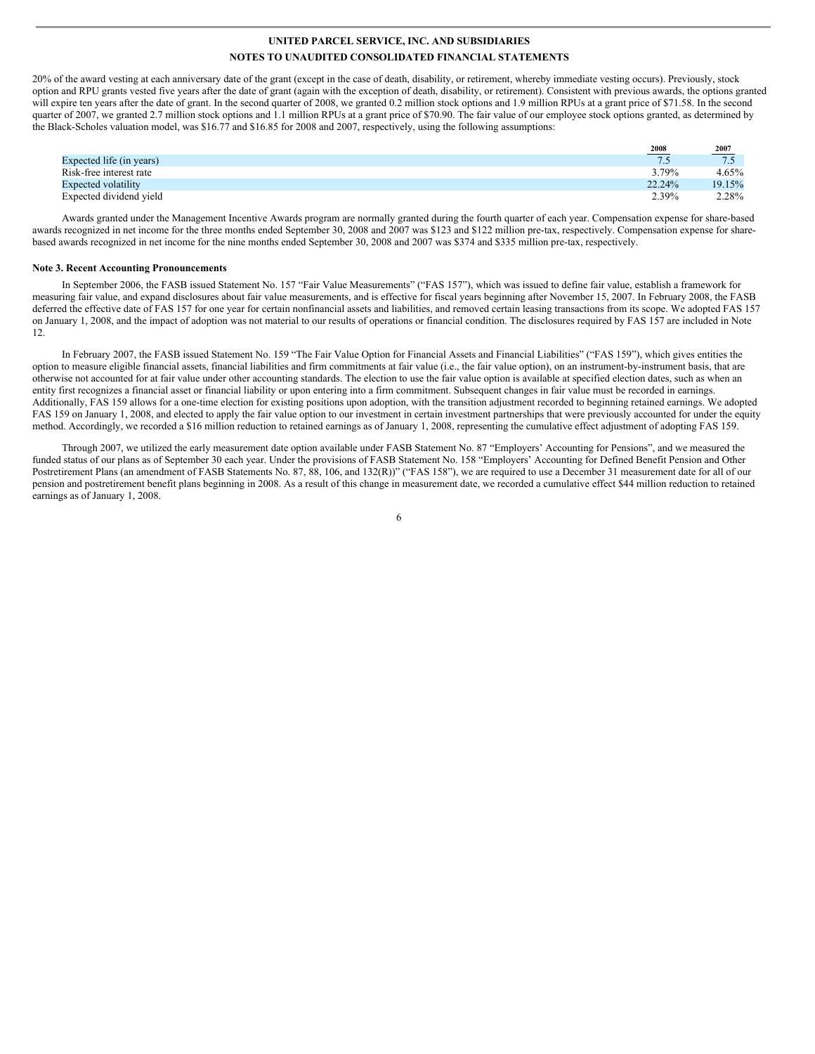20% of the award vesting at each anniversary date of the grant (except in the case of death, disability, or retirement, whereby immediate vesting occurs). Previously, stock option and RPU grants vested five years after the date of grant (again with the exception of death, disability, or retirement). Consistent with previous awards, the options granted will expire ten years after the date of grant. In the second quarter of 2008, we granted 0.2 million stock options and 1.9 million RPUs at a grant price of \$71.58. In the second quarter of 2007, we granted 2.7 million stock options and 1.1 million RPUs at a grant price of \$70.90. The fair value of our employee stock options granted, as determined by the Black-Scholes valuation model, was \$16.77 and \$16.85 for 2008 and 2007, respectively, using the following assumptions:

|                            | 2008   | $\frac{2007}{7.5}$ |
|----------------------------|--------|--------------------|
| Expected life (in years)   | .      | ا                  |
| Risk-free interest rate    | 3.79%  | 4.65%              |
| <b>Expected volatility</b> | 22.24% | 19.15%             |
| Expected dividend yield    | 2.39%  | 2.28%              |

Awards granted under the Management Incentive Awards program are normally granted during the fourth quarter of each year. Compensation expense for share-based awards recognized in net income for the three months ended September 30, 2008 and 2007 was \$123 and \$122 million pre-tax, respectively. Compensation expense for sharebased awards recognized in net income for the nine months ended September 30, 2008 and 2007 was \$374 and \$335 million pre-tax, respectively.

#### **Note 3. Recent Accounting Pronouncements**

In September 2006, the FASB issued Statement No. 157 "Fair Value Measurements" ("FAS 157"), which was issued to define fair value, establish a framework for measuring fair value, and expand disclosures about fair value measurements, and is effective for fiscal years beginning after November 15, 2007. In February 2008, the FASB deferred the effective date of FAS 157 for one year for certain nonfinancial assets and liabilities, and removed certain leasing transactions from its scope. We adopted FAS 157 on January 1, 2008, and the impact of adoption was not material to our results of operations or financial condition. The disclosures required by FAS 157 are included in Note 12.

In February 2007, the FASB issued Statement No. 159 "The Fair Value Option for Financial Assets and Financial Liabilities" ("FAS 159"), which gives entities the option to measure eligible financial assets, financial liabilities and firm commitments at fair value (i.e., the fair value option), on an instrument-by-instrument basis, that are otherwise not accounted for at fair value under other accounting standards. The election to use the fair value option is available at specified election dates, such as when an entity first recognizes a financial asset or financial liability or upon entering into a firm commitment. Subsequent changes in fair value must be recorded in earnings. Additionally, FAS 159 allows for a one-time election for existing positions upon adoption, with the transition adjustment recorded to beginning retained earnings. We adopted FAS 159 on January 1, 2008, and elected to apply the fair value option to our investment in certain investment partnerships that were previously accounted for under the equity method. Accordingly, we recorded a \$16 million reduction to retained earnings as of January 1, 2008, representing the cumulative effect adjustment of adopting FAS 159.

Through 2007, we utilized the early measurement date option available under FASB Statement No. 87 "Employers' Accounting for Pensions", and we measured the funded status of our plans as of September 30 each year. Under the provisions of FASB Statement No. 158 "Employers' Accounting for Defined Benefit Pension and Other Postretirement Plans (an amendment of FASB Statements No. 87, 88, 106, and 132(R))" ("FAS 158"), we are required to use a December 31 measurement date for all of our pension and postretirement benefit plans beginning in 2008. As a result of this change in measurement date, we recorded a cumulative effect \$44 million reduction to retained earnings as of January 1, 2008.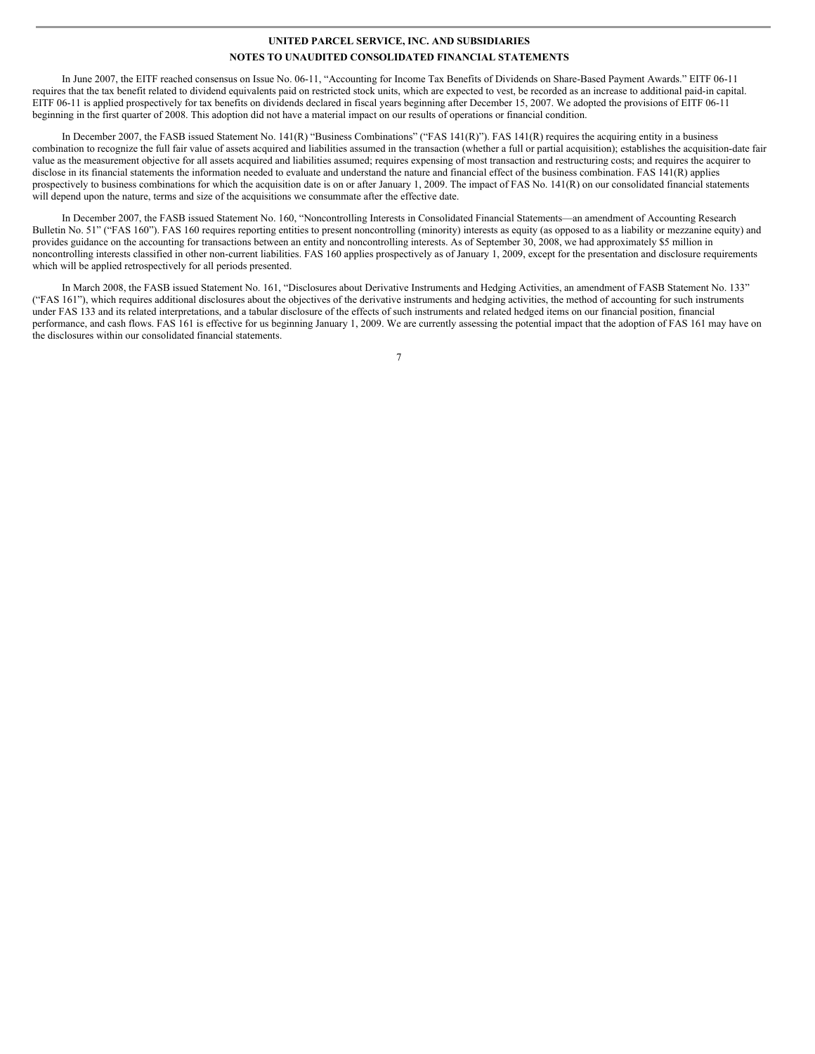In June 2007, the EITF reached consensus on Issue No. 06-11, "Accounting for Income Tax Benefits of Dividends on Share-Based Payment Awards." EITF 06-11 requires that the tax benefit related to dividend equivalents paid on restricted stock units, which are expected to vest, be recorded as an increase to additional paid-in capital. EITF 06-11 is applied prospectively for tax benefits on dividends declared in fiscal years beginning after December 15, 2007. We adopted the provisions of EITF 06-11 beginning in the first quarter of 2008. This adoption did not have a material impact on our results of operations or financial condition.

In December 2007, the FASB issued Statement No. 141(R) "Business Combinations" ("FAS 141(R)"). FAS 141(R) requires the acquiring entity in a business combination to recognize the full fair value of assets acquired and liabilities assumed in the transaction (whether a full or partial acquisition); establishes the acquisition-date fair value as the measurement objective for all assets acquired and liabilities assumed; requires expensing of most transaction and restructuring costs; and requires the acquirer to disclose in its financial statements the information needed to evaluate and understand the nature and financial effect of the business combination. FAS 141(R) applies prospectively to business combinations for which the acquisition date is on or after January 1, 2009. The impact of FAS No. 141(R) on our consolidated financial statements will depend upon the nature, terms and size of the acquisitions we consummate after the effective date.

In December 2007, the FASB issued Statement No. 160, "Noncontrolling Interests in Consolidated Financial Statements—an amendment of Accounting Research Bulletin No. 51" ("FAS 160"). FAS 160 requires reporting entities to present noncontrolling (minority) interests as equity (as opposed to as a liability or mezzanine equity) and provides guidance on the accounting for transactions between an entity and noncontrolling interests. As of September 30, 2008, we had approximately \$5 million in noncontrolling interests classified in other non-current liabilities. FAS 160 applies prospectively as of January 1, 2009, except for the presentation and disclosure requirements which will be applied retrospectively for all periods presented.

In March 2008, the FASB issued Statement No. 161, "Disclosures about Derivative Instruments and Hedging Activities, an amendment of FASB Statement No. 133" ("FAS 161"), which requires additional disclosures about the objectives of the derivative instruments and hedging activities, the method of accounting for such instruments under FAS 133 and its related interpretations, and a tabular disclosure of the effects of such instruments and related hedged items on our financial position, financial performance, and cash flows. FAS 161 is effective for us beginning January 1, 2009. We are currently assessing the potential impact that the adoption of FAS 161 may have on the disclosures within our consolidated financial statements.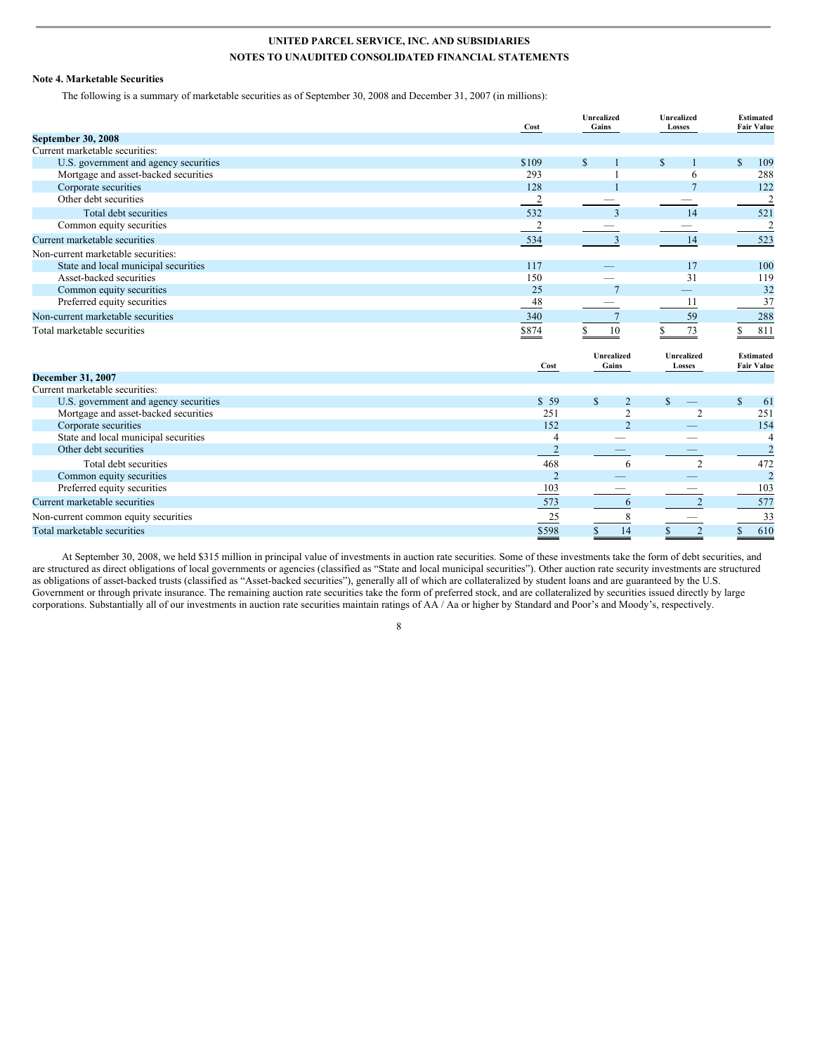## **Note 4. Marketable Securities**

The following is a summary of marketable securities as of September 30, 2008 and December 31, 2007 (in millions):

|                                       | Cost           | <b>Unrealized</b><br>Gains     | Unrealized<br>Losses         | Estimated<br><b>Fair Value</b> |
|---------------------------------------|----------------|--------------------------------|------------------------------|--------------------------------|
| <b>September 30, 2008</b>             |                |                                |                              |                                |
| Current marketable securities:        |                |                                |                              |                                |
| U.S. government and agency securities | \$109          | <sup>\$</sup>                  | $\mathbb{S}$<br>$\mathbf{1}$ | $\mathcal{S}$<br>109           |
| Mortgage and asset-backed securities  | 293            |                                | 6                            | 288                            |
| Corporate securities                  | 128            |                                | $\overline{7}$               | 122                            |
| Other debt securities                 | $\overline{2}$ |                                |                              | $\overline{c}$                 |
| Total debt securities                 | 532            | $\overline{3}$                 | 14                           | 521                            |
| Common equity securities              | $\overline{2}$ |                                |                              | $\overline{2}$                 |
| Current marketable securities         | 534            | 3                              | 14                           | 523                            |
| Non-current marketable securities:    |                |                                |                              |                                |
| State and local municipal securities  | 117            |                                | 17                           | 100                            |
| Asset-backed securities               | 150            |                                | 31                           | 119                            |
| Common equity securities              | 25             | $7\phantom{.0}$                |                              | 32                             |
| Preferred equity securities           | 48             |                                | 11                           | 37                             |
| Non-current marketable securities     | 340            |                                | 59                           | 288                            |
| Total marketable securities           | \$874          | 10                             | 73                           | 811<br>\$                      |
|                                       | Cost           | Unrealized<br>Gains            | <b>Unrealized</b><br>Losses  | Estimated<br><b>Fair Value</b> |
| <b>December 31, 2007</b>              |                |                                |                              |                                |
| Current marketable securities:        |                |                                |                              |                                |
| U.S. government and agency securities | \$59           | $\mathbb{S}$<br>$\overline{2}$ |                              | $\mathbb{S}$<br>61             |
| Mortgage and asset-backed securities  | 251            | 2                              | $\overline{c}$               | 251                            |
| Corporate securities                  | 152            | $\overline{2}$                 |                              | 154                            |
| State and local municipal securities  | $\overline{4}$ |                                |                              | $\overline{4}$                 |
| Other debt securities                 | $\overline{2}$ |                                |                              | $\overline{2}$                 |
| Total debt securities                 | 468            | 6                              | $\overline{2}$               | 472                            |
| Common equity securities              | $\overline{2}$ |                                |                              | $\overline{2}$                 |
| Preferred equity securities           | 103            |                                |                              | 103                            |
| Current marketable securities         | 573            | 6                              | $\overline{2}$               | 577                            |
|                                       | $\sim$         | $\sim$                         |                              | $\sim$                         |

Non-current common equity securities and the securities and the securities and the securities and the securities of the securities of the securities of the securities and the securities of the securities of the securities Total marketable securities  $$598$   $$14$   $$2$   $$610$ At September 30, 2008, we held \$315 million in principal value of investments in auction rate securities. Some of these investments take the form of debt securities, and

are structured as direct obligations of local governments or agencies (classified as "State and local municipal securities"). Other auction rate security investments are structured as obligations of asset-backed trusts (classified as "Asset-backed securities"), generally all of which are collateralized by student loans and are guaranteed by the U.S. Government or through private insurance. The remaining auction rate securities take the form of preferred stock, and are collateralized by securities issued directly by large corporations. Substantially all of our investments in auction rate securities maintain ratings of AA / Aa or higher by Standard and Poor's and Moody's, respectively.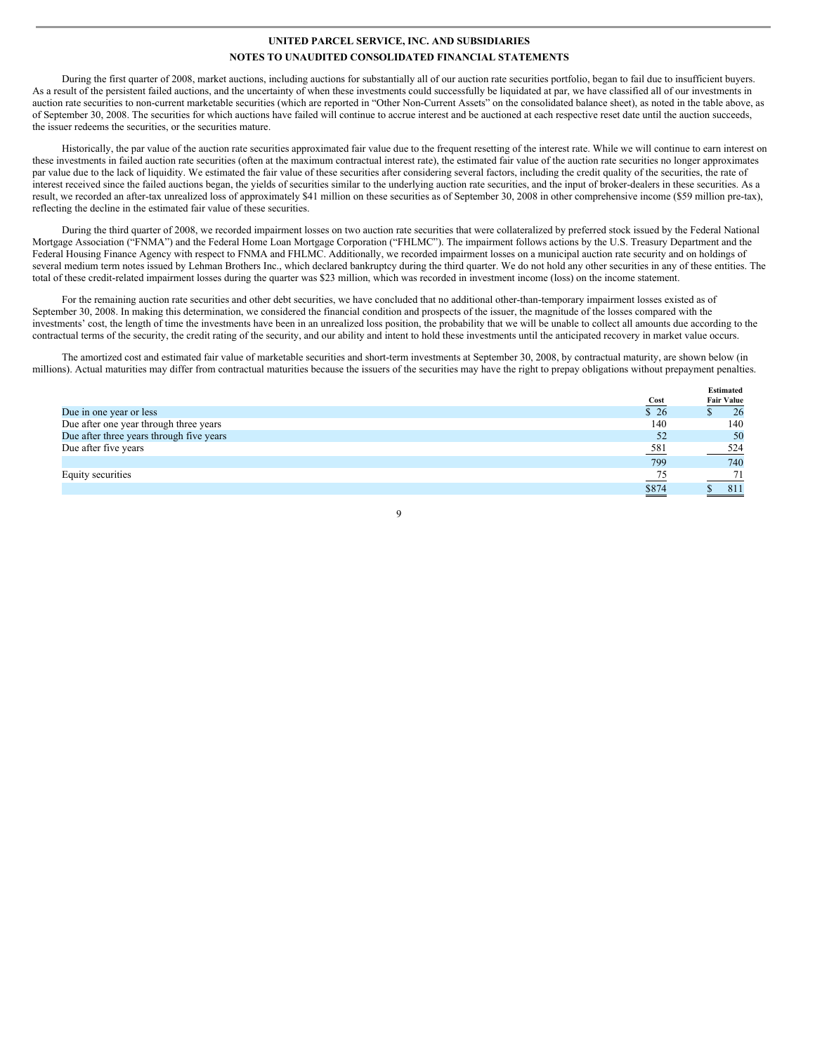During the first quarter of 2008, market auctions, including auctions for substantially all of our auction rate securities portfolio, began to fail due to insufficient buyers. As a result of the persistent failed auctions, and the uncertainty of when these investments could successfully be liquidated at par, we have classified all of our investments in auction rate securities to non-current marketable securities (which are reported in "Other Non-Current Assets" on the consolidated balance sheet), as noted in the table above, as of September 30, 2008. The securities for which auctions have failed will continue to accrue interest and be auctioned at each respective reset date until the auction succeeds, the issuer redeems the securities, or the securities mature.

Historically, the par value of the auction rate securities approximated fair value due to the frequent resetting of the interest rate. While we will continue to earn interest on these investments in failed auction rate securities (often at the maximum contractual interest rate), the estimated fair value of the auction rate securities no longer approximates par value due to the lack of liquidity. We estimated the fair value of these securities after considering several factors, including the credit quality of the securities, the rate of interest received since the failed auctions began, the yields of securities similar to the underlying auction rate securities, and the input of broker-dealers in these securities. As a result, we recorded an after-tax unrealized loss of approximately \$41 million on these securities as of September 30, 2008 in other comprehensive income (\$59 million pre-tax), reflecting the decline in the estimated fair value of these securities.

During the third quarter of 2008, we recorded impairment losses on two auction rate securities that were collateralized by preferred stock issued by the Federal National Mortgage Association ("FNMA") and the Federal Home Loan Mortgage Corporation ("FHLMC"). The impairment follows actions by the U.S. Treasury Department and the Federal Housing Finance Agency with respect to FNMA and FHLMC. Additionally, we recorded impairment losses on a municipal auction rate security and on holdings of several medium term notes issued by Lehman Brothers Inc., which declared bankruptcy during the third quarter. We do not hold any other securities in any of these entities. The total of these credit-related impairment losses during the quarter was \$23 million, which was recorded in investment income (loss) on the income statement.

For the remaining auction rate securities and other debt securities, we have concluded that no additional other-than-temporary impairment losses existed as of September 30, 2008. In making this determination, we considered the financial condition and prospects of the issuer, the magnitude of the losses compared with the investments' cost, the length of time the investments have been in an unrealized loss position, the probability that we will be unable to collect all amounts due according to the contractual terms of the security, the credit rating of the security, and our ability and intent to hold these investments until the anticipated recovery in market value occurs.

The amortized cost and estimated fair value of marketable securities and short-term investments at September 30, 2008, by contractual maturity, are shown below (in millions). Actual maturities may differ from contractual maturities because the issuers of the securities may have the right to prepay obligations without prepayment penalties.

|                                          |       | <b>Estimated</b>  |
|------------------------------------------|-------|-------------------|
|                                          | Cost  | <b>Fair Value</b> |
| Due in one year or less                  | \$26  | 26                |
| Due after one year through three years   | 140   | 140               |
| Due after three years through five years | 52    | 50                |
| Due after five years                     | 581   | 524               |
|                                          | 799   | 740               |
| Equity securities                        |       | 71                |
|                                          | \$874 | 811               |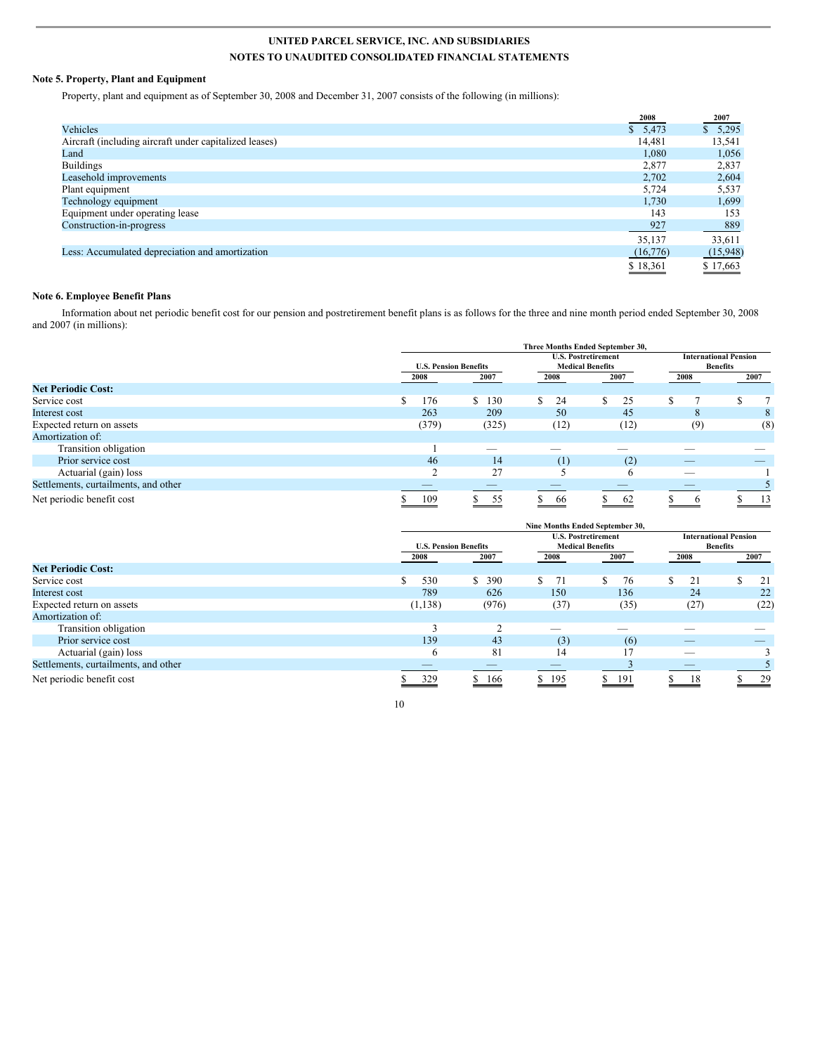# **Note 5. Property, Plant and Equipment**

Property, plant and equipment as of September 30, 2008 and December 31, 2007 consists of the following (in millions):

|                                                        | 2008     | 2007     |
|--------------------------------------------------------|----------|----------|
| Vehicles                                               | \$5,473  | \$5,295  |
| Aircraft (including aircraft under capitalized leases) | 14.481   | 13,541   |
| Land                                                   | 1,080    | 1,056    |
| <b>Buildings</b>                                       | 2,877    | 2,837    |
| Leasehold improvements                                 | 2,702    | 2,604    |
| Plant equipment                                        | 5,724    | 5,537    |
| Technology equipment                                   | 1,730    | 1,699    |
| Equipment under operating lease                        | 143      | 153      |
| Construction-in-progress                               | 927      | 889      |
|                                                        | 35.137   | 33,611   |
| Less: Accumulated depreciation and amortization        | (16,776) | (15,948) |
|                                                        | \$18.361 | \$17,663 |

# **Note 6. Employee Benefit Plans**

Information about net periodic benefit cost for our pension and postretirement benefit plans is as follows for the three and nine month period ended September 30, 2008 and 2007 (in millions):

|                                      |      |                              |           | Three Months Ended September 30, |          |                              |
|--------------------------------------|------|------------------------------|-----------|----------------------------------|----------|------------------------------|
|                                      |      |                              |           | <b>U.S. Postretirement</b>       |          | <b>International Pension</b> |
|                                      |      | <b>U.S. Pension Benefits</b> |           | <b>Medical Benefits</b>          |          | <b>Benefits</b>              |
|                                      | 2008 | 2007                         | 2008      | 2007                             | 2008     | 2007                         |
| <b>Net Periodic Cost:</b>            |      |                              |           |                                  |          |                              |
| Service cost                         | S    | \$130<br>176                 | \$<br>24  | 25                               |          | $\overline{ }$               |
| Interest cost                        |      | 209<br>263                   | 50        | 45                               | 8        | 8                            |
| Expected return on assets            |      | (379)<br>(325)               | (12)      | (12)                             | (9)      | (8)                          |
| Amortization of:                     |      |                              |           |                                  |          |                              |
| Transition obligation                |      | __                           |           |                                  |          |                              |
| Prior service cost                   |      | 46                           | (1)<br>14 | (2)                              | _        |                              |
| Actuarial (gain) loss                |      | $\bigcap$                    | 27        | 6                                | _        |                              |
| Settlements, curtailments, and other |      |                              |           |                                  |          |                              |
| Net periodic benefit cost            |      | 109                          | 55<br>66  | 62                               | $\sigma$ | 13                           |

|                                      |                              |       | Nine Months Ended September 30,                       |       |                                                 |         |
|--------------------------------------|------------------------------|-------|-------------------------------------------------------|-------|-------------------------------------------------|---------|
|                                      | <b>U.S. Pension Benefits</b> |       | <b>U.S. Postretirement</b><br><b>Medical Benefits</b> |       | <b>International Pension</b><br><b>Benefits</b> |         |
|                                      | 2008                         | 2007  | 2008                                                  | 2007  | 2008                                            | 2007    |
| <b>Net Periodic Cost:</b>            |                              |       |                                                       |       |                                                 |         |
| Service cost                         | 530<br>S                     | \$390 | 71<br>S.                                              | 76    | S<br>21                                         | 21<br>э |
| Interest cost                        | 789                          | 626   | 150                                                   | 136   | 24                                              | 22      |
| Expected return on assets            | (1,138)                      | (976) | (37)                                                  | (35)  | (27)                                            | (22)    |
| Amortization of:                     |                              |       |                                                       |       |                                                 |         |
| Transition obligation                | $\mathbf{\overline{3}}$      | ◠     |                                                       |       |                                                 |         |
| Prior service cost                   | 139                          | 43    | (3)                                                   | (6)   | _                                               |         |
| Actuarial (gain) loss                | 6                            | 81    | 14                                                    | 17    | $\overline{\phantom{a}}$                        |         |
| Settlements, curtailments, and other |                              |       | _                                                     |       | _                                               |         |
| Net periodic benefit cost            | 329                          | \$166 | \$195                                                 | \$191 | 18                                              | 29      |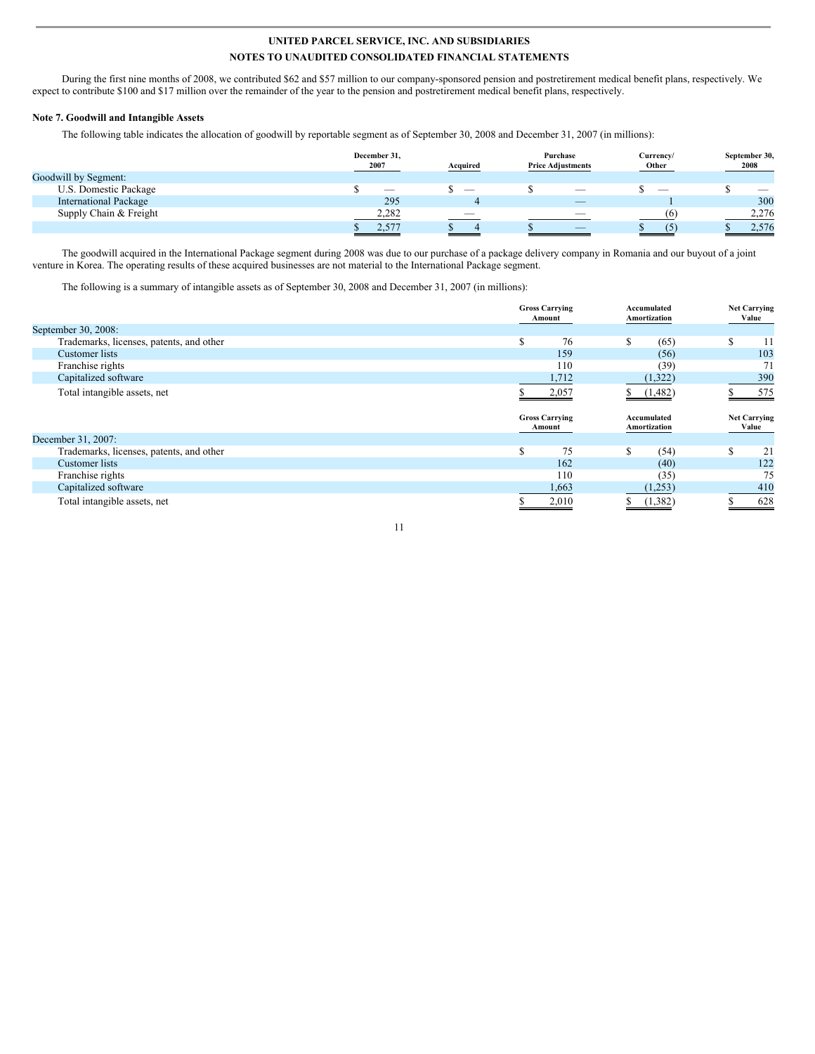During the first nine months of 2008, we contributed \$62 and \$57 million to our company-sponsored pension and postretirement medical benefit plans, respectively. We expect to contribute \$100 and \$17 million over the remainder of the year to the pension and postretirement medical benefit plans, respectively.

# **Note 7. Goodwill and Intangible Assets**

The following table indicates the allocation of goodwill by reportable segment as of September 30, 2008 and December 31, 2007 (in millions):

|                              | December 31,<br>2007 | Acquired | Purchase<br><b>Price Adjustments</b> | Currency/<br>Other       | September 30,<br>2008 |
|------------------------------|----------------------|----------|--------------------------------------|--------------------------|-----------------------|
| Goodwill by Segment:         |                      |          |                                      |                          |                       |
| U.S. Domestic Package        | $-$                  | $-$      | $\overline{\phantom{a}}$             | $\overline{\phantom{a}}$ |                       |
| <b>International Package</b> | 295                  |          |                                      |                          | 300                   |
| Supply Chain & Freight       | 2,282                |          |                                      | 61                       | 2,276                 |
|                              | 2.577                |          |                                      | 15                       | 2,576                 |

The goodwill acquired in the International Package segment during 2008 was due to our purchase of a package delivery company in Romania and our buyout of a joint venture in Korea. The operating results of these acquired businesses are not material to the International Package segment.

The following is a summary of intangible assets as of September 30, 2008 and December 31, 2007 (in millions):

|                                          | <b>Gross Carrying</b><br>Amount | Accumulated<br>Amortization | <b>Net Carrying</b><br>Value |
|------------------------------------------|---------------------------------|-----------------------------|------------------------------|
| September 30, 2008:                      |                                 |                             |                              |
| Trademarks, licenses, patents, and other | S<br>76                         | \$<br>(65)                  | S                            |
| <b>Customer</b> lists                    | 159                             | (56)                        | 103                          |
| Franchise rights                         | 110                             | (39)                        | 71                           |
| Capitalized software                     | 1,712                           | (1, 322)                    | 390                          |
| Total intangible assets, net             | 2,057                           | (1, 482)                    | 575                          |
|                                          |                                 |                             |                              |
|                                          | <b>Gross Carrying</b><br>Amount | Accumulated<br>Amortization | <b>Net Carrying</b><br>Value |
| December 31, 2007:                       |                                 |                             |                              |
| Trademarks, licenses, patents, and other | \$.<br>75                       | \$<br>(54)                  | S<br>21                      |
| Customer lists                           | 162                             | (40)                        | 122                          |
| Franchise rights                         | 110                             | (35)                        | 75                           |
| Capitalized software                     | 1,663                           | (1,253)                     | 410                          |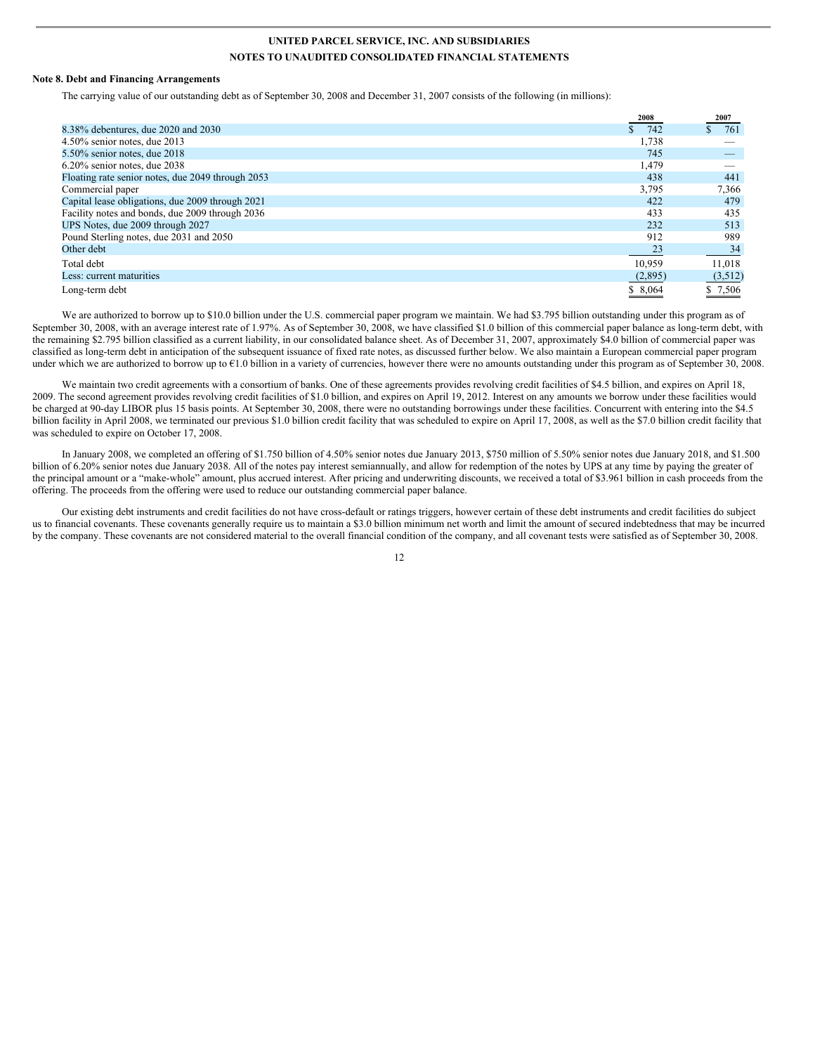#### **Note 8. Debt and Financing Arrangements**

The carrying value of our outstanding debt as of September 30, 2008 and December 31, 2007 consists of the following (in millions):

|                                                   | 2008    | 2007                |
|---------------------------------------------------|---------|---------------------|
| 8.38% debentures, due 2020 and 2030               | 742     | 761<br>$\mathbf{s}$ |
| $4.50\%$ senior notes, due 2013                   | 1,738   |                     |
| 5.50% senior notes, due 2018                      | 745     |                     |
| $6.20\%$ senior notes, due 2038                   | 1,479   |                     |
| Floating rate senior notes, due 2049 through 2053 | 438     | 441                 |
| Commercial paper                                  | 3,795   | 7,366               |
| Capital lease obligations, due 2009 through 2021  | 422     | 479                 |
| Facility notes and bonds, due 2009 through 2036   | 433     | 435                 |
| UPS Notes, due 2009 through 2027                  | 232     | 513                 |
| Pound Sterling notes, due 2031 and 2050           | 912     | 989                 |
| Other debt                                        | 23      | 34                  |
| Total debt                                        | 10.959  | 11,018              |
| Less: current maturities                          | (2,895) | (3,512)             |
| Long-term debt                                    | \$8.064 | \$ 7.506            |

We are authorized to borrow up to \$10.0 billion under the U.S. commercial paper program we maintain. We had \$3.795 billion outstanding under this program as of September 30, 2008, with an average interest rate of 1.97%. As of September 30, 2008, we have classified \$1.0 billion of this commercial paper balance as long-term debt, with the remaining \$2.795 billion classified as a current liability, in our consolidated balance sheet. As of December 31, 2007, approximately \$4.0 billion of commercial paper was classified as long-term debt in anticipation of the subsequent issuance of fixed rate notes, as discussed further below. We also maintain a European commercial paper program under which we are authorized to borrow up to €1.0 billion in a variety of currencies, however there were no amounts outstanding under this program as of September 30, 2008.

We maintain two credit agreements with a consortium of banks. One of these agreements provides revolving credit facilities of \$4.5 billion, and expires on April 18, 2009. The second agreement provides revolving credit facilities of \$1.0 billion, and expires on April 19, 2012. Interest on any amounts we borrow under these facilities would be charged at 90-day LIBOR plus 15 basis points. At September 30, 2008, there were no outstanding borrowings under these facilities. Concurrent with entering into the \$4.5 billion facility in April 2008, we terminated our previous \$1.0 billion credit facility that was scheduled to expire on April 17, 2008, as well as the \$7.0 billion credit facility that was scheduled to expire on October 17, 2008.

In January 2008, we completed an offering of \$1.750 billion of 4.50% senior notes due January 2013, \$750 million of 5.50% senior notes due January 2018, and \$1.500 billion of 6.20% senior notes due January 2038. All of the notes pay interest semiannually, and allow for redemption of the notes by UPS at any time by paying the greater of the principal amount or a "make-whole" amount, plus accrued interest. After pricing and underwriting discounts, we received a total of \$3.961 billion in cash proceeds from the offering. The proceeds from the offering were used to reduce our outstanding commercial paper balance.

Our existing debt instruments and credit facilities do not have cross-default or ratings triggers, however certain of these debt instruments and credit facilities do subject us to financial covenants. These covenants generally require us to maintain a \$3.0 billion minimum net worth and limit the amount of secured indebtedness that may be incurred by the company. These covenants are not considered material to the overall financial condition of the company, and all covenant tests were satisfied as of September 30, 2008.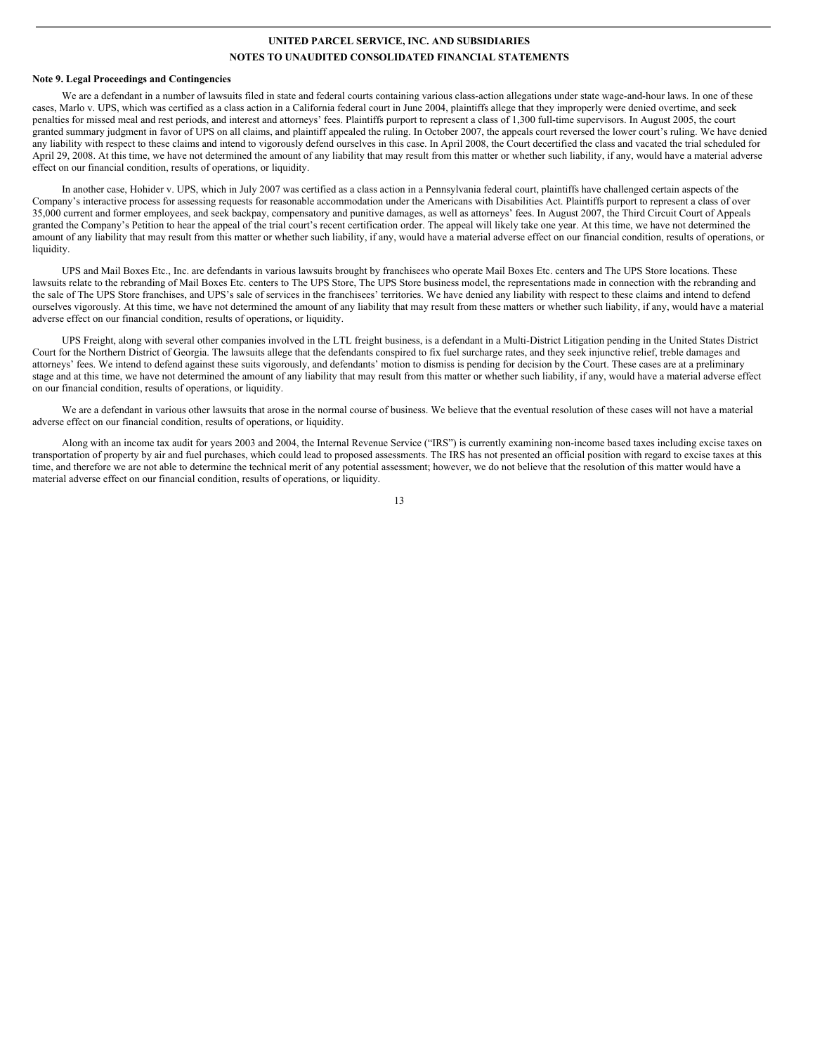#### **Note 9. Legal Proceedings and Contingencies**

We are a defendant in a number of lawsuits filed in state and federal courts containing various class-action allegations under state wage-and-hour laws. In one of these cases, Marlo v. UPS, which was certified as a class action in a California federal court in June 2004, plaintiffs allege that they improperly were denied overtime, and seek penalties for missed meal and rest periods, and interest and attorneys' fees. Plaintiffs purport to represent a class of 1,300 full-time supervisors. In August 2005, the court granted summary judgment in favor of UPS on all claims, and plaintiff appealed the ruling. In October 2007, the appeals court reversed the lower court's ruling. We have denied any liability with respect to these claims and intend to vigorously defend ourselves in this case. In April 2008, the Court decertified the class and vacated the trial scheduled for April 29, 2008. At this time, we have not determined the amount of any liability that may result from this matter or whether such liability, if any, would have a material adverse effect on our financial condition, results of operations, or liquidity.

In another case, Hohider v. UPS, which in July 2007 was certified as a class action in a Pennsylvania federal court, plaintiffs have challenged certain aspects of the Company's interactive process for assessing requests for reasonable accommodation under the Americans with Disabilities Act. Plaintiffs purport to represent a class of over 35,000 current and former employees, and seek backpay, compensatory and punitive damages, as well as attorneys' fees. In August 2007, the Third Circuit Court of Appeals granted the Company's Petition to hear the appeal of the trial court's recent certification order. The appeal will likely take one year. At this time, we have not determined the amount of any liability that may result from this matter or whether such liability, if any, would have a material adverse effect on our financial condition, results of operations, or liquidity.

UPS and Mail Boxes Etc., Inc. are defendants in various lawsuits brought by franchisees who operate Mail Boxes Etc. centers and The UPS Store locations. These lawsuits relate to the rebranding of Mail Boxes Etc. centers to The UPS Store, The UPS Store business model, the representations made in connection with the rebranding and the sale of The UPS Store franchises, and UPS's sale of services in the franchisees' territories. We have denied any liability with respect to these claims and intend to defend ourselves vigorously. At this time, we have not determined the amount of any liability that may result from these matters or whether such liability, if any, would have a material adverse effect on our financial condition, results of operations, or liquidity.

UPS Freight, along with several other companies involved in the LTL freight business, is a defendant in a Multi-District Litigation pending in the United States District Court for the Northern District of Georgia. The lawsuits allege that the defendants conspired to fix fuel surcharge rates, and they seek injunctive relief, treble damages and attorneys' fees. We intend to defend against these suits vigorously, and defendants' motion to dismiss is pending for decision by the Court. These cases are at a preliminary stage and at this time, we have not determined the amount of any liability that may result from this matter or whether such liability, if any, would have a material adverse effect on our financial condition, results of operations, or liquidity.

We are a defendant in various other lawsuits that arose in the normal course of business. We believe that the eventual resolution of these cases will not have a material adverse effect on our financial condition, results of operations, or liquidity.

Along with an income tax audit for years 2003 and 2004, the Internal Revenue Service ("IRS") is currently examining non-income based taxes including excise taxes on transportation of property by air and fuel purchases, which could lead to proposed assessments. The IRS has not presented an official position with regard to excise taxes at this time, and therefore we are not able to determine the technical merit of any potential assessment; however, we do not believe that the resolution of this matter would have a material adverse effect on our financial condition, results of operations, or liquidity.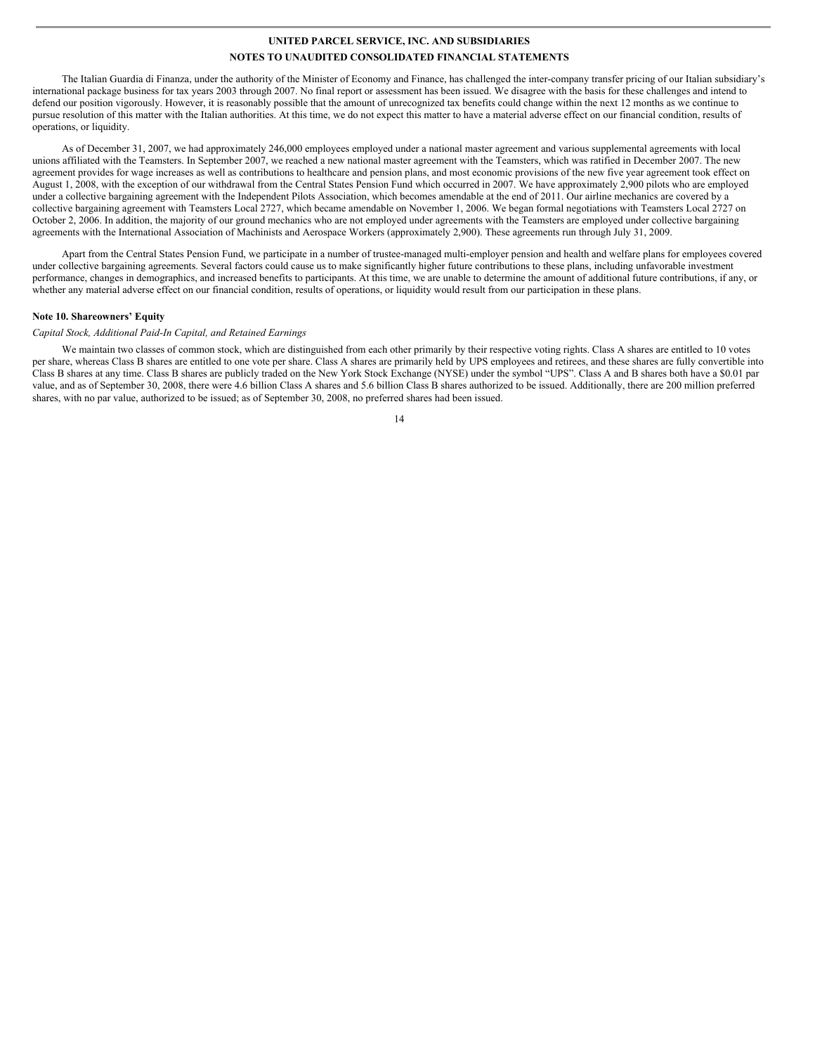The Italian Guardia di Finanza, under the authority of the Minister of Economy and Finance, has challenged the inter-company transfer pricing of our Italian subsidiary's international package business for tax years 2003 through 2007. No final report or assessment has been issued. We disagree with the basis for these challenges and intend to defend our position vigorously. However, it is reasonably possible that the amount of unrecognized tax benefits could change within the next 12 months as we continue to pursue resolution of this matter with the Italian authorities. At this time, we do not expect this matter to have a material adverse effect on our financial condition, results of operations, or liquidity.

As of December 31, 2007, we had approximately 246,000 employees employed under a national master agreement and various supplemental agreements with local unions affiliated with the Teamsters. In September 2007, we reached a new national master agreement with the Teamsters, which was ratified in December 2007. The new agreement provides for wage increases as well as contributions to healthcare and pension plans, and most economic provisions of the new five year agreement took effect on August 1, 2008, with the exception of our withdrawal from the Central States Pension Fund which occurred in 2007. We have approximately 2,900 pilots who are employed under a collective bargaining agreement with the Independent Pilots Association, which becomes amendable at the end of 2011. Our airline mechanics are covered by a collective bargaining agreement with Teamsters Local 2727, which became amendable on November 1, 2006. We began formal negotiations with Teamsters Local 2727 on October 2, 2006. In addition, the majority of our ground mechanics who are not employed under agreements with the Teamsters are employed under collective bargaining agreements with the International Association of Machinists and Aerospace Workers (approximately 2,900). These agreements run through July 31, 2009.

Apart from the Central States Pension Fund, we participate in a number of trustee-managed multi-employer pension and health and welfare plans for employees covered under collective bargaining agreements. Several factors could cause us to make significantly higher future contributions to these plans, including unfavorable investment performance, changes in demographics, and increased benefits to participants. At this time, we are unable to determine the amount of additional future contributions, if any, or whether any material adverse effect on our financial condition, results of operations, or liquidity would result from our participation in these plans.

## **Note 10. Shareowners' Equity**

#### *Capital Stock, Additional Paid-In Capital, and Retained Earnings*

We maintain two classes of common stock, which are distinguished from each other primarily by their respective voting rights. Class A shares are entitled to 10 votes per share, whereas Class B shares are entitled to one vote per share. Class A shares are primarily held by UPS employees and retirees, and these shares are fully convertible into Class B shares at any time. Class B shares are publicly traded on the New York Stock Exchange (NYSE) under the symbol "UPS". Class A and B shares both have a \$0.01 par value, and as of September 30, 2008, there were 4.6 billion Class A shares and 5.6 billion Class B shares authorized to be issued. Additionally, there are 200 million preferred shares, with no par value, authorized to be issued; as of September 30, 2008, no preferred shares had been issued.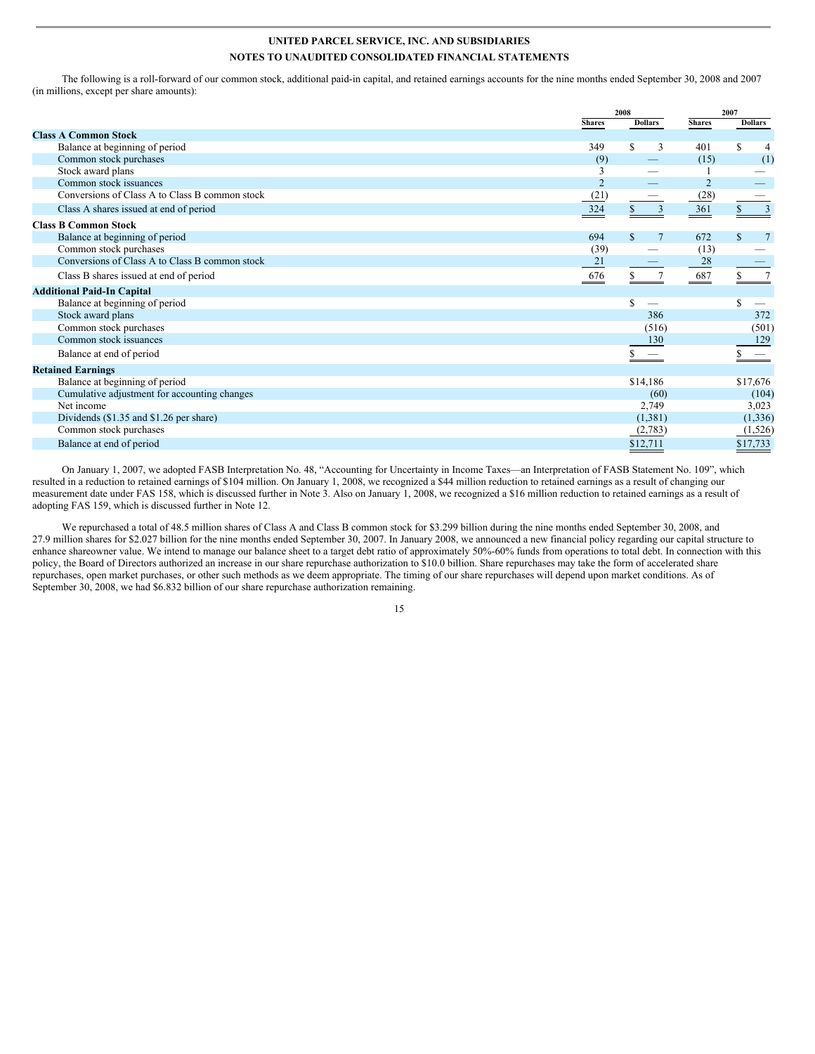The following is a roll-forward of our common stock, additional paid-in capital, and retained earnings accounts for the nine months ended September 30, 2008 and 2007 (in millions, except per share amounts):

|                                                |                      | 2008                  |                | 2007           |
|------------------------------------------------|----------------------|-----------------------|----------------|----------------|
|                                                | <b>Shares</b>        | <b>Dollars</b>        | <b>Shares</b>  | <b>Dollars</b> |
| <b>Class A Common Stock</b>                    |                      |                       |                |                |
| Balance at beginning of period                 | 349                  | \$.<br>3              | 401            | S<br>4         |
| Common stock purchases                         | (9)                  |                       | (15)           | (1)            |
| Stock award plans                              | 3                    | -                     |                |                |
| Common stock issuances                         | $\overline{2}$       |                       | $\overline{2}$ |                |
| Conversions of Class A to Class B common stock | (21)                 |                       | (28)           |                |
| Class A shares issued at end of period         | 324                  | 3<br>\$               | 361            | $\mathfrak{Z}$ |
| <b>Class B Common Stock</b>                    |                      |                       |                |                |
| Balance at beginning of period                 | 694                  | \$.<br>$\overline{7}$ | 672            | \$.<br>7       |
| Common stock purchases                         | (39)                 |                       | (13)           |                |
| Conversions of Class A to Class B common stock | 21                   |                       | 28             |                |
| Class B shares issued at end of period         | 676<br>$\sim$ $\sim$ |                       | 687<br>سنتبذ   |                |
| <b>Additional Paid-In Capital</b>              |                      |                       |                |                |
| Balance at beginning of period                 |                      | \$                    |                | \$.            |
| Stock award plans                              |                      | 386                   |                | 372            |
| Common stock purchases                         |                      | (516)                 |                | (501)          |
| Common stock issuances                         |                      | 130                   |                | 129            |
| Balance at end of period                       |                      |                       |                |                |
| <b>Retained Earnings</b>                       |                      |                       |                |                |
| Balance at beginning of period                 |                      | \$14,186              |                | \$17,676       |
| Cumulative adjustment for accounting changes   |                      | (60)                  |                | (104)          |
| Net income                                     |                      | 2,749                 |                | 3,023          |
| Dividends (\$1.35 and \$1.26 per share)        |                      | (1,381)               |                | (1, 336)       |
| Common stock purchases                         |                      | (2,783)               |                | (1,526)        |
| Balance at end of period                       |                      | \$12,711              |                | \$17,733       |

On January 1, 2007, we adopted FASB Interpretation No. 48, "Accounting for Uncertainty in Income Taxes—an Interpretation of FASB Statement No. 109", which resulted in a reduction to retained earnings of \$104 million. On January 1, 2008, we recognized a \$44 million reduction to retained earnings as a result of changing our measurement date under FAS 158, which is discussed further in Note 3. Also on January 1, 2008, we recognized a \$16 million reduction to retained earnings as a result of adopting FAS 159, which is discussed further in Note 12.

We repurchased a total of 48.5 million shares of Class A and Class B common stock for \$3.299 billion during the nine months ended September 30, 2008, and 27.9 million shares for \$2.027 billion for the nine months ended September 30, 2007. In January 2008, we announced a new financial policy regarding our capital structure to enhance shareowner value. We intend to manage our balance sheet to a target debt ratio of approximately 50%-60% funds from operations to total debt. In connection with this policy, the Board of Directors authorized an increase in our share repurchase authorization to \$10.0 billion. Share repurchases may take the form of accelerated share repurchases, open market purchases, or other such methods as we deem appropriate. The timing of our share repurchases will depend upon market conditions. As of September 30, 2008, we had \$6.832 billion of our share repurchase authorization remaining.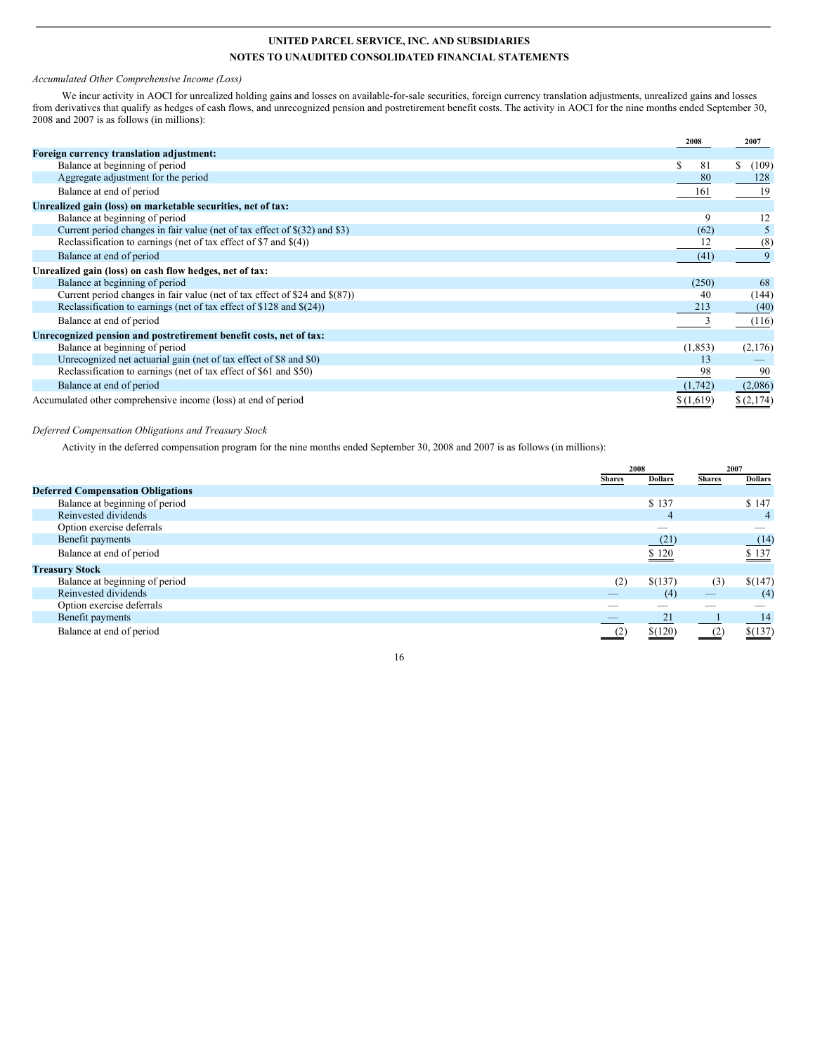## *Accumulated Other Comprehensive Income (Loss)*

We incur activity in AOCI for unrealized holding gains and losses on available-for-sale securities, foreign currency translation adjustments, unrealized gains and losses from derivatives that qualify as hedges of cash flows, and unrecognized pension and postretirement benefit costs. The activity in AOCI for the nine months ended September 30, 2008 and 2007 is as follows (in millions):

|                                                                                | 2008      | 2007        |
|--------------------------------------------------------------------------------|-----------|-------------|
| Foreign currency translation adjustment:                                       |           |             |
| Balance at beginning of period                                                 | S<br>81   | S.<br>(109) |
| Aggregate adjustment for the period                                            | 80        | 128         |
| Balance at end of period                                                       | 161       | 19          |
| Unrealized gain (loss) on marketable securities, net of tax:                   |           |             |
| Balance at beginning of period                                                 | 9         | 12          |
| Current period changes in fair value (net of tax effect of $\S(32)$ and \$3)   | (62)      | 5           |
| Reclassification to earnings (net of tax effect of \$7 and $\$(4)\)$           | 12        | (8)         |
| Balance at end of period                                                       | (41)      |             |
| Unrealized gain (loss) on cash flow hedges, net of tax:                        |           |             |
| Balance at beginning of period                                                 | (250)     | 68          |
| Current period changes in fair value (net of tax effect of \$24 and $\$(87)$ ) | 40        | (144)       |
| Reclassification to earnings (net of tax effect of $$128$ and $$(24)$ )        | 213       | (40)        |
| Balance at end of period                                                       |           | (116)       |
| Unrecognized pension and postretirement benefit costs, net of tax:             |           |             |
| Balance at beginning of period                                                 | (1, 853)  | (2,176)     |
| Unrecognized net actuarial gain (net of tax effect of \$8 and \$0)             | 13        |             |
| Reclassification to earnings (net of tax effect of \$61 and \$50)              | 98        | 90          |
| Balance at end of period                                                       | (1,742)   | (2,086)     |
| Accumulated other comprehensive income (loss) at end of period                 | \$(1,619) | \$(2,174)   |

# *Deferred Compensation Obligations and Treasury Stock*

Activity in the deferred compensation program for the nine months ended September 30, 2008 and 2007 is as follows (in millions):

|                                          |               | 2008           |               | 2007           |
|------------------------------------------|---------------|----------------|---------------|----------------|
|                                          | <b>Shares</b> | <b>Dollars</b> | <b>Shares</b> | <b>Dollars</b> |
| <b>Deferred Compensation Obligations</b> |               |                |               |                |
| Balance at beginning of period           |               | \$137          |               | \$147          |
| Reinvested dividends                     |               | 4              |               | $\overline{4}$ |
| Option exercise deferrals                |               |                |               |                |
| Benefit payments                         |               | (21)           |               | (14)           |
| Balance at end of period                 |               | \$120          |               | \$137          |
| <b>Treasury Stock</b>                    |               |                |               |                |
| Balance at beginning of period           | (2)           | \$(137)        | (3)           | \$(147)        |
| Reinvested dividends                     | _             | (4)            |               | (4)            |
| Option exercise deferrals                |               |                |               |                |
| Benefit payments                         | _             | 21             |               | -14            |
| Balance at end of period                 |               | \$(120)        |               | \$(137)        |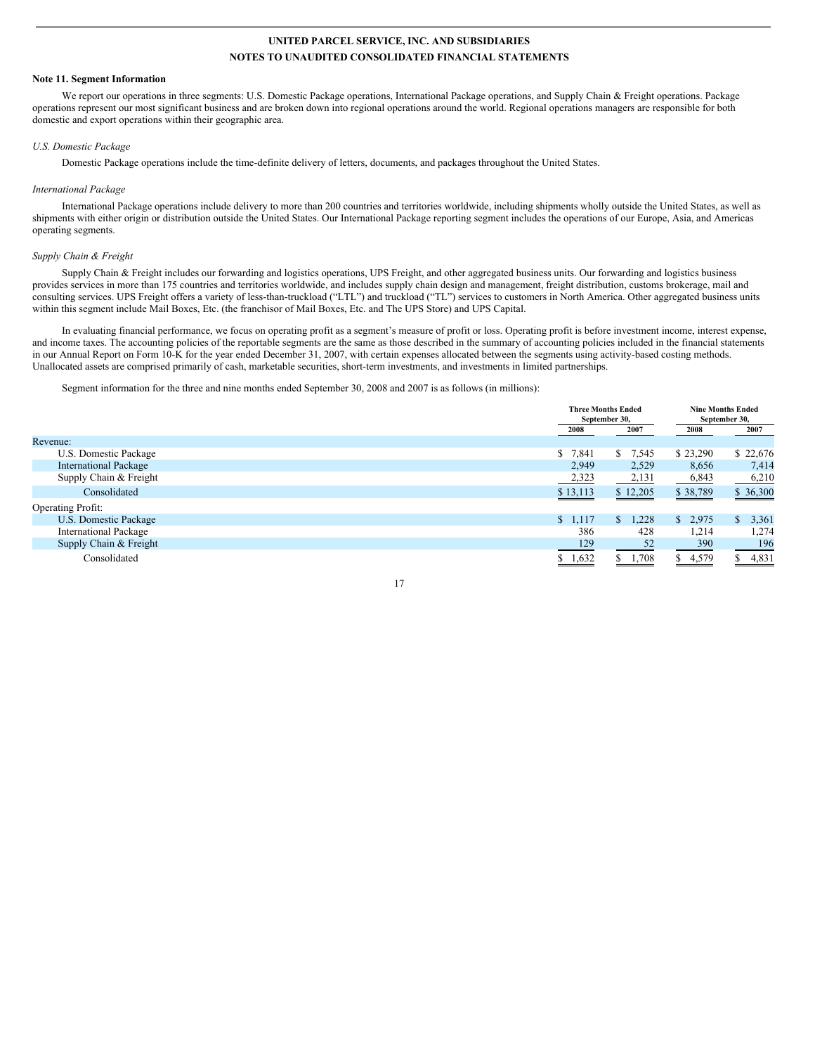## **Note 11. Segment Information**

We report our operations in three segments: U.S. Domestic Package operations, International Package operations, and Supply Chain & Freight operations. Package operations represent our most significant business and are broken down into regional operations around the world. Regional operations managers are responsible for both domestic and export operations within their geographic area.

#### *U.S. Domestic Package*

Domestic Package operations include the time-definite delivery of letters, documents, and packages throughout the United States.

#### *International Package*

International Package operations include delivery to more than 200 countries and territories worldwide, including shipments wholly outside the United States, as well as shipments with either origin or distribution outside the United States. Our International Package reporting segment includes the operations of our Europe, Asia, and Americas operating segments.

## *Supply Chain & Freight*

Supply Chain & Freight includes our forwarding and logistics operations, UPS Freight, and other aggregated business units. Our forwarding and logistics business provides services in more than 175 countries and territories worldwide, and includes supply chain design and management, freight distribution, customs brokerage, mail and consulting services. UPS Freight offers a variety of less-than-truckload ("LTL") and truckload ("TL") services to customers in North America. Other aggregated business units within this segment include Mail Boxes, Etc. (the franchisor of Mail Boxes, Etc. and The UPS Store) and UPS Capital.

In evaluating financial performance, we focus on operating profit as a segment's measure of profit or loss. Operating profit is before investment income, interest expense, and income taxes. The accounting policies of the reportable segments are the same as those described in the summary of accounting policies included in the financial statements in our Annual Report on Form 10-K for the year ended December 31, 2007, with certain expenses allocated between the segments using activity-based costing methods. Unallocated assets are comprised primarily of cash, marketable securities, short-term investments, and investments in limited partnerships.

Segment information for the three and nine months ended September 30, 2008 and 2007 is as follows (in millions):

|                              |                       | <b>Three Months Ended</b><br>September 30, |          | <b>Nine Months Ended</b><br>September 30, |
|------------------------------|-----------------------|--------------------------------------------|----------|-------------------------------------------|
|                              | 2008                  | 2007                                       | 2008     | 2007                                      |
| Revenue:                     |                       |                                            |          |                                           |
| U.S. Domestic Package        | 7,841<br>S.           | 7,545<br>S.                                | \$23,290 | \$22,676                                  |
| <b>International Package</b> | 2,949                 | 2,529                                      | 8,656    | 7,414                                     |
| Supply Chain & Freight       | 2,323                 | 2,131                                      | 6,843    | 6,210                                     |
| Consolidated                 | \$13,113              | \$12,205                                   | \$38,789 | \$36,300                                  |
| <b>Operating Profit:</b>     |                       |                                            |          |                                           |
| U.S. Domestic Package        | $\mathbf{s}$<br>1.117 | 1,228<br>\$                                | \$2,975  | 3,361<br>\$.                              |
| <b>International Package</b> | 386                   | 428                                        | 1,214    | 1,274                                     |
| Supply Chain & Freight       | 129                   | 52                                         | 390      | 196                                       |
| Consolidated                 | 1,632                 | 1,708                                      | 4,579    | 4,831                                     |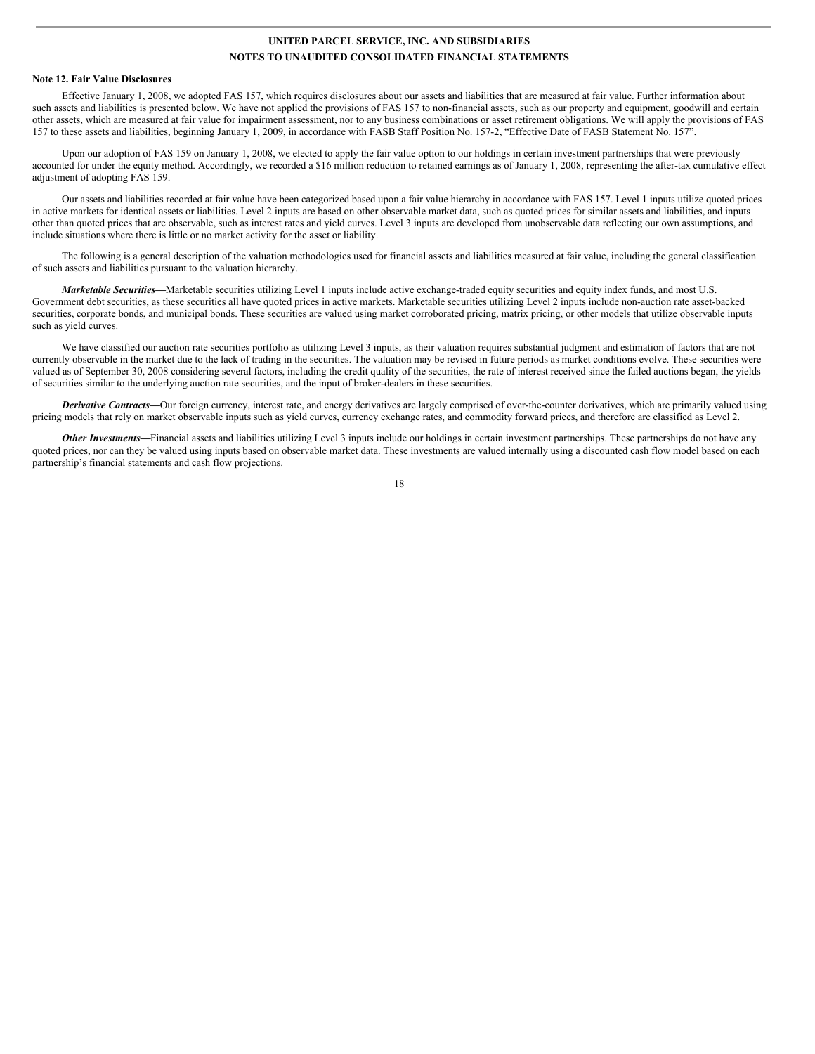#### **Note 12. Fair Value Disclosures**

Effective January 1, 2008, we adopted FAS 157, which requires disclosures about our assets and liabilities that are measured at fair value. Further information about such assets and liabilities is presented below. We have not applied the provisions of FAS 157 to non-financial assets, such as our property and equipment, goodwill and certain other assets, which are measured at fair value for impairment assessment, nor to any business combinations or asset retirement obligations. We will apply the provisions of FAS 157 to these assets and liabilities, beginning January 1, 2009, in accordance with FASB Staff Position No. 157-2, "Effective Date of FASB Statement No. 157".

Upon our adoption of FAS 159 on January 1, 2008, we elected to apply the fair value option to our holdings in certain investment partnerships that were previously accounted for under the equity method. Accordingly, we recorded a \$16 million reduction to retained earnings as of January 1, 2008, representing the after-tax cumulative effect adjustment of adopting FAS 159.

Our assets and liabilities recorded at fair value have been categorized based upon a fair value hierarchy in accordance with FAS 157. Level 1 inputs utilize quoted prices in active markets for identical assets or liabilities. Level 2 inputs are based on other observable market data, such as quoted prices for similar assets and liabilities, and inputs other than quoted prices that are observable, such as interest rates and yield curves. Level 3 inputs are developed from unobservable data reflecting our own assumptions, and include situations where there is little or no market activity for the asset or liability.

The following is a general description of the valuation methodologies used for financial assets and liabilities measured at fair value, including the general classification of such assets and liabilities pursuant to the valuation hierarchy.

*Marketable Securities—*Marketable securities utilizing Level 1 inputs include active exchange-traded equity securities and equity index funds, and most U.S. Government debt securities, as these securities all have quoted prices in active markets. Marketable securities utilizing Level 2 inputs include non-auction rate asset-backed securities, corporate bonds, and municipal bonds. These securities are valued using market corroborated pricing, matrix pricing, or other models that utilize observable inputs such as yield curves.

We have classified our auction rate securities portfolio as utilizing Level 3 inputs, as their valuation requires substantial judgment and estimation of factors that are not currently observable in the market due to the lack of trading in the securities. The valuation may be revised in future periods as market conditions evolve. These securities were valued as of September 30, 2008 considering several factors, including the credit quality of the securities, the rate of interest received since the failed auctions began, the yields of securities similar to the underlying auction rate securities, and the input of broker-dealers in these securities.

*Derivative Contracts—*Our foreign currency, interest rate, and energy derivatives are largely comprised of over-the-counter derivatives, which are primarily valued using pricing models that rely on market observable inputs such as yield curves, currency exchange rates, and commodity forward prices, and therefore are classified as Level 2.

*Other Investments—*Financial assets and liabilities utilizing Level 3 inputs include our holdings in certain investment partnerships. These partnerships do not have any quoted prices, nor can they be valued using inputs based on observable market data. These investments are valued internally using a discounted cash flow model based on each partnership's financial statements and cash flow projections.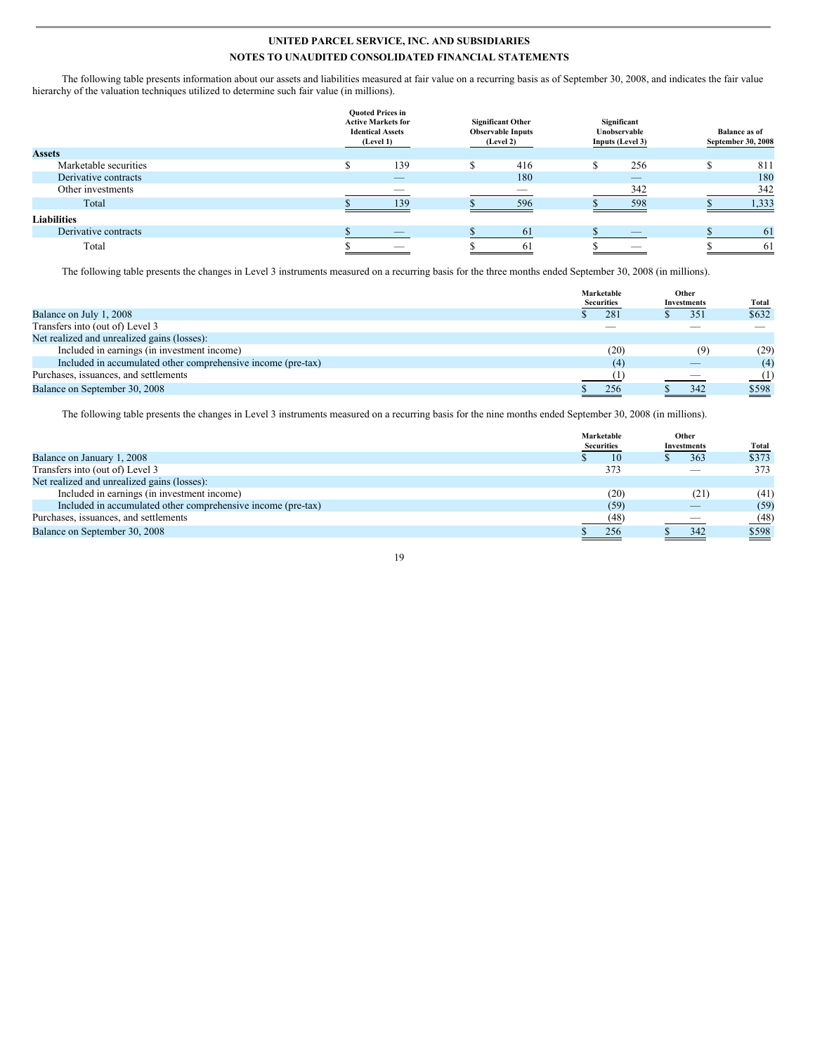The following table presents information about our assets and liabilities measured at fair value on a recurring basis as of September 30, 2008, and indicates the fair value hierarchy of the valuation techniques utilized to determine such fair value (in millions).

|                       | <b>Ouoted Prices in</b><br><b>Active Markets for</b><br><b>Identical Assets</b><br>(Level 1) | <b>Significant Other</b><br><b>Observable Inputs</b><br>(Level 2) | Significant<br>Unobservable<br><b>Inputs (Level 3)</b> | <b>Balance as of</b><br>September 30, 2008 |
|-----------------------|----------------------------------------------------------------------------------------------|-------------------------------------------------------------------|--------------------------------------------------------|--------------------------------------------|
| <b>Assets</b>         |                                                                                              |                                                                   |                                                        |                                            |
| Marketable securities | 139                                                                                          | 416                                                               | 256                                                    | 811                                        |
| Derivative contracts  |                                                                                              | 180                                                               | $\overline{\phantom{a}}$                               | 180                                        |
| Other investments     |                                                                                              |                                                                   | 342                                                    | 342                                        |
| Total                 | 139                                                                                          | 596                                                               | 598                                                    | 1,333                                      |
| <b>Liabilities</b>    |                                                                                              |                                                                   |                                                        |                                            |
| Derivative contracts  |                                                                                              | 61                                                                |                                                        | 61                                         |
| Total                 |                                                                                              | 61                                                                |                                                        | -61                                        |

The following table presents the changes in Level 3 instruments measured on a recurring basis for the three months ended September 30, 2008 (in millions).

|                                                              | Marketable<br><b>Securities</b> | Other<br>Investments |                          | Total |
|--------------------------------------------------------------|---------------------------------|----------------------|--------------------------|-------|
| Balance on July 1, 2008                                      | 281                             |                      | 351                      | \$632 |
| Transfers into (out of) Level 3                              | _                               |                      | $\overline{\phantom{a}}$ |       |
| Net realized and unrealized gains (losses):                  |                                 |                      |                          |       |
| Included in earnings (in investment income)                  | (20)                            |                      | (9)                      | (29)  |
| Included in accumulated other comprehensive income (pre-tax) | (4)                             |                      |                          | (4)   |
| Purchases, issuances, and settlements                        |                                 |                      |                          | (1)   |
| Balance on September 30, 2008                                | 256                             |                      | 342                      | \$598 |

The following table presents the changes in Level 3 instruments measured on a recurring basis for the nine months ended September 30, 2008 (in millions).

|                                                              | Marketable<br><b>Securities</b> |  | Other<br>Investments |       |
|--------------------------------------------------------------|---------------------------------|--|----------------------|-------|
| Balance on January 1, 2008                                   | 10                              |  | 363                  | \$373 |
| Transfers into (out of) Level 3                              | 373                             |  |                      | 373   |
| Net realized and unrealized gains (losses):                  |                                 |  |                      |       |
| Included in earnings (in investment income)                  | (20)                            |  | (21)                 | (41)  |
| Included in accumulated other comprehensive income (pre-tax) | (59)                            |  |                      | (59)  |
| Purchases, issuances, and settlements                        | (48)                            |  |                      | (48)  |
| Balance on September 30, 2008                                | 256                             |  | 342                  | \$598 |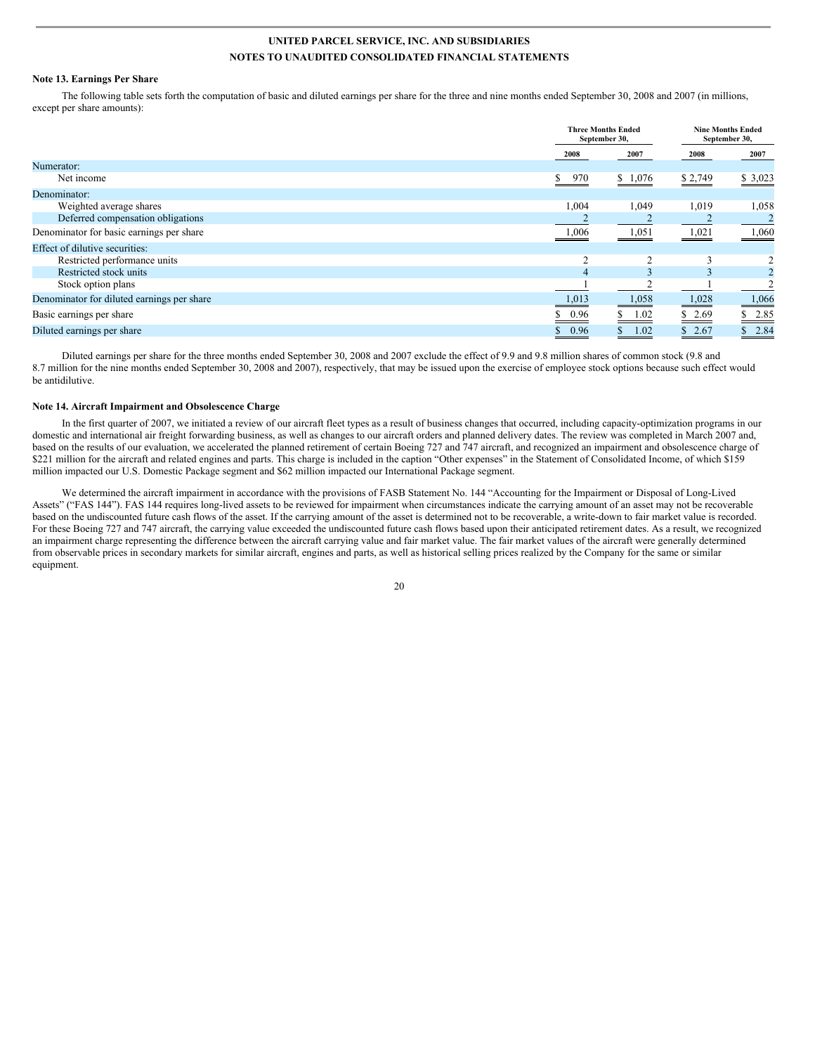## **Note 13. Earnings Per Share**

The following table sets forth the computation of basic and diluted earnings per share for the three and nine months ended September 30, 2008 and 2007 (in millions, except per share amounts):

|                                            |           | <b>Three Months Ended</b><br>September 30, |         | <b>Nine Months Ended</b><br>September 30, |
|--------------------------------------------|-----------|--------------------------------------------|---------|-------------------------------------------|
|                                            | 2008      | 2007                                       | 2008    | 2007                                      |
| Numerator:                                 |           |                                            |         |                                           |
| Net income                                 | 970<br>S. | \$1,076                                    | \$2,749 | \$ 3,023                                  |
| Denominator:                               |           |                                            |         |                                           |
| Weighted average shares                    | 1,004     | 1,049                                      | 1,019   | 1,058                                     |
| Deferred compensation obligations          |           |                                            |         |                                           |
| Denominator for basic earnings per share   | 1,006     | 1,051                                      | 1,021   | 1,060                                     |
| Effect of dilutive securities:             |           |                                            |         |                                           |
| Restricted performance units               | $\bigcap$ | ◠                                          | 3       |                                           |
| Restricted stock units                     | 4         |                                            |         |                                           |
| Stock option plans                         |           |                                            |         |                                           |
| Denominator for diluted earnings per share | 1,013     | 1,058                                      | 1,028   | 1,066                                     |
| Basic earnings per share                   | \$0.96    | 1.02                                       | 2.69    | 2.85                                      |
| Diluted earnings per share                 | 0.96      | 1.02                                       | 2.67    | 2.84                                      |

Diluted earnings per share for the three months ended September 30, 2008 and 2007 exclude the effect of 9.9 and 9.8 million shares of common stock (9.8 and 8.7 million for the nine months ended September 30, 2008 and 2007), respectively, that may be issued upon the exercise of employee stock options because such effect would be antidilutive.

#### **Note 14. Aircraft Impairment and Obsolescence Charge**

In the first quarter of 2007, we initiated a review of our aircraft fleet types as a result of business changes that occurred, including capacity-optimization programs in our domestic and international air freight forwarding business, as well as changes to our aircraft orders and planned delivery dates. The review was completed in March 2007 and, based on the results of our evaluation, we accelerated the planned retirement of certain Boeing 727 and 747 aircraft, and recognized an impairment and obsolescence charge of \$221 million for the aircraft and related engines and parts. This charge is included in the caption "Other expenses" in the Statement of Consolidated Income, of which \$159 million impacted our U.S. Domestic Package segment and \$62 million impacted our International Package segment.

We determined the aircraft impairment in accordance with the provisions of FASB Statement No. 144 "Accounting for the Impairment or Disposal of Long-Lived Assets" ("FAS 144"). FAS 144 requires long-lived assets to be reviewed for impairment when circumstances indicate the carrying amount of an asset may not be recoverable based on the undiscounted future cash flows of the asset. If the carrying amount of the asset is determined not to be recoverable, a write-down to fair market value is recorded. For these Boeing 727 and 747 aircraft, the carrying value exceeded the undiscounted future cash flows based upon their anticipated retirement dates. As a result, we recognized an impairment charge representing the difference between the aircraft carrying value and fair market value. The fair market values of the aircraft were generally determined from observable prices in secondary markets for similar aircraft, engines and parts, as well as historical selling prices realized by the Company for the same or similar equipment.

<sup>20</sup>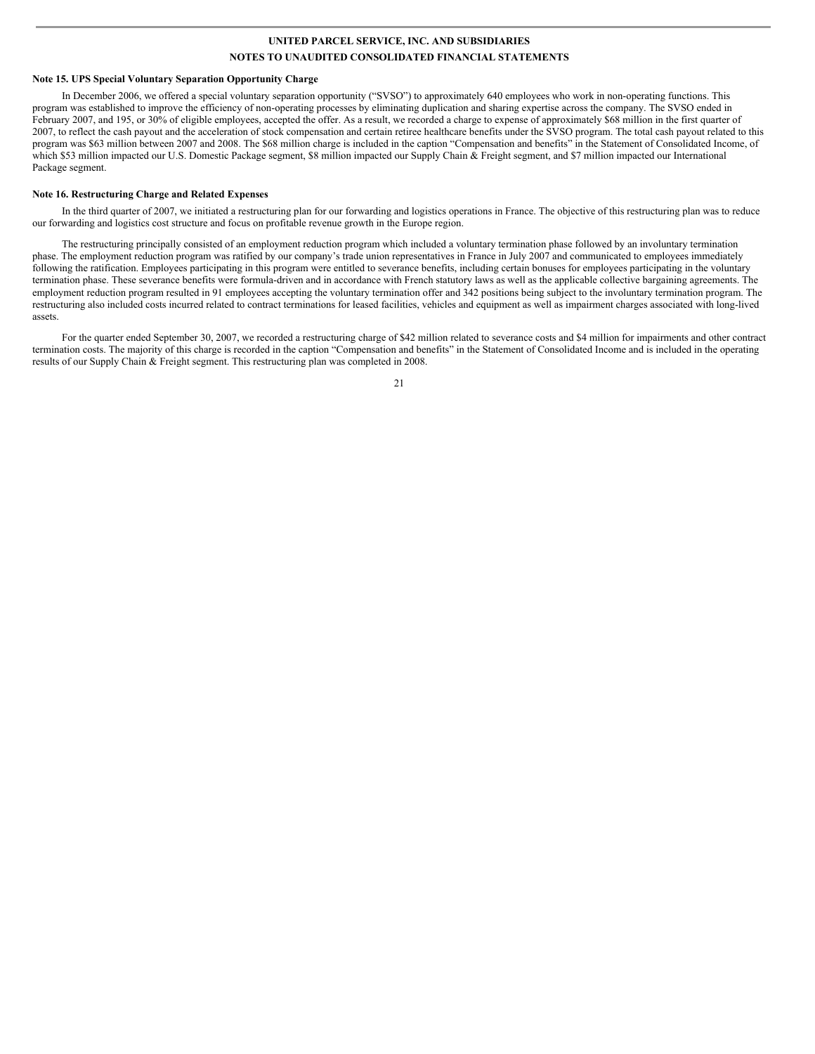## **Note 15. UPS Special Voluntary Separation Opportunity Charge**

In December 2006, we offered a special voluntary separation opportunity ("SVSO") to approximately 640 employees who work in non-operating functions. This program was established to improve the efficiency of non-operating processes by eliminating duplication and sharing expertise across the company. The SVSO ended in February 2007, and 195, or 30% of eligible employees, accepted the offer. As a result, we recorded a charge to expense of approximately \$68 million in the first quarter of 2007, to reflect the cash payout and the acceleration of stock compensation and certain retiree healthcare benefits under the SVSO program. The total cash payout related to this program was \$63 million between 2007 and 2008. The \$68 million charge is included in the caption "Compensation and benefits" in the Statement of Consolidated Income, of which \$53 million impacted our U.S. Domestic Package segment, \$8 million impacted our Supply Chain & Freight segment, and \$7 million impacted our International Package segment.

## **Note 16. Restructuring Charge and Related Expenses**

In the third quarter of 2007, we initiated a restructuring plan for our forwarding and logistics operations in France. The objective of this restructuring plan was to reduce our forwarding and logistics cost structure and focus on profitable revenue growth in the Europe region.

The restructuring principally consisted of an employment reduction program which included a voluntary termination phase followed by an involuntary termination phase. The employment reduction program was ratified by our company's trade union representatives in France in July 2007 and communicated to employees immediately following the ratification. Employees participating in this program were entitled to severance benefits, including certain bonuses for employees participating in the voluntary termination phase. These severance benefits were formula-driven and in accordance with French statutory laws as well as the applicable collective bargaining agreements. The employment reduction program resulted in 91 employees accepting the voluntary termination offer and 342 positions being subject to the involuntary termination program. The restructuring also included costs incurred related to contract terminations for leased facilities, vehicles and equipment as well as impairment charges associated with long-lived assets.

For the quarter ended September 30, 2007, we recorded a restructuring charge of \$42 million related to severance costs and \$4 million for impairments and other contract termination costs. The majority of this charge is recorded in the caption "Compensation and benefits" in the Statement of Consolidated Income and is included in the operating results of our Supply Chain & Freight segment. This restructuring plan was completed in 2008.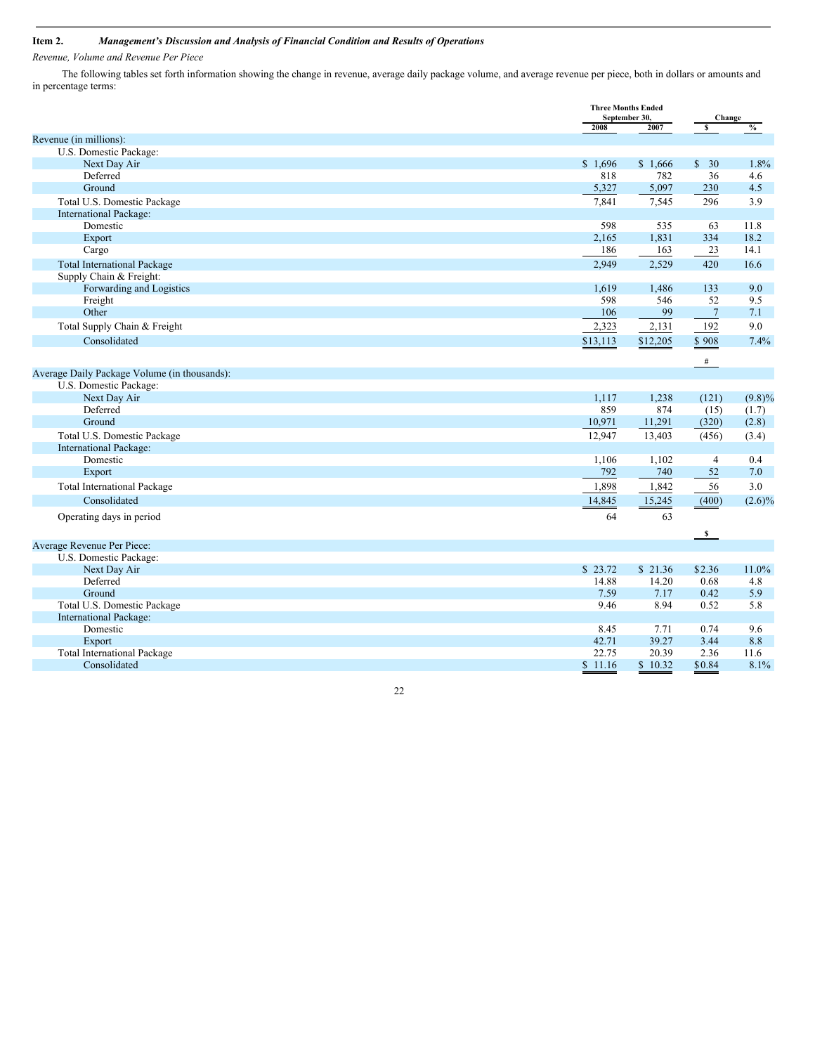# **Item 2.** *Management's Discussion and Analysis of Financial Condition and Results of Operations*

*Revenue, Volume and Revenue Per Piece*

The following tables set forth information showing the change in revenue, average daily package volume, and average revenue per piece, both in dollars or amounts and in percentage terms:

|                                              |          | <b>Three Months Ended</b><br>September 30, |                          | Change    |
|----------------------------------------------|----------|--------------------------------------------|--------------------------|-----------|
|                                              | 2008     | 2007                                       | s                        | $\%$      |
| Revenue (in millions):                       |          |                                            |                          |           |
| U.S. Domestic Package:                       |          |                                            |                          |           |
| Next Day Air                                 | \$1,696  | \$1,666                                    | \$30                     | 1.8%      |
| Deferred                                     | 818      | 782                                        | 36                       | 4.6       |
| Ground                                       | 5,327    | 5,097                                      | 230                      | 4.5       |
| Total U.S. Domestic Package                  | 7,841    | 7,545                                      | 296                      | 3.9       |
| International Package:                       |          |                                            |                          |           |
| Domestic                                     | 598      | 535                                        | 63                       | 11.8      |
| Export                                       | 2,165    | 1,831                                      | 334                      | 18.2      |
| Cargo                                        | 186      | 163                                        | 23                       | 14.1      |
| <b>Total International Package</b>           | 2,949    | 2,529                                      | 420                      | 16.6      |
| Supply Chain & Freight:                      |          |                                            |                          |           |
| Forwarding and Logistics                     | 1,619    | 1,486                                      | 133                      | 9.0       |
| Freight                                      | 598      | 546                                        | 52                       | 9.5       |
| Other                                        | 106      | 99                                         | $7\phantom{.0}$          | 7.1       |
| Total Supply Chain & Freight                 | 2,323    | 2,131                                      | 192                      | 9.0       |
| Consolidated                                 | \$13,113 | \$12,205                                   | \$908                    | 7.4%      |
|                                              |          |                                            | #                        |           |
| Average Daily Package Volume (in thousands): |          |                                            |                          |           |
| U.S. Domestic Package:                       |          |                                            |                          |           |
| Next Day Air                                 | 1.117    | 1,238                                      | (121)                    | $(9.8)\%$ |
| Deferred                                     | 859      | 874                                        | (15)                     | (1.7)     |
| Ground                                       | 10,971   | 11,291                                     | (320)                    | (2.8)     |
| Total U.S. Domestic Package                  | 12,947   | 13,403                                     | (456)                    | (3.4)     |
| International Package:                       |          |                                            |                          |           |
| Domestic                                     | 1,106    | 1,102                                      | $\overline{4}$           | 0.4       |
| Export                                       | 792      | 740                                        | 52                       | 7.0       |
| <b>Total International Package</b>           | 1,898    | 1,842                                      | 56                       | 3.0       |
| Consolidated                                 | 14,845   | 15,245                                     | (400)                    | $(2.6)\%$ |
|                                              |          |                                            |                          |           |
| Operating days in period                     | 64       | 63                                         |                          |           |
| Average Revenue Per Piece:                   |          |                                            | $\overline{\phantom{a}}$ |           |
| U.S. Domestic Package:                       |          |                                            |                          |           |
| Next Day Air                                 | \$23.72  | \$21.36                                    | \$2.36                   | 11.0%     |
| Deferred                                     | 14.88    | 14.20                                      | 0.68                     | 4.8       |
| Ground                                       | 7.59     | 7.17                                       | 0.42                     | 5.9       |
| Total U.S. Domestic Package                  | 9.46     | 8.94                                       | 0.52                     | 5.8       |
| International Package:                       |          |                                            |                          |           |
| Domestic                                     | 8.45     | 7.71                                       | 0.74                     | 9.6       |
| Export                                       | 42.71    | 39.27                                      | 3.44                     | 8.8       |
| <b>Total International Package</b>           | 22.75    | 20.39                                      | 2.36                     | 11.6      |
| Consolidated                                 | \$11.16  | \$10.32                                    | \$0.84                   | 8.1%      |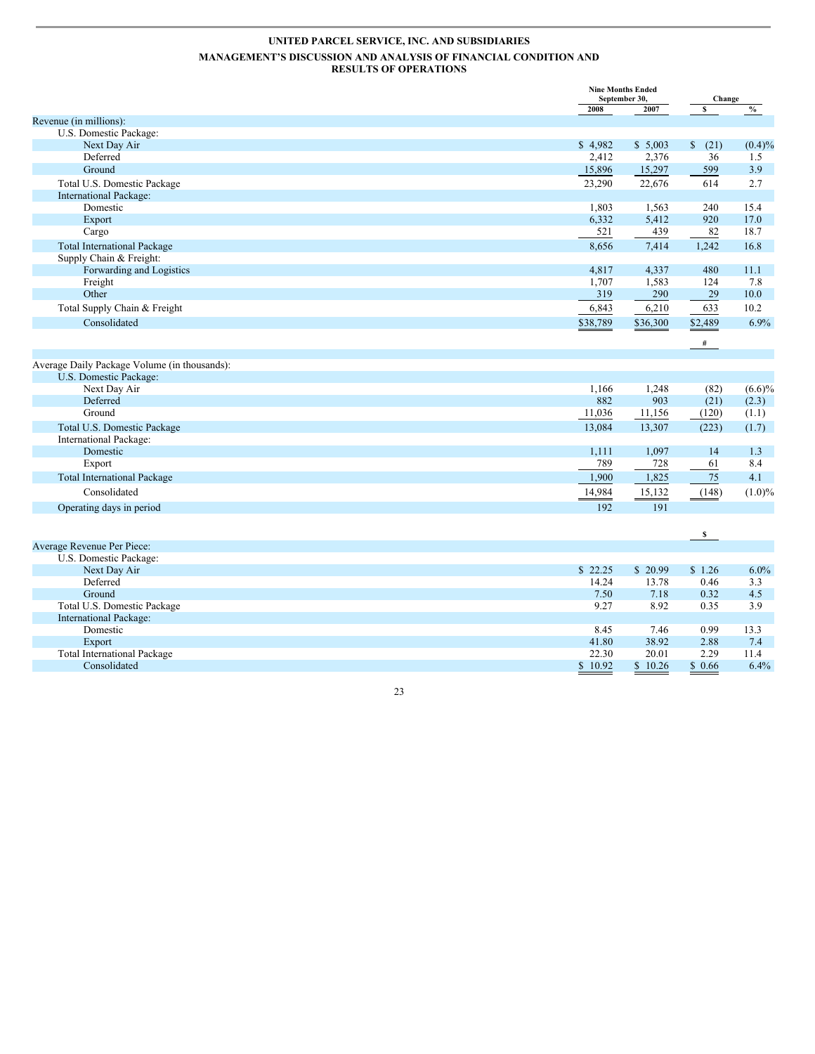|                                              |          | <b>Nine Months Ended</b><br>September 30, |         |           |  | Change |  |
|----------------------------------------------|----------|-------------------------------------------|---------|-----------|--|--------|--|
|                                              | 2008     | 2007                                      | s       | $\%$      |  |        |  |
| Revenue (in millions):                       |          |                                           |         |           |  |        |  |
| U.S. Domestic Package:                       |          |                                           |         |           |  |        |  |
| Next Day Air                                 | \$4,982  | \$5,003                                   | \$ (21) | $(0.4)\%$ |  |        |  |
| Deferred                                     | 2,412    | 2,376                                     | 36      | 1.5       |  |        |  |
| Ground                                       | 15,896   | 15,297                                    | 599     | 3.9       |  |        |  |
| Total U.S. Domestic Package                  | 23,290   | 22,676                                    | 614     | 2.7       |  |        |  |
| International Package:                       |          |                                           |         |           |  |        |  |
| Domestic                                     | 1,803    | 1,563                                     | 240     | 15.4      |  |        |  |
| Export                                       | 6,332    | 5,412                                     | 920     | 17.0      |  |        |  |
| Cargo                                        | 521      | 439                                       | 82      | 18.7      |  |        |  |
| <b>Total International Package</b>           | 8.656    | 7,414                                     | 1,242   | 16.8      |  |        |  |
| Supply Chain & Freight:                      |          |                                           |         |           |  |        |  |
| Forwarding and Logistics                     | 4,817    | 4,337                                     | 480     | 11.1      |  |        |  |
| Freight                                      | 1,707    | 1,583                                     | 124     | 7.8       |  |        |  |
| Other                                        | 319      | 290                                       | 29      | 10.0      |  |        |  |
| Total Supply Chain & Freight                 | 6,843    | 6,210                                     | 633     | 10.2      |  |        |  |
| Consolidated                                 | \$38,789 | \$36,300                                  | \$2,489 | 6.9%      |  |        |  |
|                                              |          |                                           |         |           |  |        |  |
|                                              |          |                                           | #       |           |  |        |  |
| Average Daily Package Volume (in thousands): |          |                                           |         |           |  |        |  |
| U.S. Domestic Package:                       |          |                                           |         |           |  |        |  |
| Next Day Air                                 | 1,166    | 1,248                                     | (82)    | $(6.6)\%$ |  |        |  |
| Deferred                                     | 882      | 903                                       | (21)    | (2.3)     |  |        |  |
| Ground                                       | 11,036   | 11,156                                    | (120)   | (1.1)     |  |        |  |
| Total U.S. Domestic Package                  | 13,084   | 13,307                                    | (223)   | (1.7)     |  |        |  |
| International Package:                       |          |                                           |         |           |  |        |  |
| Domestic                                     | 1,111    | 1,097                                     | 14      | 1.3       |  |        |  |
| Export                                       | 789      | 728                                       | 61      | 8.4       |  |        |  |
| <b>Total International Package</b>           | 1,900    | 1,825                                     | 75      | 4.1       |  |        |  |
| Consolidated                                 | 14,984   | 15,132                                    | (148)   | $(1.0)\%$ |  |        |  |
|                                              | 192      | 191                                       |         |           |  |        |  |
| Operating days in period                     |          |                                           |         |           |  |        |  |
|                                              |          |                                           | s       |           |  |        |  |
| Average Revenue Per Piece:                   |          |                                           |         |           |  |        |  |
| U.S. Domestic Package:                       |          |                                           |         |           |  |        |  |
| Next Day Air                                 | \$22.25  | \$20.99                                   | \$1.26  | $6.0\%$   |  |        |  |
| Deferred                                     | 14.24    | 13.78                                     | 0.46    | 3.3       |  |        |  |
| Ground                                       | 7.50     | 7.18                                      | 0.32    | 4.5       |  |        |  |
| Total U.S. Domestic Package                  | 9.27     | 8.92                                      | 0.35    | 3.9       |  |        |  |
| International Package:                       |          |                                           |         |           |  |        |  |
| Domestic                                     | 8.45     | 7.46                                      | 0.99    | 13.3      |  |        |  |
| Export                                       | 41.80    | 38.92                                     | 2.88    | 7.4       |  |        |  |
| <b>Total International Package</b>           | 22.30    | 20.01                                     | 2.29    | 11.4      |  |        |  |
| Consolidated                                 | \$10.92  | \$10.26                                   | \$0.66  | $6.4\%$   |  |        |  |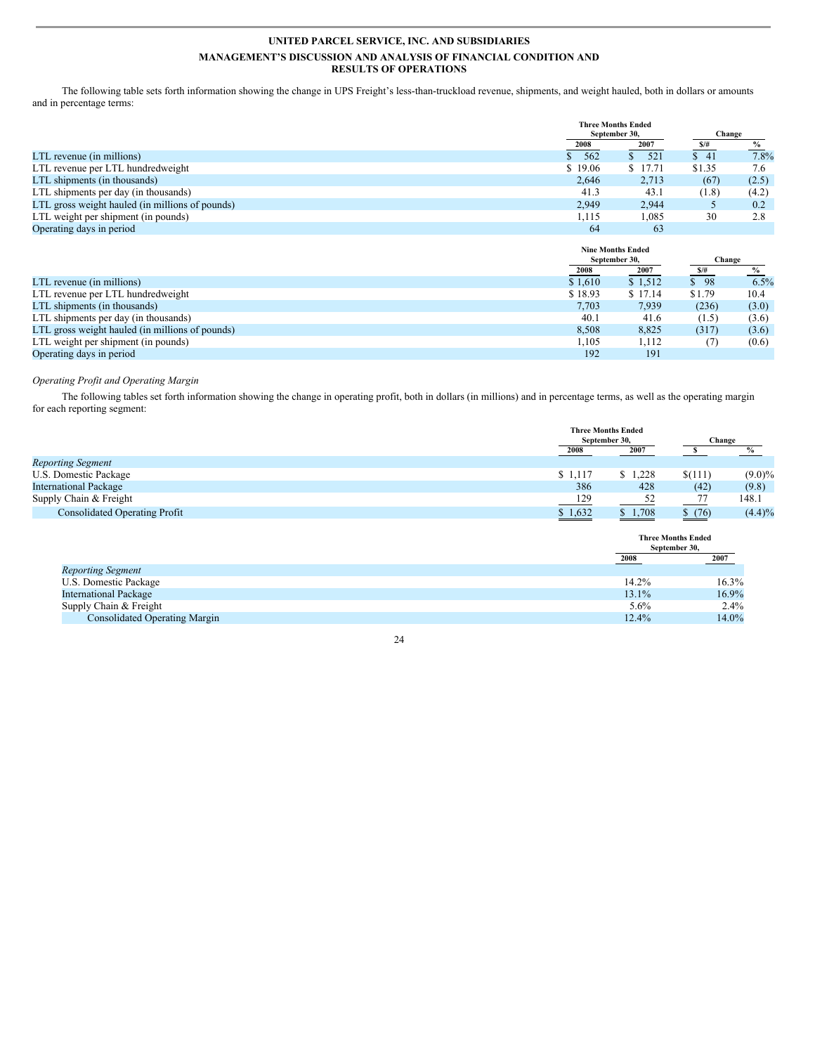The following table sets forth information showing the change in UPS Freight's less-than-truckload revenue, shipments, and weight hauled, both in dollars or amounts and in percentage terms:

|                                                 |           | <b>Three Months Ended</b> |        |        |
|-------------------------------------------------|-----------|---------------------------|--------|--------|
|                                                 |           | September 30,             |        | Change |
|                                                 | 2008      | 2007                      | \$/#   |        |
| LTL revenue (in millions)                       | 562<br>S. | 521<br>$\mathbf{s}$       | \$41   | 7.8%   |
| LTL revenue per LTL hundredweight               | \$19.06   | \$17.71                   | \$1.35 | 7.6    |
| LTL shipments (in thousands)                    | 2,646     | 2,713                     | (67)   | (2.5)  |
| LTL shipments per day (in thousands)            | 41.3      | 43.1                      | (1.8)  | (4.2)  |
| LTL gross weight hauled (in millions of pounds) | 2.949     | 2.944                     |        | 0.2    |
| LTL weight per shipment (in pounds)             | 1,115     | 1.085                     | 30     | 2.8    |
| Operating days in period                        | 64        | 63                        |        |        |

|                                                 |         | <b>Nine Months Ended</b> | Change                       |       |
|-------------------------------------------------|---------|--------------------------|------------------------------|-------|
|                                                 | 2008    | September 30,<br>2007    |                              |       |
| LTL revenue (in millions)                       | \$1,610 | \$1,512                  | \$/#<br>- 98<br>$\mathbf{s}$ | 6.5%  |
| LTL revenue per LTL hundredweight               | \$18.93 | \$17.14                  | \$1.79                       | 10.4  |
| LTL shipments (in thousands)                    | 7,703   | 7,939                    | (236)                        | (3.0) |
| LTL shipments per day (in thousands)            | 40.1    | 41.6                     | (1.5)                        | (3.6) |
| LTL gross weight hauled (in millions of pounds) | 8,508   | 8,825                    | (317)                        | (3.6) |
| LTL weight per shipment (in pounds)             | 1,105   | 1.112                    | 7)                           | (0.6) |
| Operating days in period                        | 192     | 191                      |                              |       |

# *Operating Profit and Operating Margin*

The following tables set forth information showing the change in operating profit, both in dollars (in millions) and in percentage terms, as well as the operating margin for each reporting segment:

|                                      |         | <b>Three Months Ended</b> |         |           |  |
|--------------------------------------|---------|---------------------------|---------|-----------|--|
|                                      |         | September 30,             |         | Change    |  |
|                                      | 2008    | 2007                      |         | %         |  |
| <b>Reporting Segment</b>             |         |                           |         |           |  |
| U.S. Domestic Package                | \$1.117 | \$1,228                   | \$(111) | $(9.0)\%$ |  |
| <b>International Package</b>         | 386     | 428                       | (42)    | (9.8)     |  |
| Supply Chain & Freight               | 129     |                           |         | 148.1     |  |
| <b>Consolidated Operating Profit</b> | \$1,632 | \$1,708                   | \$(76)  | $(4.4)\%$ |  |
|                                      |         | ______                    |         |           |  |

|                               | <b>Three Months Ended</b><br>September 30, |          |
|-------------------------------|--------------------------------------------|----------|
|                               | 2008                                       | 2007     |
| <b>Reporting Segment</b>      |                                            |          |
| U.S. Domestic Package         | 14.2%                                      | $16.3\%$ |
| <b>International Package</b>  | $13.1\%$                                   | 16.9%    |
| Supply Chain & Freight        | 5.6%                                       | $2.4\%$  |
| Consolidated Operating Margin | 12.4%                                      | 14.0%    |

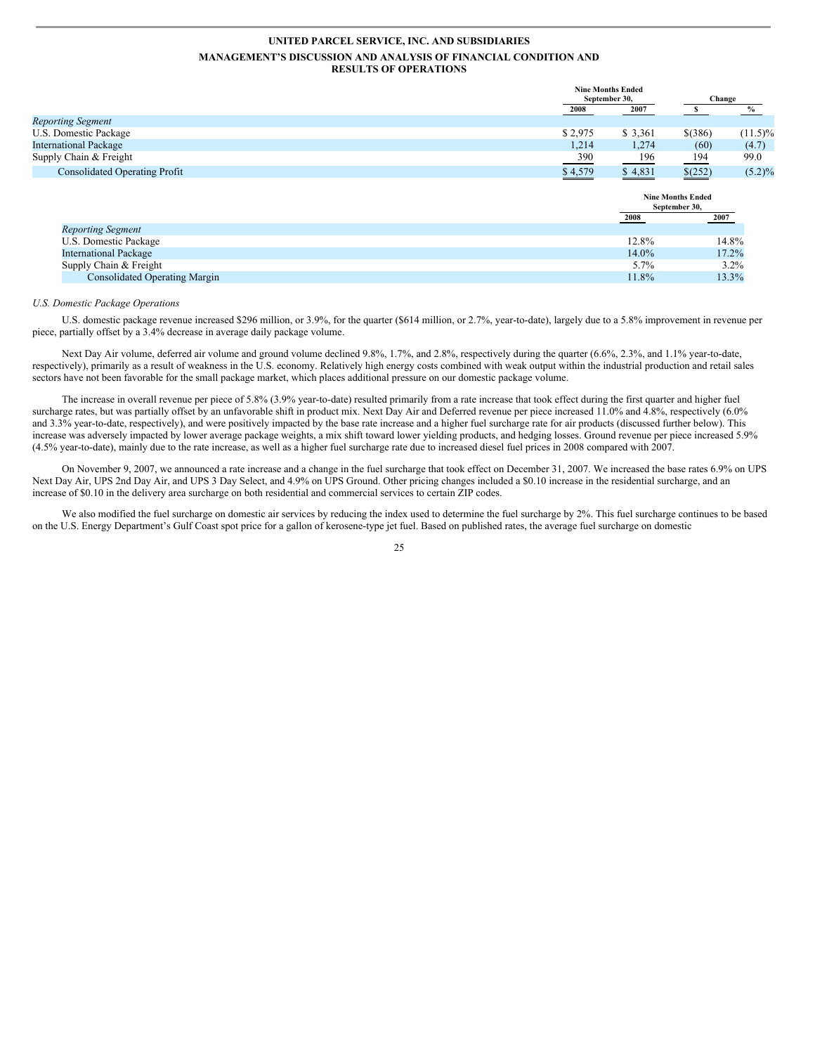|                                      |               | <b>Nine Months Ended</b>                  |              |            |  |
|--------------------------------------|---------------|-------------------------------------------|--------------|------------|--|
|                                      | September 30, |                                           | Change       |            |  |
|                                      | 2008          | 2007                                      | $\mathbf{s}$ | $\%$       |  |
| <b>Reporting Segment</b>             |               |                                           |              |            |  |
| U.S. Domestic Package                | \$2,975       | \$ 3,361                                  | \$(386)      | $(11.5)\%$ |  |
| <b>International Package</b>         | 1,214         | 1,274                                     | (60)         | (4.7)      |  |
| Supply Chain & Freight               | 390           | 196                                       | 194          | 99.0       |  |
| <b>Consolidated Operating Profit</b> | \$4,579       | \$4,831                                   | $$^{(252)}$  | $(5.2)\%$  |  |
|                                      |               | <b>Nine Months Ended</b><br>September 30, |              |            |  |
|                                      |               | 2008                                      | 2007         |            |  |
| <b>Reporting Segment</b>             |               |                                           |              |            |  |
| U.S. Domestic Package                |               | 12.8%                                     |              | 14.8%      |  |
| <b>International Package</b>         |               | 14.0%                                     |              | 17.2%      |  |
| Supply Chain & Freight               |               | 5.7%                                      |              | 3.2%       |  |
| <b>Consolidated Operating Margin</b> |               | 11.8%                                     |              | 13.3%      |  |
|                                      |               |                                           |              |            |  |

## *U.S. Domestic Package Operations*

U.S. domestic package revenue increased \$296 million, or 3.9%, for the quarter (\$614 million, or 2.7%, year-to-date), largely due to a 5.8% improvement in revenue per piece, partially offset by a 3.4% decrease in average daily package volume.

Next Day Air volume, deferred air volume and ground volume declined 9.8%, 1.7%, and 2.8%, respectively during the quarter (6.6%, 2.3%, and 1.1% year-to-date, respectively), primarily as a result of weakness in the U.S. economy. Relatively high energy costs combined with weak output within the industrial production and retail sales sectors have not been favorable for the small package market, which places additional pressure on our domestic package volume.

The increase in overall revenue per piece of 5.8% (3.9% year-to-date) resulted primarily from a rate increase that took effect during the first quarter and higher fuel surcharge rates, but was partially offset by an unfavorable shift in product mix. Next Day Air and Deferred revenue per piece increased 11.0% and 4.8%, respectively (6.0%) and 3.3% year-to-date, respectively), and were positively impacted by the base rate increase and a higher fuel surcharge rate for air products (discussed further below). This increase was adversely impacted by lower average package weights, a mix shift toward lower yielding products, and hedging losses. Ground revenue per piece increased 5.9% (4.5% year-to-date), mainly due to the rate increase, as well as a higher fuel surcharge rate due to increased diesel fuel prices in 2008 compared with 2007.

On November 9, 2007, we announced a rate increase and a change in the fuel surcharge that took effect on December 31, 2007. We increased the base rates 6.9% on UPS Next Day Air, UPS 2nd Day Air, and UPS 3 Day Select, and 4.9% on UPS Ground. Other pricing changes included a \$0.10 increase in the residential surcharge, and an increase of \$0.10 in the delivery area surcharge on both residential and commercial services to certain ZIP codes.

We also modified the fuel surcharge on domestic air services by reducing the index used to determine the fuel surcharge by 2%. This fuel surcharge continues to be based on the U.S. Energy Department's Gulf Coast spot price for a gallon of kerosene-type jet fuel. Based on published rates, the average fuel surcharge on domestic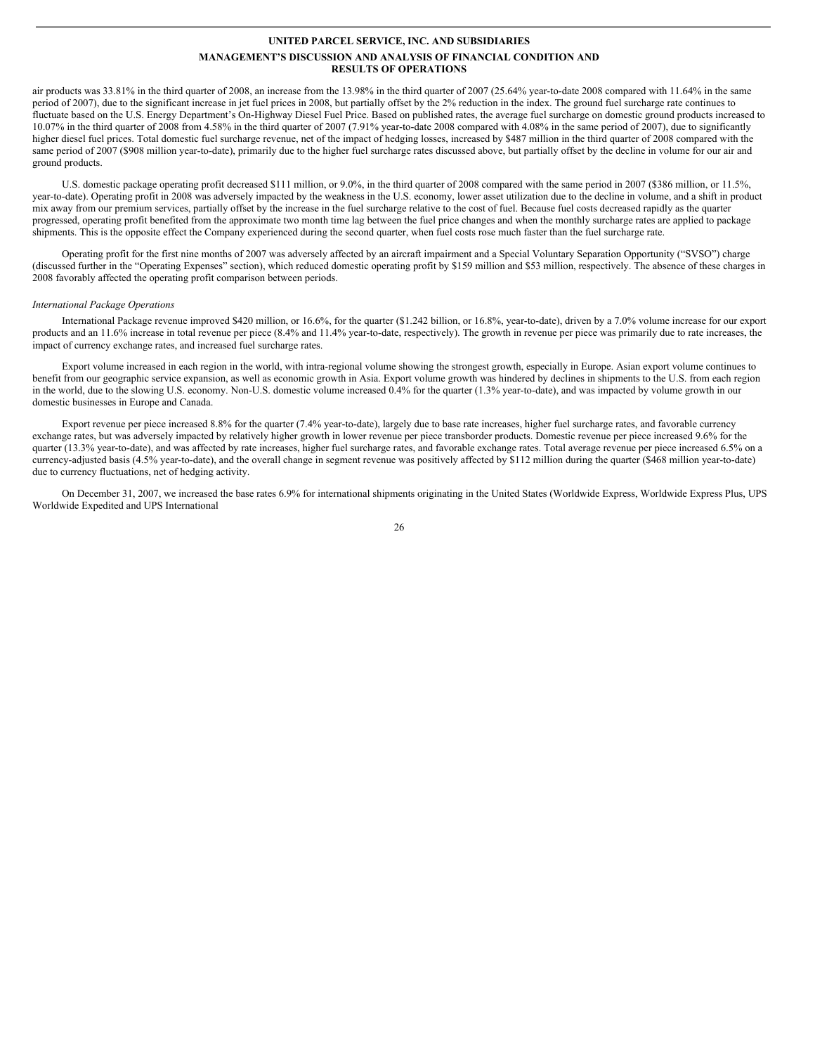air products was 33.81% in the third quarter of 2008, an increase from the 13.98% in the third quarter of 2007 (25.64% year-to-date 2008 compared with 11.64% in the same period of 2007), due to the significant increase in jet fuel prices in 2008, but partially offset by the 2% reduction in the index. The ground fuel surcharge rate continues to fluctuate based on the U.S. Energy Department's On-Highway Diesel Fuel Price. Based on published rates, the average fuel surcharge on domestic ground products increased to 10.07% in the third quarter of 2008 from 4.58% in the third quarter of 2007 (7.91% year-to-date 2008 compared with 4.08% in the same period of 2007), due to significantly higher diesel fuel prices. Total domestic fuel surcharge revenue, net of the impact of hedging losses, increased by \$487 million in the third quarter of 2008 compared with the same period of 2007 (\$908 million year-to-date), primarily due to the higher fuel surcharge rates discussed above, but partially offset by the decline in volume for our air and ground products.

U.S. domestic package operating profit decreased \$111 million, or 9.0%, in the third quarter of 2008 compared with the same period in 2007 (\$386 million, or 11.5%, year-to-date). Operating profit in 2008 was adversely impacted by the weakness in the U.S. economy, lower asset utilization due to the decline in volume, and a shift in product mix away from our premium services, partially offset by the increase in the fuel surcharge relative to the cost of fuel. Because fuel costs decreased rapidly as the quarter progressed, operating profit benefited from the approximate two month time lag between the fuel price changes and when the monthly surcharge rates are applied to package shipments. This is the opposite effect the Company experienced during the second quarter, when fuel costs rose much faster than the fuel surcharge rate.

Operating profit for the first nine months of 2007 was adversely affected by an aircraft impairment and a Special Voluntary Separation Opportunity ("SVSO") charge (discussed further in the "Operating Expenses" section), which reduced domestic operating profit by \$159 million and \$53 million, respectively. The absence of these charges in 2008 favorably affected the operating profit comparison between periods.

#### *International Package Operations*

International Package revenue improved \$420 million, or 16.6%, for the quarter (\$1.242 billion, or 16.8%, year-to-date), driven by a 7.0% volume increase for our export products and an 11.6% increase in total revenue per piece (8.4% and 11.4% year-to-date, respectively). The growth in revenue per piece was primarily due to rate increases, the impact of currency exchange rates, and increased fuel surcharge rates.

Export volume increased in each region in the world, with intra-regional volume showing the strongest growth, especially in Europe. Asian export volume continues to benefit from our geographic service expansion, as well as economic growth in Asia. Export volume growth was hindered by declines in shipments to the U.S. from each region in the world, due to the slowing U.S. economy. Non-U.S. domestic volume increased 0.4% for the quarter (1.3% year-to-date), and was impacted by volume growth in our domestic businesses in Europe and Canada.

Export revenue per piece increased 8.8% for the quarter (7.4% year-to-date), largely due to base rate increases, higher fuel surcharge rates, and favorable currency exchange rates, but was adversely impacted by relatively higher growth in lower revenue per piece transborder products. Domestic revenue per piece increased 9.6% for the quarter (13.3% year-to-date), and was affected by rate increases, higher fuel surcharge rates, and favorable exchange rates. Total average revenue per piece increased 6.5% on a currency-adjusted basis (4.5% year-to-date), and the overall change in segment revenue was positively affected by \$112 million during the quarter (\$468 million year-to-date) due to currency fluctuations, net of hedging activity.

On December 31, 2007, we increased the base rates 6.9% for international shipments originating in the United States (Worldwide Express, Worldwide Express Plus, UPS Worldwide Expedited and UPS International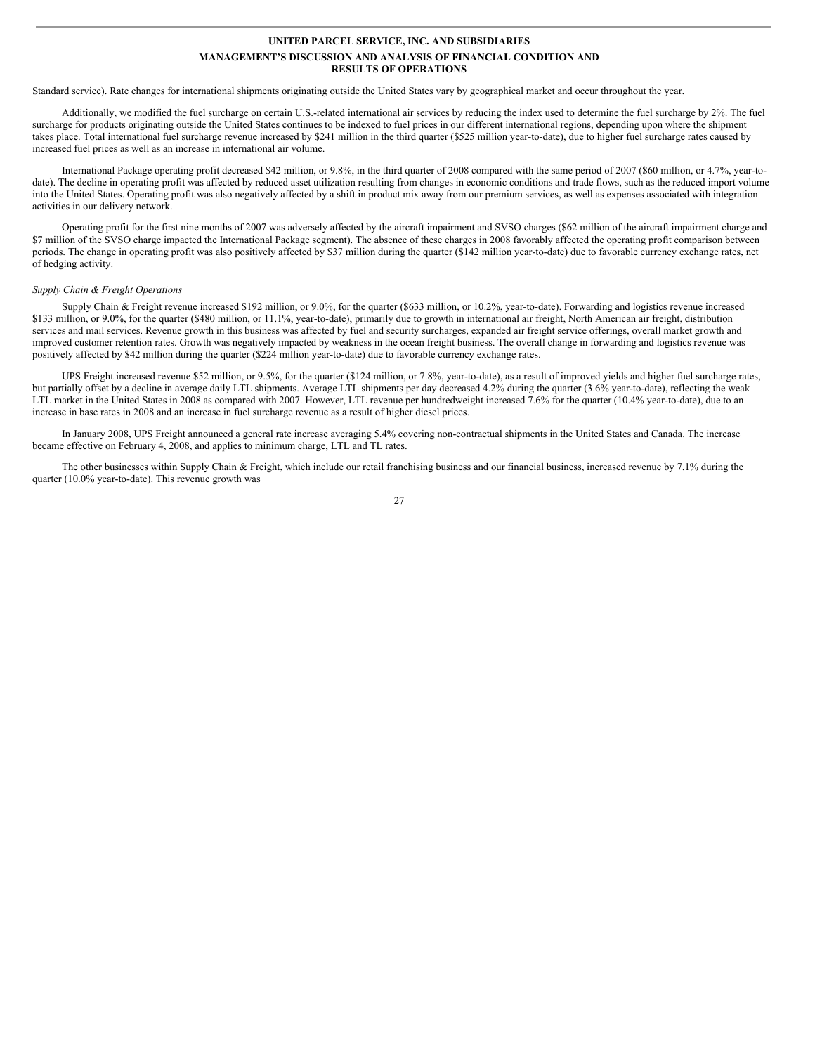Standard service). Rate changes for international shipments originating outside the United States vary by geographical market and occur throughout the year.

Additionally, we modified the fuel surcharge on certain U.S.-related international air services by reducing the index used to determine the fuel surcharge by 2%. The fuel surcharge for products originating outside the United States continues to be indexed to fuel prices in our different international regions, depending upon where the shipment takes place. Total international fuel surcharge revenue increased by \$241 million in the third quarter (\$525 million year-to-date), due to higher fuel surcharge rates caused by increased fuel prices as well as an increase in international air volume.

International Package operating profit decreased \$42 million, or 9.8%, in the third quarter of 2008 compared with the same period of 2007 (\$60 million, or 4.7%, year-todate). The decline in operating profit was affected by reduced asset utilization resulting from changes in economic conditions and trade flows, such as the reduced import volume into the United States. Operating profit was also negatively affected by a shift in product mix away from our premium services, as well as expenses associated with integration activities in our delivery network.

Operating profit for the first nine months of 2007 was adversely affected by the aircraft impairment and SVSO charges (\$62 million of the aircraft impairment charge and \$7 million of the SVSO charge impacted the International Package segment). The absence of these charges in 2008 favorably affected the operating profit comparison between periods. The change in operating profit was also positively affected by \$37 million during the quarter (\$142 million year-to-date) due to favorable currency exchange rates, net of hedging activity.

#### *Supply Chain & Freight Operations*

Supply Chain & Freight revenue increased \$192 million, or 9.0%, for the quarter (\$633 million, or 10.2%, year-to-date). Forwarding and logistics revenue increased \$133 million, or 9.0%, for the quarter (\$480 million, or 11.1%, year-to-date), primarily due to growth in international air freight, North American air freight, distribution services and mail services. Revenue growth in this business was affected by fuel and security surcharges, expanded air freight service offerings, overall market growth and improved customer retention rates. Growth was negatively impacted by weakness in the ocean freight business. The overall change in forwarding and logistics revenue was positively affected by \$42 million during the quarter (\$224 million year-to-date) due to favorable currency exchange rates.

UPS Freight increased revenue \$52 million, or 9.5%, for the quarter (\$124 million, or 7.8%, year-to-date), as a result of improved yields and higher fuel surcharge rates, but partially offset by a decline in average daily LTL shipments. Average LTL shipments per day decreased 4.2% during the quarter (3.6% year-to-date), reflecting the weak LTL market in the United States in 2008 as compared with 2007. However, LTL revenue per hundredweight increased 7.6% for the quarter (10.4% year-to-date), due to an increase in base rates in 2008 and an increase in fuel surcharge revenue as a result of higher diesel prices.

In January 2008, UPS Freight announced a general rate increase averaging 5.4% covering non-contractual shipments in the United States and Canada. The increase became effective on February 4, 2008, and applies to minimum charge, LTL and TL rates.

The other businesses within Supply Chain & Freight, which include our retail franchising business and our financial business, increased revenue by 7.1% during the quarter (10.0% year-to-date). This revenue growth was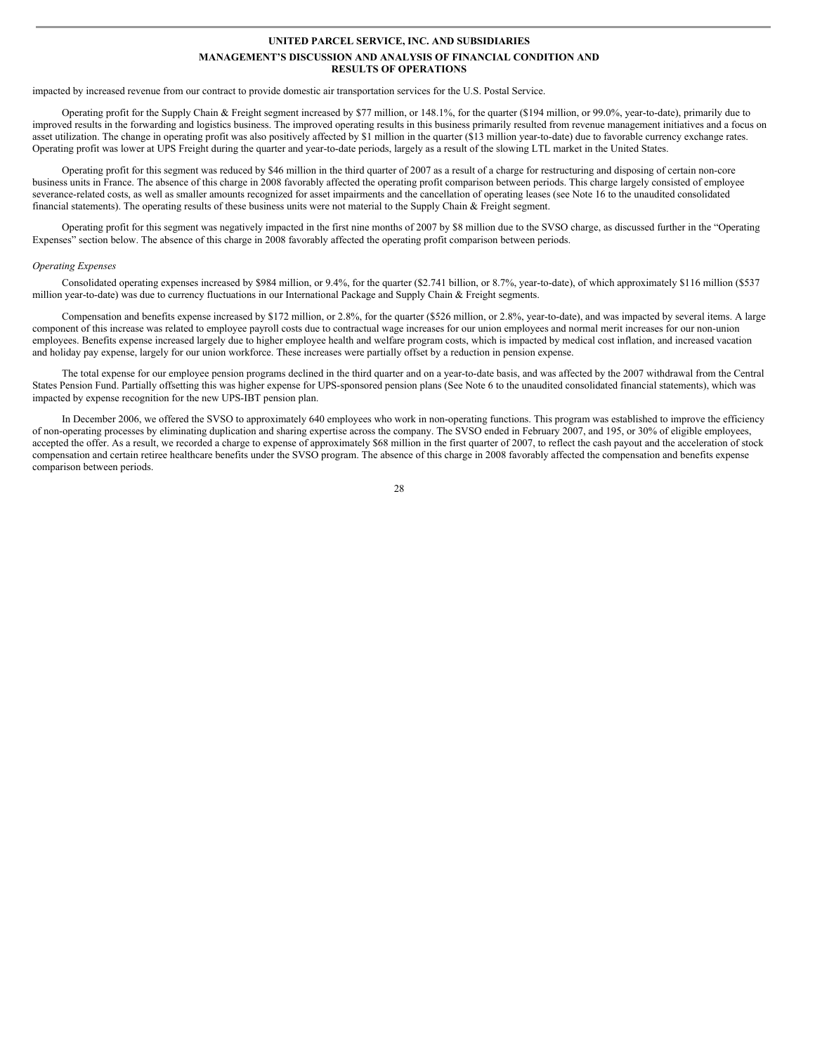impacted by increased revenue from our contract to provide domestic air transportation services for the U.S. Postal Service.

Operating profit for the Supply Chain & Freight segment increased by \$77 million, or 148.1%, for the quarter (\$194 million, or 99.0%, year-to-date), primarily due to improved results in the forwarding and logistics business. The improved operating results in this business primarily resulted from revenue management initiatives and a focus on asset utilization. The change in operating profit was also positively affected by \$1 million in the quarter (\$13 million year-to-date) due to favorable currency exchange rates. Operating profit was lower at UPS Freight during the quarter and year-to-date periods, largely as a result of the slowing LTL market in the United States.

Operating profit for this segment was reduced by \$46 million in the third quarter of 2007 as a result of a charge for restructuring and disposing of certain non-core business units in France. The absence of this charge in 2008 favorably affected the operating profit comparison between periods. This charge largely consisted of employee severance-related costs, as well as smaller amounts recognized for asset impairments and the cancellation of operating leases (see Note 16 to the unaudited consolidated financial statements). The operating results of these business units were not material to the Supply Chain & Freight segment.

Operating profit for this segment was negatively impacted in the first nine months of 2007 by \$8 million due to the SVSO charge, as discussed further in the "Operating Expenses" section below. The absence of this charge in 2008 favorably affected the operating profit comparison between periods.

#### *Operating Expenses*

Consolidated operating expenses increased by \$984 million, or 9.4%, for the quarter (\$2.741 billion, or 8.7%, year-to-date), of which approximately \$116 million (\$537 million year-to-date) was due to currency fluctuations in our International Package and Supply Chain & Freight segments.

Compensation and benefits expense increased by \$172 million, or 2.8%, for the quarter (\$526 million, or 2.8%, year-to-date), and was impacted by several items. A large component of this increase was related to employee payroll costs due to contractual wage increases for our union employees and normal merit increases for our non-union employees. Benefits expense increased largely due to higher employee health and welfare program costs, which is impacted by medical cost inflation, and increased vacation and holiday pay expense, largely for our union workforce. These increases were partially offset by a reduction in pension expense.

The total expense for our employee pension programs declined in the third quarter and on a year-to-date basis, and was affected by the 2007 withdrawal from the Central States Pension Fund. Partially offsetting this was higher expense for UPS-sponsored pension plans (See Note 6 to the unaudited consolidated financial statements), which was impacted by expense recognition for the new UPS-IBT pension plan.

In December 2006, we offered the SVSO to approximately 640 employees who work in non-operating functions. This program was established to improve the efficiency of non-operating processes by eliminating duplication and sharing expertise across the company. The SVSO ended in February 2007, and 195, or 30% of eligible employees, accepted the offer. As a result, we recorded a charge to expense of approximately \$68 million in the first quarter of 2007, to reflect the cash payout and the acceleration of stock compensation and certain retiree healthcare benefits under the SVSO program. The absence of this charge in 2008 favorably affected the compensation and benefits expense comparison between periods.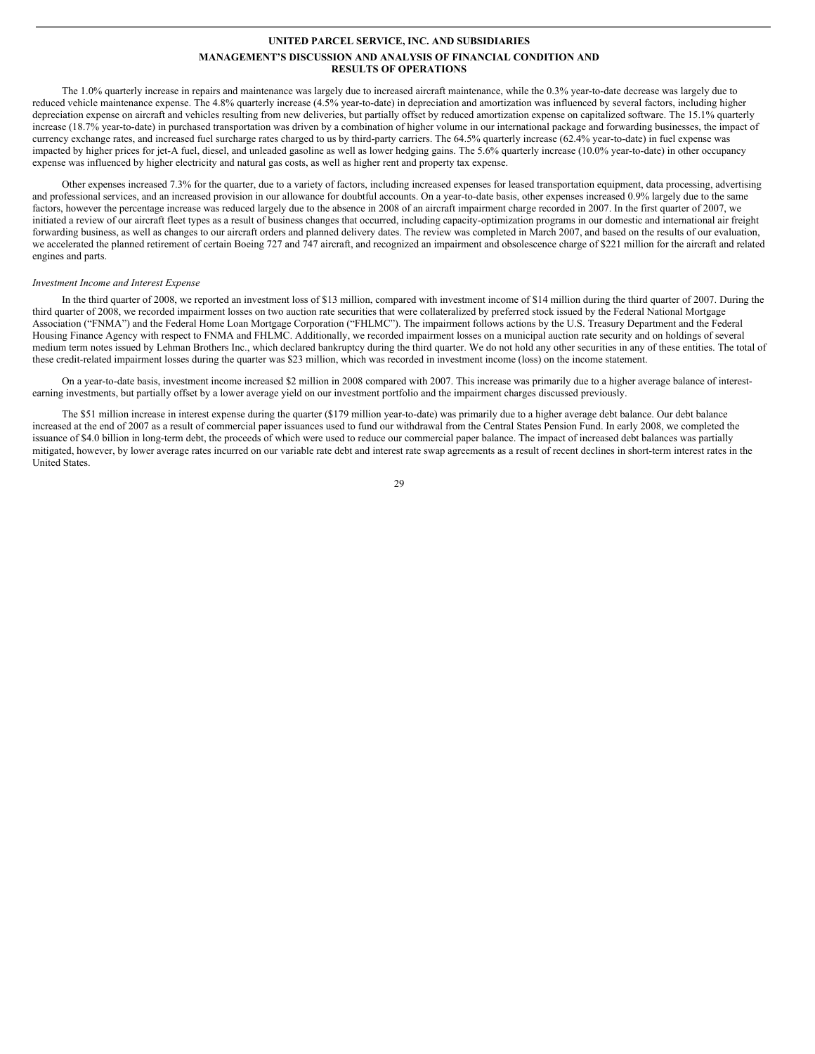The 1.0% quarterly increase in repairs and maintenance was largely due to increased aircraft maintenance, while the 0.3% year-to-date decrease was largely due to reduced vehicle maintenance expense. The 4.8% quarterly increase (4.5% year-to-date) in depreciation and amortization was influenced by several factors, including higher depreciation expense on aircraft and vehicles resulting from new deliveries, but partially offset by reduced amortization expense on capitalized software. The 15.1% quarterly increase (18.7% year-to-date) in purchased transportation was driven by a combination of higher volume in our international package and forwarding businesses, the impact of currency exchange rates, and increased fuel surcharge rates charged to us by third-party carriers. The 64.5% quarterly increase (62.4% year-to-date) in fuel expense was impacted by higher prices for jet-A fuel, diesel, and unleaded gasoline as well as lower hedging gains. The 5.6% quarterly increase (10.0% year-to-date) in other occupancy expense was influenced by higher electricity and natural gas costs, as well as higher rent and property tax expense.

Other expenses increased 7.3% for the quarter, due to a variety of factors, including increased expenses for leased transportation equipment, data processing, advertising and professional services, and an increased provision in our allowance for doubtful accounts. On a year-to-date basis, other expenses increased 0.9% largely due to the same factors, however the percentage increase was reduced largely due to the absence in 2008 of an aircraft impairment charge recorded in 2007. In the first quarter of 2007, we initiated a review of our aircraft fleet types as a result of business changes that occurred, including capacity-optimization programs in our domestic and international air freight forwarding business, as well as changes to our aircraft orders and planned delivery dates. The review was completed in March 2007, and based on the results of our evaluation, we accelerated the planned retirement of certain Boeing 727 and 747 aircraft, and recognized an impairment and obsolescence charge of \$221 million for the aircraft and related engines and parts.

#### *Investment Income and Interest Expense*

In the third quarter of 2008, we reported an investment loss of \$13 million, compared with investment income of \$14 million during the third quarter of 2007. During the third quarter of 2008, we recorded impairment losses on two auction rate securities that were collateralized by preferred stock issued by the Federal National Mortgage Association ("FNMA") and the Federal Home Loan Mortgage Corporation ("FHLMC"). The impairment follows actions by the U.S. Treasury Department and the Federal Housing Finance Agency with respect to FNMA and FHLMC. Additionally, we recorded impairment losses on a municipal auction rate security and on holdings of several medium term notes issued by Lehman Brothers Inc., which declared bankruptcy during the third quarter. We do not hold any other securities in any of these entities. The total of these credit-related impairment losses during the quarter was \$23 million, which was recorded in investment income (loss) on the income statement.

On a year-to-date basis, investment income increased \$2 million in 2008 compared with 2007. This increase was primarily due to a higher average balance of interestearning investments, but partially offset by a lower average yield on our investment portfolio and the impairment charges discussed previously.

The \$51 million increase in interest expense during the quarter (\$179 million year-to-date) was primarily due to a higher average debt balance. Our debt balance increased at the end of 2007 as a result of commercial paper issuances used to fund our withdrawal from the Central States Pension Fund. In early 2008, we completed the issuance of \$4.0 billion in long-term debt, the proceeds of which were used to reduce our commercial paper balance. The impact of increased debt balances was partially mitigated, however, by lower average rates incurred on our variable rate debt and interest rate swap agreements as a result of recent declines in short-term interest rates in the United States.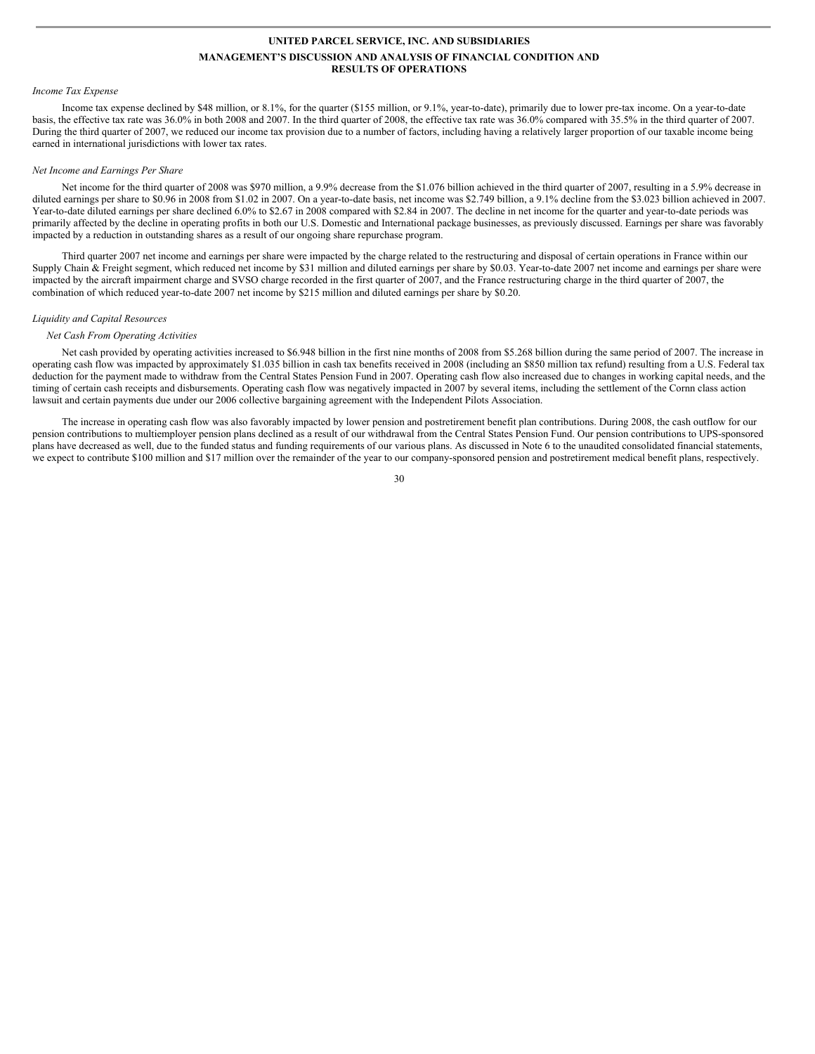#### *Income Tax Expense*

Income tax expense declined by \$48 million, or 8.1%, for the quarter (\$155 million, or 9.1%, year-to-date), primarily due to lower pre-tax income. On a year-to-date basis, the effective tax rate was 36.0% in both 2008 and 2007. In the third quarter of 2008, the effective tax rate was 36.0% compared with 35.5% in the third quarter of 2007. During the third quarter of 2007, we reduced our income tax provision due to a number of factors, including having a relatively larger proportion of our taxable income being earned in international jurisdictions with lower tax rates.

#### *Net Income and Earnings Per Share*

Net income for the third quarter of 2008 was \$970 million, a 9.9% decrease from the \$1.076 billion achieved in the third quarter of 2007, resulting in a 5.9% decrease in diluted earnings per share to \$0.96 in 2008 from \$1.02 in 2007. On a year-to-date basis, net income was \$2.749 billion, a 9.1% decline from the \$3.023 billion achieved in 2007. Year-to-date diluted earnings per share declined 6.0% to \$2.67 in 2008 compared with \$2.84 in 2007. The decline in net income for the quarter and year-to-date periods was primarily affected by the decline in operating profits in both our U.S. Domestic and International package businesses, as previously discussed. Earnings per share was favorably impacted by a reduction in outstanding shares as a result of our ongoing share repurchase program.

Third quarter 2007 net income and earnings per share were impacted by the charge related to the restructuring and disposal of certain operations in France within our Supply Chain & Freight segment, which reduced net income by \$31 million and diluted earnings per share by \$0.03. Year-to-date 2007 net income and earnings per share were impacted by the aircraft impairment charge and SVSO charge recorded in the first quarter of 2007, and the France restructuring charge in the third quarter of 2007, the combination of which reduced year-to-date 2007 net income by \$215 million and diluted earnings per share by \$0.20.

#### *Liquidity and Capital Resources*

#### *Net Cash From Operating Activities*

Net cash provided by operating activities increased to \$6.948 billion in the first nine months of 2008 from \$5.268 billion during the same period of 2007. The increase in operating cash flow was impacted by approximately \$1.035 billion in cash tax benefits received in 2008 (including an \$850 million tax refund) resulting from a U.S. Federal tax deduction for the payment made to withdraw from the Central States Pension Fund in 2007. Operating cash flow also increased due to changes in working capital needs, and the timing of certain cash receipts and disbursements. Operating cash flow was negatively impacted in 2007 by several items, including the settlement of the Cornn class action lawsuit and certain payments due under our 2006 collective bargaining agreement with the Independent Pilots Association.

The increase in operating cash flow was also favorably impacted by lower pension and postretirement benefit plan contributions. During 2008, the cash outflow for our pension contributions to multiemployer pension plans declined as a result of our withdrawal from the Central States Pension Fund. Our pension contributions to UPS-sponsored plans have decreased as well, due to the funded status and funding requirements of our various plans. As discussed in Note 6 to the unaudited consolidated financial statements, we expect to contribute \$100 million and \$17 million over the remainder of the year to our company-sponsored pension and postretirement medical benefit plans, respectively.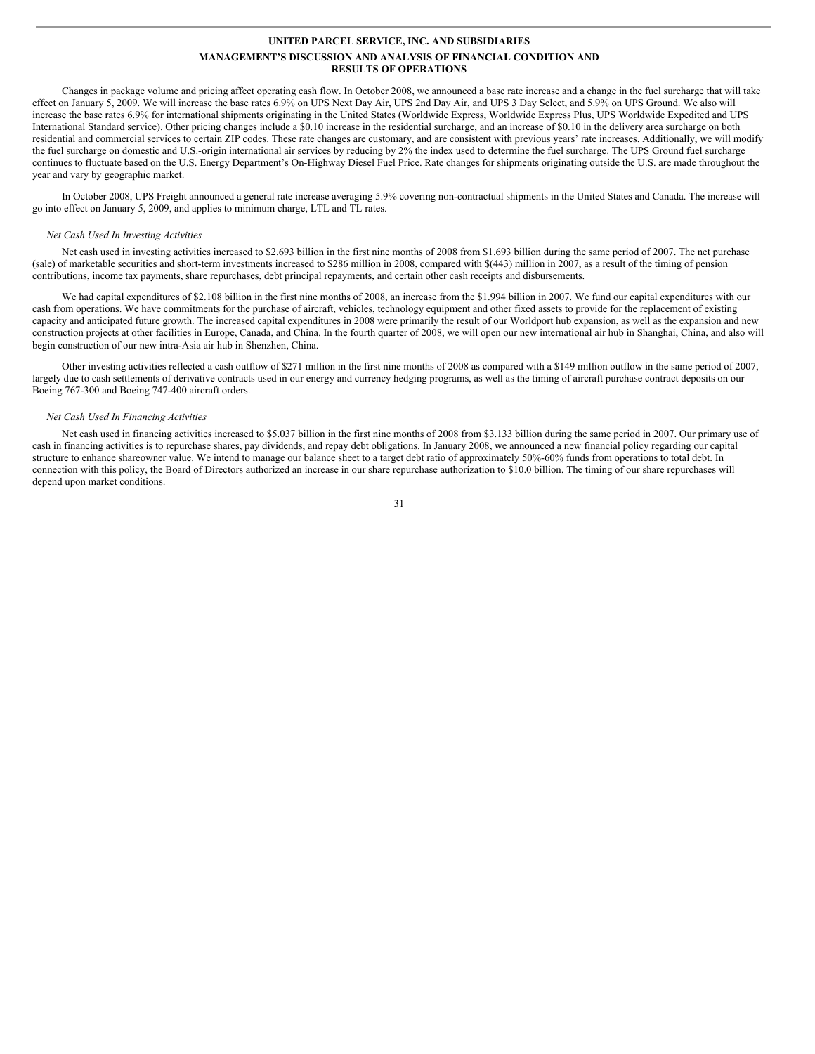Changes in package volume and pricing affect operating cash flow. In October 2008, we announced a base rate increase and a change in the fuel surcharge that will take effect on January 5, 2009. We will increase the base rates 6.9% on UPS Next Day Air, UPS 2nd Day Air, and UPS 3 Day Select, and 5.9% on UPS Ground. We also will increase the base rates 6.9% for international shipments originating in the United States (Worldwide Express, Worldwide Express Plus, UPS Worldwide Expedited and UPS International Standard service). Other pricing changes include a \$0.10 increase in the residential surcharge, and an increase of \$0.10 in the delivery area surcharge on both residential and commercial services to certain ZIP codes. These rate changes are customary, and are consistent with previous years' rate increases. Additionally, we will modify the fuel surcharge on domestic and U.S.-origin international air services by reducing by 2% the index used to determine the fuel surcharge. The UPS Ground fuel surcharge continues to fluctuate based on the U.S. Energy Department's On-Highway Diesel Fuel Price. Rate changes for shipments originating outside the U.S. are made throughout the year and vary by geographic market.

In October 2008, UPS Freight announced a general rate increase averaging 5.9% covering non-contractual shipments in the United States and Canada. The increase will go into effect on January 5, 2009, and applies to minimum charge, LTL and TL rates.

## *Net Cash Used In Investing Activities*

Net cash used in investing activities increased to \$2.693 billion in the first nine months of 2008 from \$1.693 billion during the same period of 2007. The net purchase (sale) of marketable securities and short-term investments increased to \$286 million in 2008, compared with \$(443) million in 2007, as a result of the timing of pension contributions, income tax payments, share repurchases, debt principal repayments, and certain other cash receipts and disbursements.

We had capital expenditures of \$2.108 billion in the first nine months of 2008, an increase from the \$1.994 billion in 2007. We fund our capital expenditures with our cash from operations. We have commitments for the purchase of aircraft, vehicles, technology equipment and other fixed assets to provide for the replacement of existing capacity and anticipated future growth. The increased capital expenditures in 2008 were primarily the result of our Worldport hub expansion, as well as the expansion and new construction projects at other facilities in Europe, Canada, and China. In the fourth quarter of 2008, we will open our new international air hub in Shanghai, China, and also will begin construction of our new intra-Asia air hub in Shenzhen, China.

Other investing activities reflected a cash outflow of \$271 million in the first nine months of 2008 as compared with a \$149 million outflow in the same period of 2007, largely due to cash settlements of derivative contracts used in our energy and currency hedging programs, as well as the timing of aircraft purchase contract deposits on our Boeing 767-300 and Boeing 747-400 aircraft orders.

#### *Net Cash Used In Financing Activities*

Net cash used in financing activities increased to \$5.037 billion in the first nine months of 2008 from \$3.133 billion during the same period in 2007. Our primary use of cash in financing activities is to repurchase shares, pay dividends, and repay debt obligations. In January 2008, we announced a new financial policy regarding our capital structure to enhance shareowner value. We intend to manage our balance sheet to a target debt ratio of approximately 50%-60% funds from operations to total debt. In connection with this policy, the Board of Directors authorized an increase in our share repurchase authorization to \$10.0 billion. The timing of our share repurchases will depend upon market conditions.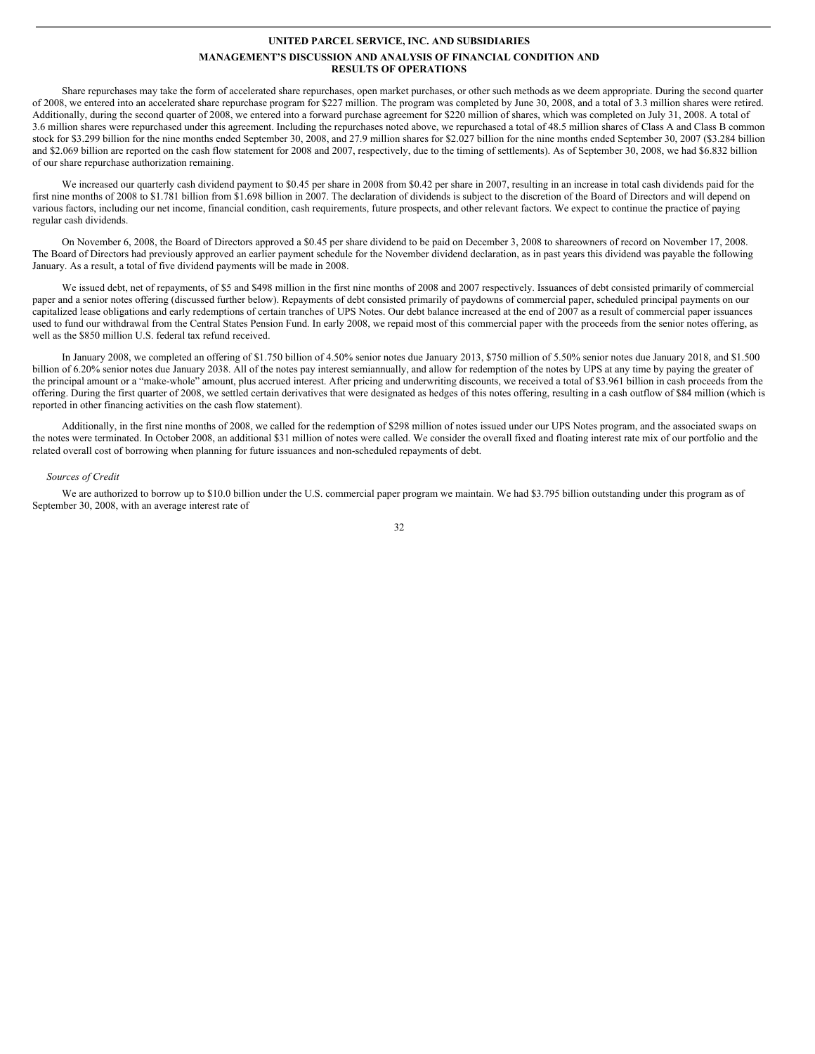Share repurchases may take the form of accelerated share repurchases, open market purchases, or other such methods as we deem appropriate. During the second quarter of 2008, we entered into an accelerated share repurchase program for \$227 million. The program was completed by June 30, 2008, and a total of 3.3 million shares were retired. Additionally, during the second quarter of 2008, we entered into a forward purchase agreement for \$220 million of shares, which was completed on July 31, 2008. A total of 3.6 million shares were repurchased under this agreement. Including the repurchases noted above, we repurchased a total of 48.5 million shares of Class A and Class B common stock for \$3.299 billion for the nine months ended September 30, 2008, and 27.9 million shares for \$2.027 billion for the nine months ended September 30, 2007 (\$3.284 billion and \$2.069 billion are reported on the cash flow statement for 2008 and 2007, respectively, due to the timing of settlements). As of September 30, 2008, we had \$6.832 billion of our share repurchase authorization remaining.

We increased our quarterly cash dividend payment to \$0.45 per share in 2008 from \$0.42 per share in 2007, resulting in an increase in total cash dividends paid for the first nine months of 2008 to \$1.781 billion from \$1.698 billion in 2007. The declaration of dividends is subject to the discretion of the Board of Directors and will depend on various factors, including our net income, financial condition, cash requirements, future prospects, and other relevant factors. We expect to continue the practice of paying regular cash dividends.

On November 6, 2008, the Board of Directors approved a \$0.45 per share dividend to be paid on December 3, 2008 to shareowners of record on November 17, 2008. The Board of Directors had previously approved an earlier payment schedule for the November dividend declaration, as in past years this dividend was payable the following January. As a result, a total of five dividend payments will be made in 2008.

We issued debt, net of repayments, of \$5 and \$498 million in the first nine months of 2008 and 2007 respectively. Issuances of debt consisted primarily of commercial paper and a senior notes offering (discussed further below). Repayments of debt consisted primarily of paydowns of commercial paper, scheduled principal payments on our capitalized lease obligations and early redemptions of certain tranches of UPS Notes. Our debt balance increased at the end of 2007 as a result of commercial paper issuances used to fund our withdrawal from the Central States Pension Fund. In early 2008, we repaid most of this commercial paper with the proceeds from the senior notes offering, as well as the \$850 million U.S. federal tax refund received.

In January 2008, we completed an offering of \$1.750 billion of 4.50% senior notes due January 2013, \$750 million of 5.50% senior notes due January 2018, and \$1.500 billion of 6.20% senior notes due January 2038. All of the notes pay interest semiannually, and allow for redemption of the notes by UPS at any time by paying the greater of the principal amount or a "make-whole" amount, plus accrued interest. After pricing and underwriting discounts, we received a total of \$3.961 billion in cash proceeds from the offering. During the first quarter of 2008, we settled certain derivatives that were designated as hedges of this notes offering, resulting in a cash outflow of \$84 million (which is reported in other financing activities on the cash flow statement).

Additionally, in the first nine months of 2008, we called for the redemption of \$298 million of notes issued under our UPS Notes program, and the associated swaps on the notes were terminated. In October 2008, an additional \$31 million of notes were called. We consider the overall fixed and floating interest rate mix of our portfolio and the related overall cost of borrowing when planning for future issuances and non-scheduled repayments of debt.

#### *Sources of Credit*

We are authorized to borrow up to \$10.0 billion under the U.S. commercial paper program we maintain. We had \$3.795 billion outstanding under this program as of September 30, 2008, with an average interest rate of

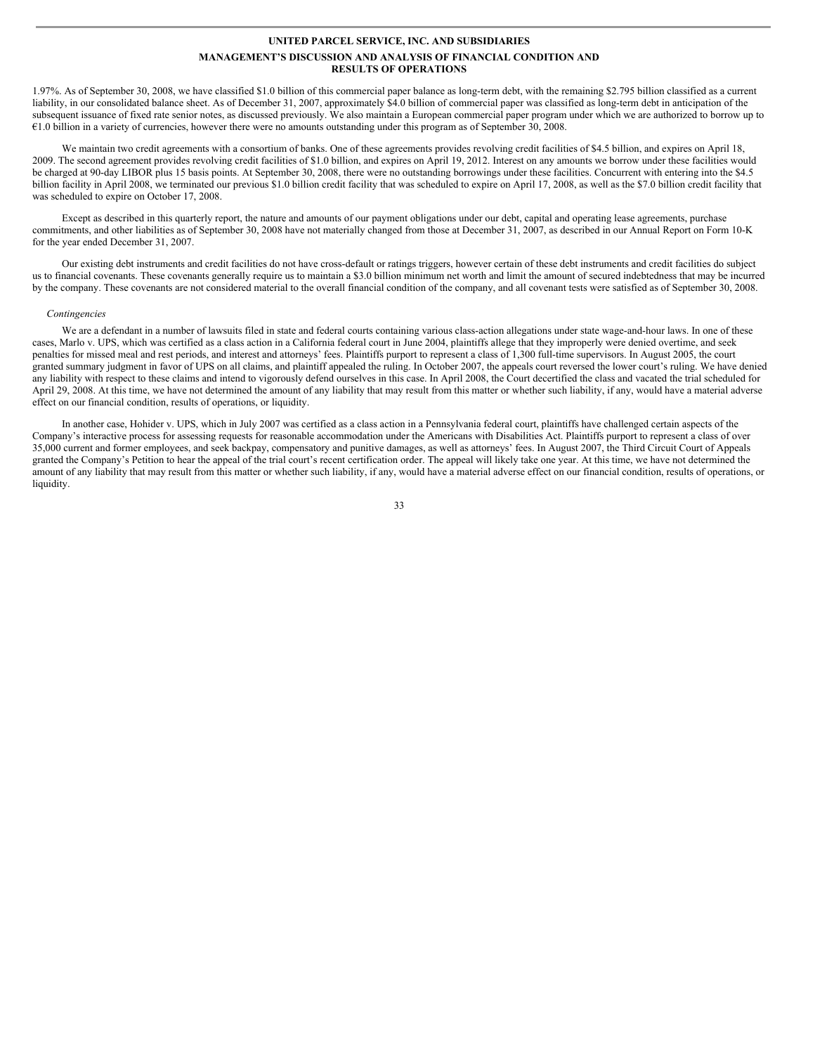1.97%. As of September 30, 2008, we have classified \$1.0 billion of this commercial paper balance as long-term debt, with the remaining \$2.795 billion classified as a current liability, in our consolidated balance sheet. As of December 31, 2007, approximately \$4.0 billion of commercial paper was classified as long-term debt in anticipation of the subsequent issuance of fixed rate senior notes, as discussed previously. We also maintain a European commercial paper program under which we are authorized to borrow up to €1.0 billion in a variety of currencies, however there were no amounts outstanding under this program as of September 30, 2008.

We maintain two credit agreements with a consortium of banks. One of these agreements provides revolving credit facilities of \$4.5 billion, and expires on April 18, 2009. The second agreement provides revolving credit facilities of \$1.0 billion, and expires on April 19, 2012. Interest on any amounts we borrow under these facilities would be charged at 90-day LIBOR plus 15 basis points. At September 30, 2008, there were no outstanding borrowings under these facilities. Concurrent with entering into the \$4.5 billion facility in April 2008, we terminated our previous \$1.0 billion credit facility that was scheduled to expire on April 17, 2008, as well as the \$7.0 billion credit facility that was scheduled to expire on October 17, 2008.

Except as described in this quarterly report, the nature and amounts of our payment obligations under our debt, capital and operating lease agreements, purchase commitments, and other liabilities as of September 30, 2008 have not materially changed from those at December 31, 2007, as described in our Annual Report on Form 10-K for the year ended December 31, 2007.

Our existing debt instruments and credit facilities do not have cross-default or ratings triggers, however certain of these debt instruments and credit facilities do subject us to financial covenants. These covenants generally require us to maintain a \$3.0 billion minimum net worth and limit the amount of secured indebtedness that may be incurred by the company. These covenants are not considered material to the overall financial condition of the company, and all covenant tests were satisfied as of September 30, 2008.

#### *Contingencies*

We are a defendant in a number of lawsuits filed in state and federal courts containing various class-action allegations under state wage-and-hour laws. In one of these cases, Marlo v. UPS, which was certified as a class action in a California federal court in June 2004, plaintiffs allege that they improperly were denied overtime, and seek penalties for missed meal and rest periods, and interest and attorneys' fees. Plaintiffs purport to represent a class of 1,300 full-time supervisors. In August 2005, the court granted summary judgment in favor of UPS on all claims, and plaintiff appealed the ruling. In October 2007, the appeals court reversed the lower court's ruling. We have denied any liability with respect to these claims and intend to vigorously defend ourselves in this case. In April 2008, the Court decertified the class and vacated the trial scheduled for April 29, 2008. At this time, we have not determined the amount of any liability that may result from this matter or whether such liability, if any, would have a material adverse effect on our financial condition, results of operations, or liquidity.

In another case, Hohider v. UPS, which in July 2007 was certified as a class action in a Pennsylvania federal court, plaintiffs have challenged certain aspects of the Company's interactive process for assessing requests for reasonable accommodation under the Americans with Disabilities Act. Plaintiffs purport to represent a class of over 35,000 current and former employees, and seek backpay, compensatory and punitive damages, as well as attorneys' fees. In August 2007, the Third Circuit Court of Appeals granted the Company's Petition to hear the appeal of the trial court's recent certification order. The appeal will likely take one year. At this time, we have not determined the amount of any liability that may result from this matter or whether such liability, if any, would have a material adverse effect on our financial condition, results of operations, or liquidity.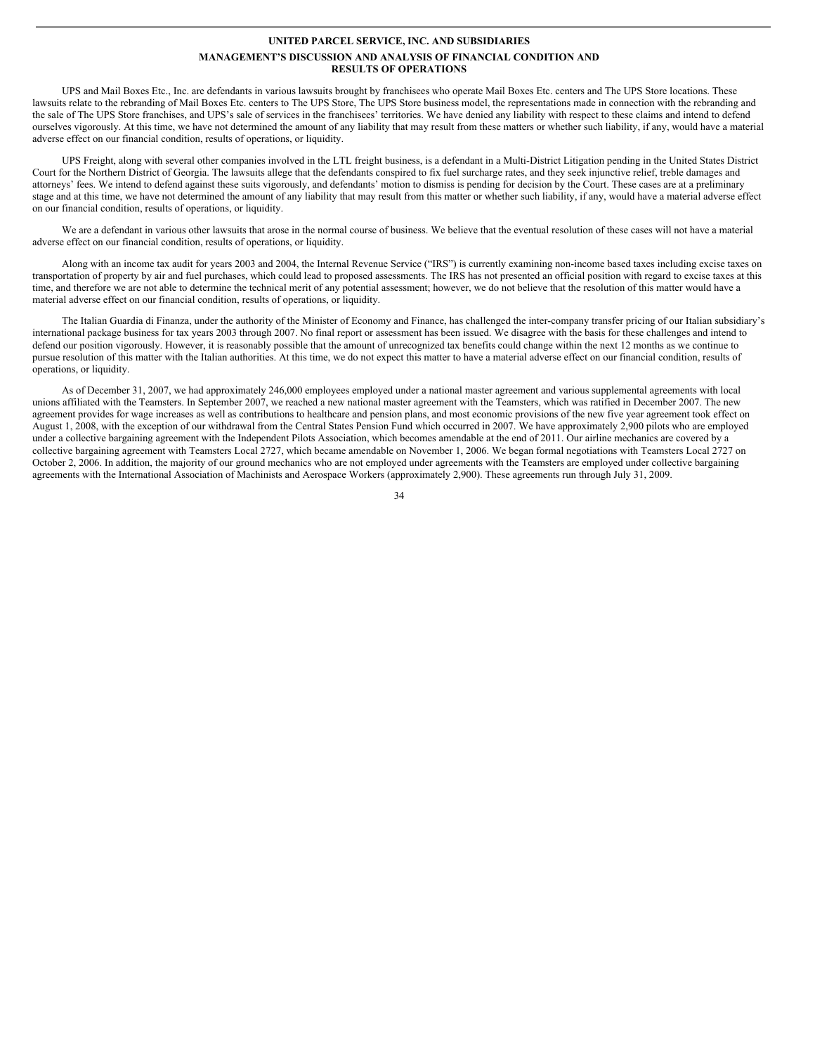## **RESULTS OF OPERATIONS**

UPS and Mail Boxes Etc., Inc. are defendants in various lawsuits brought by franchisees who operate Mail Boxes Etc. centers and The UPS Store locations. These lawsuits relate to the rebranding of Mail Boxes Etc. centers to The UPS Store, The UPS Store business model, the representations made in connection with the rebranding and the sale of The UPS Store franchises, and UPS's sale of services in the franchisees' territories. We have denied any liability with respect to these claims and intend to defend ourselves vigorously. At this time, we have not determined the amount of any liability that may result from these matters or whether such liability, if any, would have a material adverse effect on our financial condition, results of operations, or liquidity.

UPS Freight, along with several other companies involved in the LTL freight business, is a defendant in a Multi-District Litigation pending in the United States District Court for the Northern District of Georgia. The lawsuits allege that the defendants conspired to fix fuel surcharge rates, and they seek injunctive relief, treble damages and attorneys' fees. We intend to defend against these suits vigorously, and defendants' motion to dismiss is pending for decision by the Court. These cases are at a preliminary stage and at this time, we have not determined the amount of any liability that may result from this matter or whether such liability, if any, would have a material adverse effect on our financial condition, results of operations, or liquidity.

We are a defendant in various other lawsuits that arose in the normal course of business. We believe that the eventual resolution of these cases will not have a material adverse effect on our financial condition, results of operations, or liquidity.

Along with an income tax audit for years 2003 and 2004, the Internal Revenue Service ("IRS") is currently examining non-income based taxes including excise taxes on transportation of property by air and fuel purchases, which could lead to proposed assessments. The IRS has not presented an official position with regard to excise taxes at this time, and therefore we are not able to determine the technical merit of any potential assessment; however, we do not believe that the resolution of this matter would have a material adverse effect on our financial condition, results of operations, or liquidity.

The Italian Guardia di Finanza, under the authority of the Minister of Economy and Finance, has challenged the inter-company transfer pricing of our Italian subsidiary's international package business for tax years 2003 through 2007. No final report or assessment has been issued. We disagree with the basis for these challenges and intend to defend our position vigorously. However, it is reasonably possible that the amount of unrecognized tax benefits could change within the next 12 months as we continue to pursue resolution of this matter with the Italian authorities. At this time, we do not expect this matter to have a material adverse effect on our financial condition, results of operations, or liquidity.

As of December 31, 2007, we had approximately 246,000 employees employed under a national master agreement and various supplemental agreements with local unions affiliated with the Teamsters. In September 2007, we reached a new national master agreement with the Teamsters, which was ratified in December 2007. The new agreement provides for wage increases as well as contributions to healthcare and pension plans, and most economic provisions of the new five year agreement took effect on August 1, 2008, with the exception of our withdrawal from the Central States Pension Fund which occurred in 2007. We have approximately 2,900 pilots who are employed under a collective bargaining agreement with the Independent Pilots Association, which becomes amendable at the end of 2011. Our airline mechanics are covered by a collective bargaining agreement with Teamsters Local 2727, which became amendable on November 1, 2006. We began formal negotiations with Teamsters Local 2727 on October 2, 2006. In addition, the majority of our ground mechanics who are not employed under agreements with the Teamsters are employed under collective bargaining agreements with the International Association of Machinists and Aerospace Workers (approximately 2,900). These agreements run through July 31, 2009.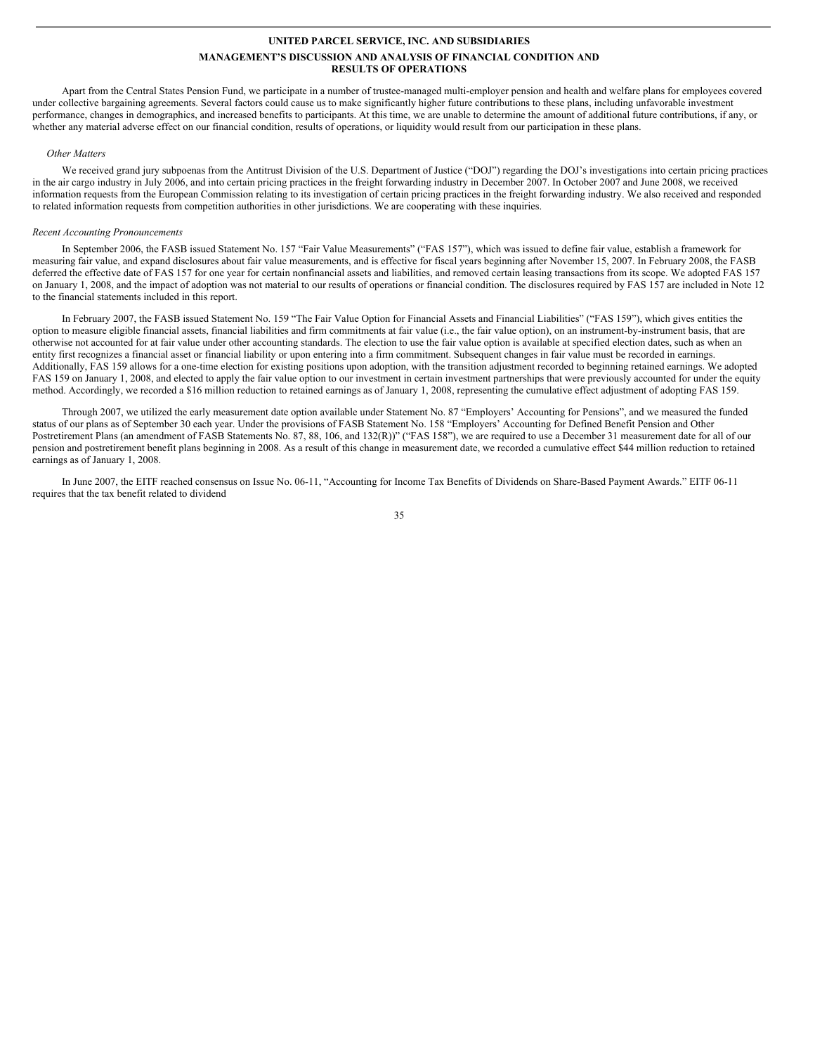Apart from the Central States Pension Fund, we participate in a number of trustee-managed multi-employer pension and health and welfare plans for employees covered under collective bargaining agreements. Several factors could cause us to make significantly higher future contributions to these plans, including unfavorable investment performance, changes in demographics, and increased benefits to participants. At this time, we are unable to determine the amount of additional future contributions, if any, or whether any material adverse effect on our financial condition, results of operations, or liquidity would result from our participation in these plans.

#### *Other Matters*

We received grand jury subpoenas from the Antitrust Division of the U.S. Department of Justice ("DOJ") regarding the DOJ's investigations into certain pricing practices in the air cargo industry in July 2006, and into certain pricing practices in the freight forwarding industry in December 2007. In October 2007 and June 2008, we received information requests from the European Commission relating to its investigation of certain pricing practices in the freight forwarding industry. We also received and responded to related information requests from competition authorities in other jurisdictions. We are cooperating with these inquiries.

## *Recent Accounting Pronouncements*

In September 2006, the FASB issued Statement No. 157 "Fair Value Measurements" ("FAS 157"), which was issued to define fair value, establish a framework for measuring fair value, and expand disclosures about fair value measurements, and is effective for fiscal years beginning after November 15, 2007. In February 2008, the FASB deferred the effective date of FAS 157 for one year for certain nonfinancial assets and liabilities, and removed certain leasing transactions from its scope. We adopted FAS 157 on January 1, 2008, and the impact of adoption was not material to our results of operations or financial condition. The disclosures required by FAS 157 are included in Note 12 to the financial statements included in this report.

In February 2007, the FASB issued Statement No. 159 "The Fair Value Option for Financial Assets and Financial Liabilities" ("FAS 159"), which gives entities the option to measure eligible financial assets, financial liabilities and firm commitments at fair value (i.e., the fair value option), on an instrument-by-instrument basis, that are otherwise not accounted for at fair value under other accounting standards. The election to use the fair value option is available at specified election dates, such as when an entity first recognizes a financial asset or financial liability or upon entering into a firm commitment. Subsequent changes in fair value must be recorded in earnings. Additionally, FAS 159 allows for a one-time election for existing positions upon adoption, with the transition adjustment recorded to beginning retained earnings. We adopted FAS 159 on January 1, 2008, and elected to apply the fair value option to our investment in certain investment partnerships that were previously accounted for under the equity method. Accordingly, we recorded a \$16 million reduction to retained earnings as of January 1, 2008, representing the cumulative effect adjustment of adopting FAS 159.

Through 2007, we utilized the early measurement date option available under Statement No. 87 "Employers' Accounting for Pensions", and we measured the funded status of our plans as of September 30 each year. Under the provisions of FASB Statement No. 158 "Employers' Accounting for Defined Benefit Pension and Other Postretirement Plans (an amendment of FASB Statements No. 87, 88, 106, and 132(R))" ("FAS 158"), we are required to use a December 31 measurement date for all of our pension and postretirement benefit plans beginning in 2008. As a result of this change in measurement date, we recorded a cumulative effect \$44 million reduction to retained earnings as of January 1, 2008.

In June 2007, the EITF reached consensus on Issue No. 06-11, "Accounting for Income Tax Benefits of Dividends on Share-Based Payment Awards." EITF 06-11 requires that the tax benefit related to dividend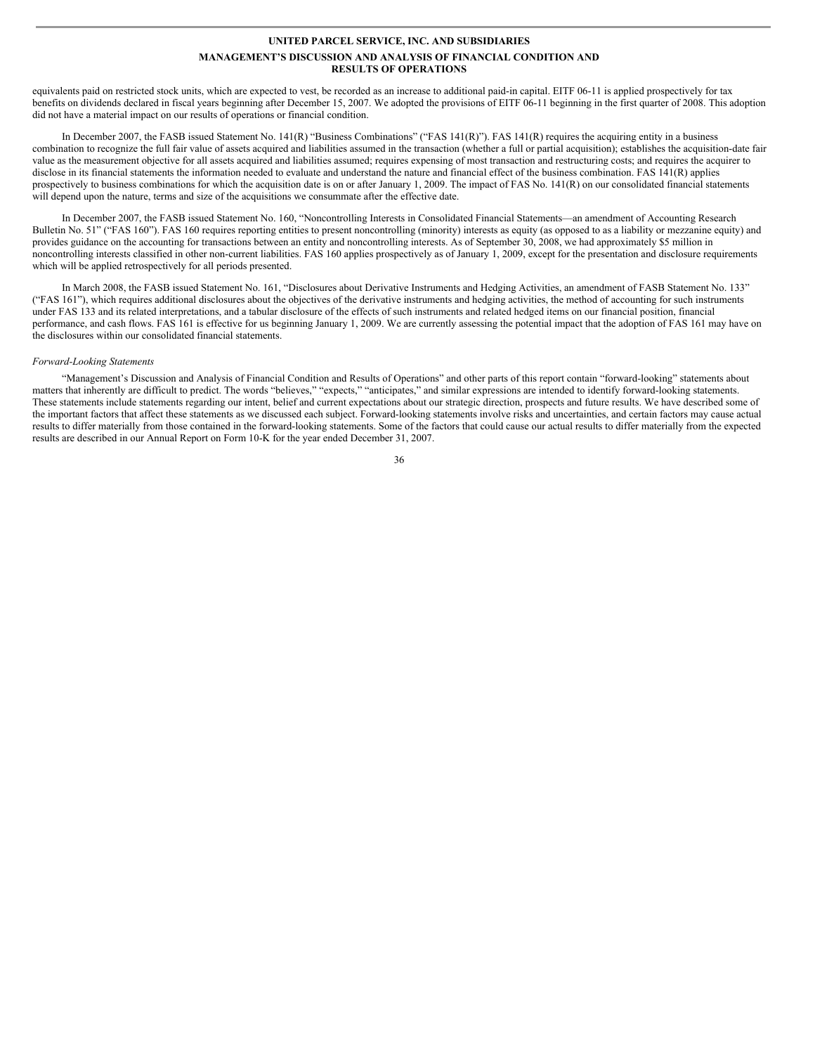equivalents paid on restricted stock units, which are expected to vest, be recorded as an increase to additional paid-in capital. EITF 06-11 is applied prospectively for tax benefits on dividends declared in fiscal years beginning after December 15, 2007. We adopted the provisions of EITF 06-11 beginning in the first quarter of 2008. This adoption did not have a material impact on our results of operations or financial condition.

In December 2007, the FASB issued Statement No. 141(R) "Business Combinations" ("FAS 141(R)"). FAS 141(R) requires the acquiring entity in a business combination to recognize the full fair value of assets acquired and liabilities assumed in the transaction (whether a full or partial acquisition); establishes the acquisition-date fair value as the measurement objective for all assets acquired and liabilities assumed; requires expensing of most transaction and restructuring costs; and requires the acquirer to disclose in its financial statements the information needed to evaluate and understand the nature and financial effect of the business combination. FAS 141(R) applies prospectively to business combinations for which the acquisition date is on or after January 1, 2009. The impact of FAS No. 141(R) on our consolidated financial statements will depend upon the nature, terms and size of the acquisitions we consummate after the effective date.

In December 2007, the FASB issued Statement No. 160, "Noncontrolling Interests in Consolidated Financial Statements—an amendment of Accounting Research Bulletin No. 51" ("FAS 160"). FAS 160 requires reporting entities to present noncontrolling (minority) interests as equity (as opposed to as a liability or mezzanine equity) and provides guidance on the accounting for transactions between an entity and noncontrolling interests. As of September 30, 2008, we had approximately \$5 million in noncontrolling interests classified in other non-current liabilities. FAS 160 applies prospectively as of January 1, 2009, except for the presentation and disclosure requirements which will be applied retrospectively for all periods presented.

In March 2008, the FASB issued Statement No. 161, "Disclosures about Derivative Instruments and Hedging Activities, an amendment of FASB Statement No. 133" ("FAS 161"), which requires additional disclosures about the objectives of the derivative instruments and hedging activities, the method of accounting for such instruments under FAS 133 and its related interpretations, and a tabular disclosure of the effects of such instruments and related hedged items on our financial position, financial performance, and cash flows. FAS 161 is effective for us beginning January 1, 2009. We are currently assessing the potential impact that the adoption of FAS 161 may have on the disclosures within our consolidated financial statements.

#### *Forward-Looking Statements*

"Management's Discussion and Analysis of Financial Condition and Results of Operations" and other parts of this report contain "forward-looking" statements about matters that inherently are difficult to predict. The words "believes," "expects," "anticipates," and similar expressions are intended to identify forward-looking statements. These statements include statements regarding our intent, belief and current expectations about our strategic direction, prospects and future results. We have described some of the important factors that affect these statements as we discussed each subject. Forward-looking statements involve risks and uncertainties, and certain factors may cause actual results to differ materially from those contained in the forward-looking statements. Some of the factors that could cause our actual results to differ materially from the expected results are described in our Annual Report on Form 10-K for the year ended December 31, 2007.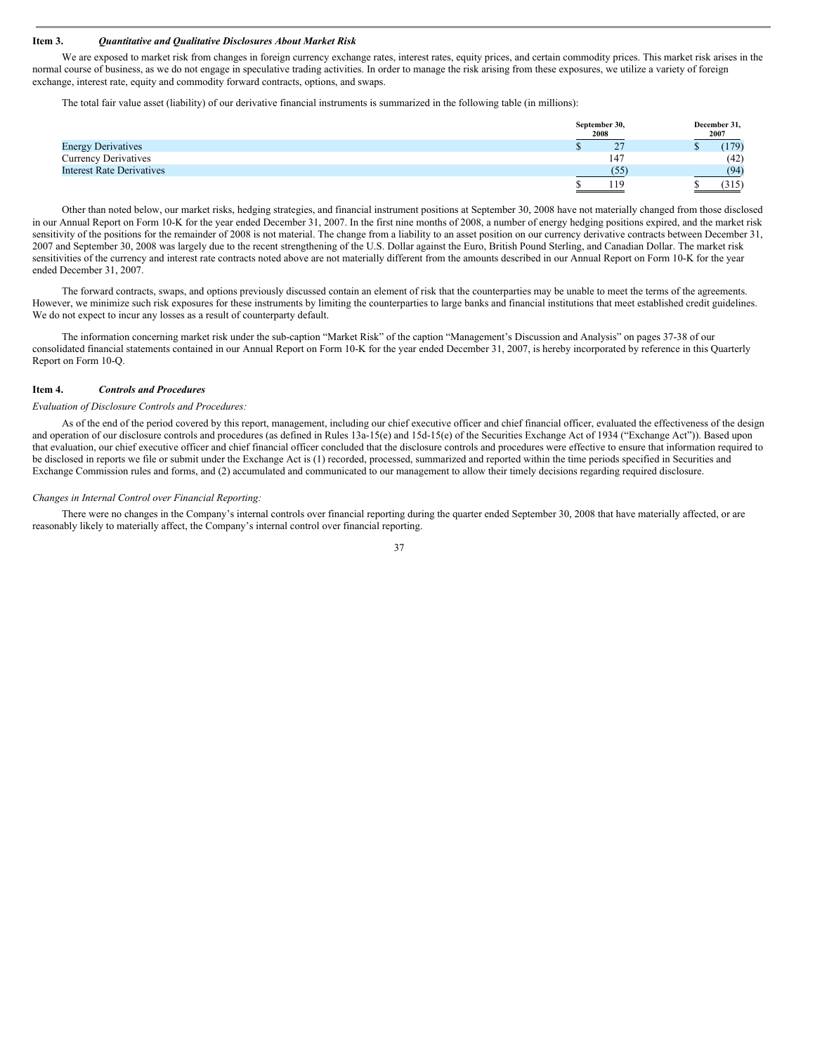#### **Item 3.** *Quantitative and Qualitative Disclosures About Market Risk*

We are exposed to market risk from changes in foreign currency exchange rates, interest rates, equity prices, and certain commodity prices. This market risk arises in the normal course of business, as we do not engage in speculative trading activities. In order to manage the risk arising from these exposures, we utilize a variety of foreign exchange, interest rate, equity and commodity forward contracts, options, and swaps.

The total fair value asset (liability) of our derivative financial instruments is summarized in the following table (in millions):

|                                  | September 30,<br>2008 | December 31,<br>2007 |
|----------------------------------|-----------------------|----------------------|
| <b>Energy Derivatives</b>        |                       | (179)                |
| <b>Currency Derivatives</b>      | 14 <sup>7</sup>       | (42)                 |
| <b>Interest Rate Derivatives</b> |                       | (94)                 |
|                                  | 119                   | (315)                |

Other than noted below, our market risks, hedging strategies, and financial instrument positions at September 30, 2008 have not materially changed from those disclosed in our Annual Report on Form 10-K for the year ended December 31, 2007. In the first nine months of 2008, a number of energy hedging positions expired, and the market risk sensitivity of the positions for the remainder of 2008 is not material. The change from a liability to an asset position on our currency derivative contracts between December 31, 2007 and September 30, 2008 was largely due to the recent strengthening of the U.S. Dollar against the Euro, British Pound Sterling, and Canadian Dollar. The market risk sensitivities of the currency and interest rate contracts noted above are not materially different from the amounts described in our Annual Report on Form 10-K for the year ended December 31, 2007.

The forward contracts, swaps, and options previously discussed contain an element of risk that the counterparties may be unable to meet the terms of the agreements. However, we minimize such risk exposures for these instruments by limiting the counterparties to large banks and financial institutions that meet established credit guidelines. We do not expect to incur any losses as a result of counterparty default.

The information concerning market risk under the sub-caption "Market Risk" of the caption "Management's Discussion and Analysis" on pages 37-38 of our consolidated financial statements contained in our Annual Report on Form 10-K for the year ended December 31, 2007, is hereby incorporated by reference in this Quarterly Report on Form 10-Q.

#### **Item 4.** *Controls and Procedures*

#### *Evaluation of Disclosure Controls and Procedures:*

As of the end of the period covered by this report, management, including our chief executive officer and chief financial officer, evaluated the effectiveness of the design and operation of our disclosure controls and procedures (as defined in Rules 13a-15(e) and 15d-15(e) of the Securities Exchange Act of 1934 ("Exchange Act")). Based upon that evaluation, our chief executive officer and chief financial officer concluded that the disclosure controls and procedures were effective to ensure that information required to be disclosed in reports we file or submit under the Exchange Act is (1) recorded, processed, summarized and reported within the time periods specified in Securities and Exchange Commission rules and forms, and (2) accumulated and communicated to our management to allow their timely decisions regarding required disclosure.

#### *Changes in Internal Control over Financial Reporting:*

There were no changes in the Company's internal controls over financial reporting during the quarter ended September 30, 2008 that have materially affected, or are reasonably likely to materially affect, the Company's internal control over financial reporting.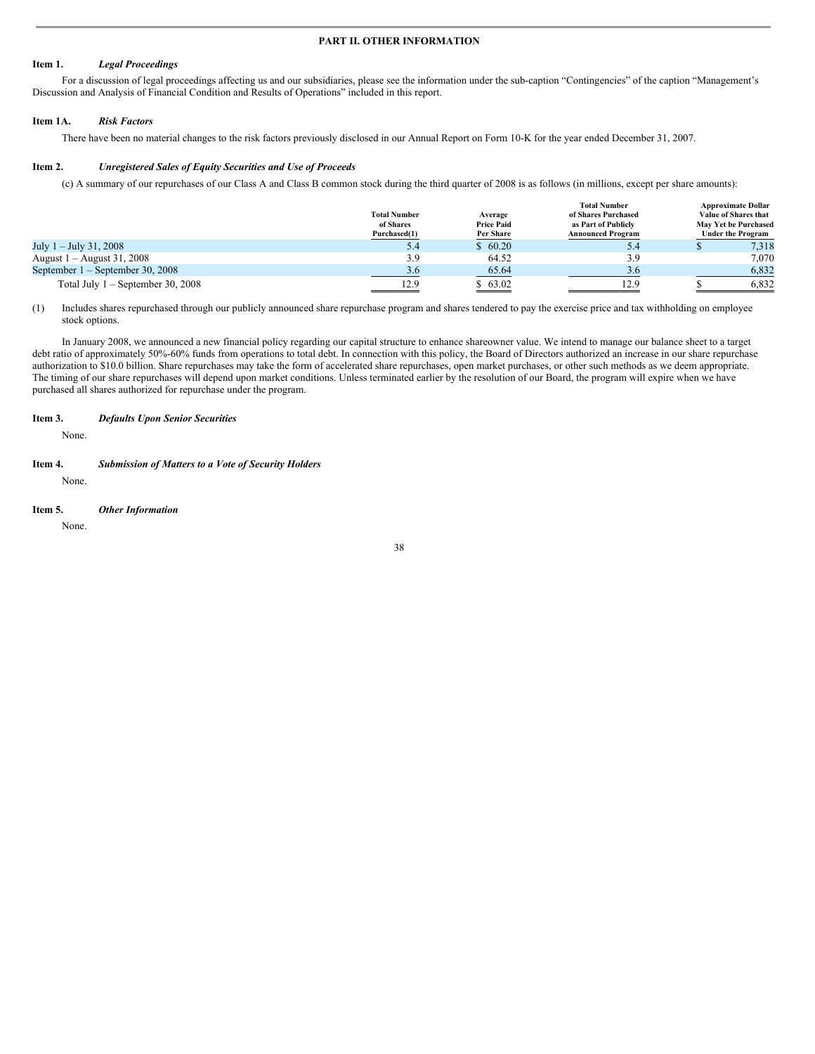## **PART II. OTHER INFORMATION**

# **Item 1.** *Legal Proceedings*

For a discussion of legal proceedings affecting us and our subsidiaries, please see the information under the sub-caption "Contingencies" of the caption "Management's Discussion and Analysis of Financial Condition and Results of Operations" included in this report.

#### **Item 1A.** *Risk Factors*

There have been no material changes to the risk factors previously disclosed in our Annual Report on Form 10-K for the year ended December 31, 2007.

## **Item 2.** *Unregistered Sales of Equity Securities and Use of Proceeds*

(c) A summary of our repurchases of our Class A and Class B common stock during the third quarter of 2008 is as follows (in millions, except per share amounts):

|                                     | <b>Total Number</b><br>of Shares<br>Purchased(1) | Average<br><b>Price Paid</b><br>Per Share |      | <b>Approximate Dollar</b><br>Value of Shares that<br>May Yet be Purchased<br><b>Under the Program</b> |  |
|-------------------------------------|--------------------------------------------------|-------------------------------------------|------|-------------------------------------------------------------------------------------------------------|--|
| July 1 – July 31, 2008              | 5.4                                              | \$60.20                                   | 5.4  | 7,318                                                                                                 |  |
| August $1 -$ August 31, 2008        | 3.9                                              | 64.52                                     | 3.9  | 7.070                                                                                                 |  |
| September $1 -$ September 30, 2008  | 3.6                                              | 65.64                                     | 3.6  | 6,832                                                                                                 |  |
| Total July $1 -$ September 30, 2008 | 12.9                                             | \$63.02                                   | 12.9 | 6,832                                                                                                 |  |

(1) Includes shares repurchased through our publicly announced share repurchase program and shares tendered to pay the exercise price and tax withholding on employee stock options.

In January 2008, we announced a new financial policy regarding our capital structure to enhance shareowner value. We intend to manage our balance sheet to a target debt ratio of approximately 50%-60% funds from operations to total debt. In connection with this policy, the Board of Directors authorized an increase in our share repurchase authorization to \$10.0 billion. Share repurchases may take the form of accelerated share repurchases, open market purchases, or other such methods as we deem appropriate. The timing of our share repurchases will depend upon market conditions. Unless terminated earlier by the resolution of our Board, the program will expire when we have purchased all shares authorized for repurchase under the program.

## **Item 3.** *Defaults Upon Senior Securities*

None.

## **Item 4.** *Submission of Matters to a Vote of Security Holders*

None.

#### **Item 5.** *Other Information*

None.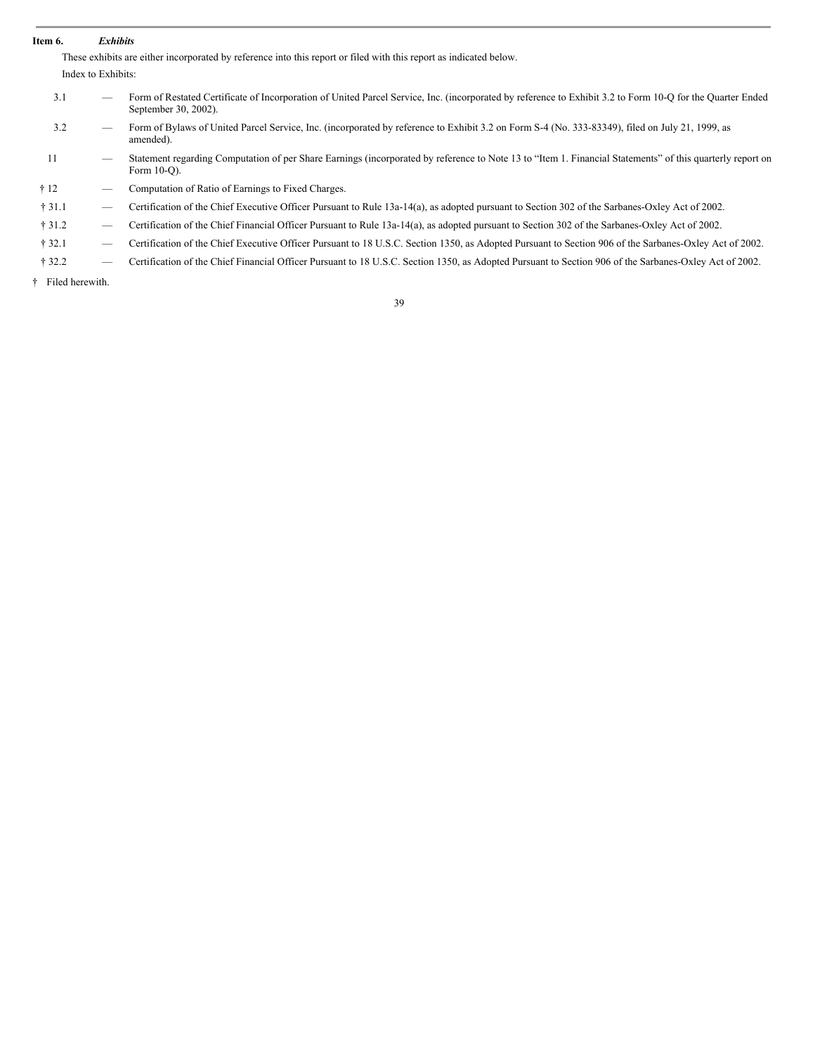| Item 6.           | <b>Exhibits</b>                 |                                                                                                                                                                                   |
|-------------------|---------------------------------|-----------------------------------------------------------------------------------------------------------------------------------------------------------------------------------|
|                   |                                 | These exhibits are either incorporated by reference into this report or filed with this report as indicated below.                                                                |
|                   | Index to Exhibits:              |                                                                                                                                                                                   |
| 3.1               |                                 | Form of Restated Certificate of Incorporation of United Parcel Service, Inc. (incorporated by reference to Exhibit 3.2 to Form 10-Q for the Quarter Ended<br>September 30, 2002). |
| 3.2               |                                 | Form of Bylaws of United Parcel Service, Inc. (incorporated by reference to Exhibit 3.2 on Form S-4 (No. 333-83349), filed on July 21, 1999, as<br>amended).                      |
| 11                |                                 | Statement regarding Computation of per Share Earnings (incorporated by reference to Note 13 to "Item 1. Financial Statements" of this quarterly report on<br>Form 10-Q).          |
| $\dagger$ 12      |                                 | Computation of Ratio of Earnings to Fixed Charges.                                                                                                                                |
| †31.1             |                                 | Certification of the Chief Executive Officer Pursuant to Rule 13a-14(a), as adopted pursuant to Section 302 of the Sarbanes-Oxley Act of 2002.                                    |
| † 31.2            |                                 | Certification of the Chief Financial Officer Pursuant to Rule 13a-14(a), as adopted pursuant to Section 302 of the Sarbanes-Oxley Act of 2002.                                    |
| † 32.1            | $\hspace{0.1mm}-\hspace{0.1mm}$ | Certification of the Chief Executive Officer Pursuant to 18 U.S.C. Section 1350, as Adopted Pursuant to Section 906 of the Sarbanes-Oxley Act of 2002.                            |
| † 32.2            | -                               | Certification of the Chief Financial Officer Pursuant to 18 U.S.C. Section 1350, as Adopted Pursuant to Section 906 of the Sarbanes-Oxley Act of 2002.                            |
| † Filed herewith. |                                 |                                                                                                                                                                                   |
|                   |                                 | 39                                                                                                                                                                                |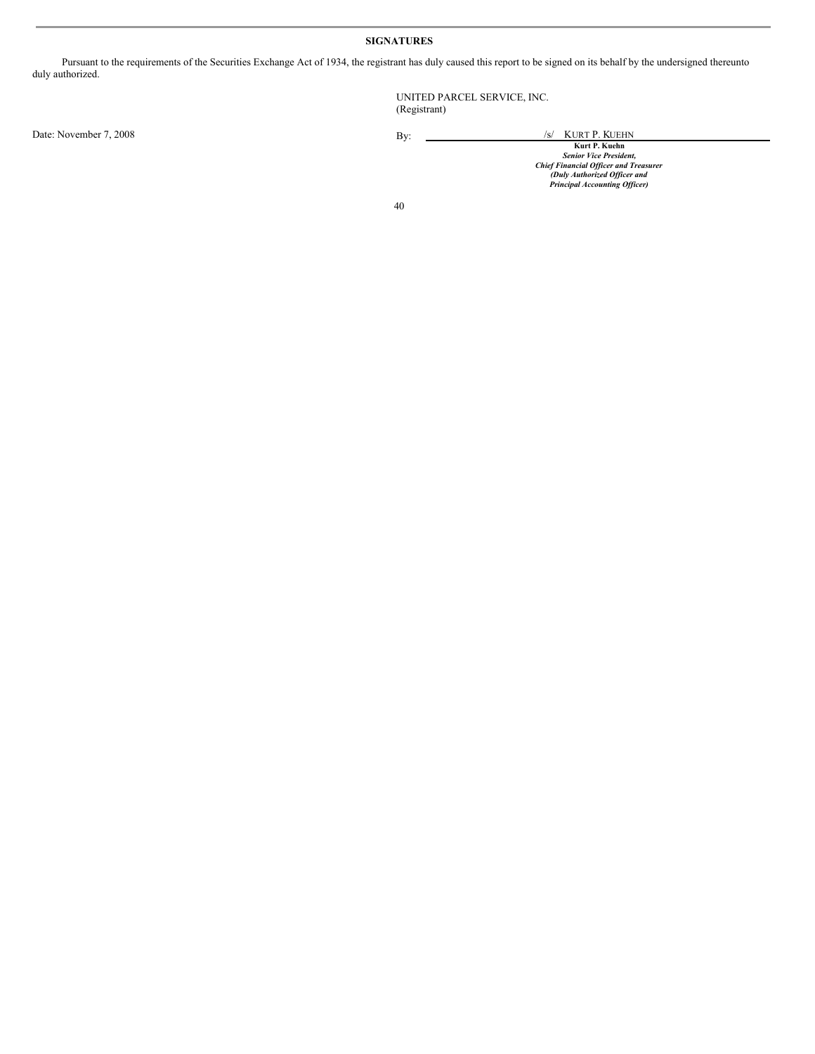# **SIGNATURES**

Pursuant to the requirements of the Securities Exchange Act of 1934, the registrant has duly caused this report to be signed on its behalf by the undersigned thereunto duly authorized.

> UNITED PARCEL SERVICE, INC. (Registrant)

Date: November 7, 2008 By:

40

/s/ KURT P. KUEHN

Kurt P. Kuehn<br>Senior Vice President,<br>Chief Financial Officer and Treasurer<br>(Duly Authorized Officer and<br>Principal Accounting Officer)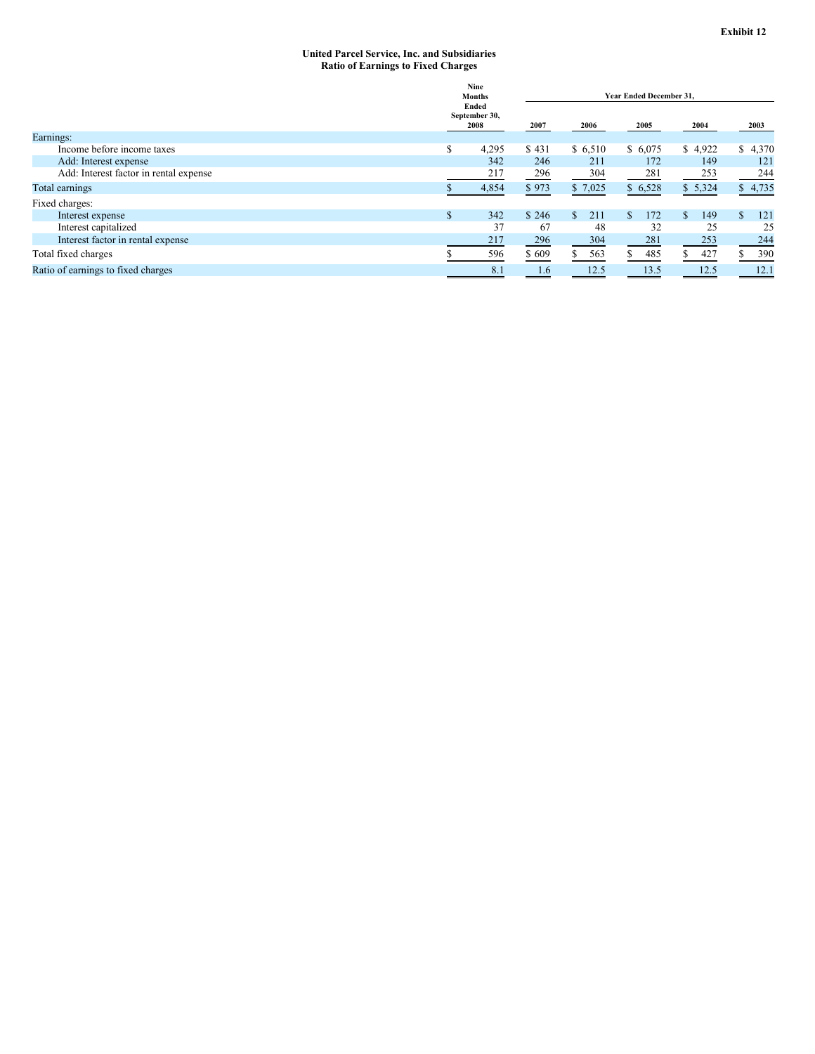#### **United Parcel Service, Inc. and Subsidiaries Ratio of Earnings to Fixed Charges**

| Nine<br><b>Months</b> |       | Year Ended December 31,        |         |         |            |           |  |
|-----------------------|-------|--------------------------------|---------|---------|------------|-----------|--|
|                       |       | 2007                           | 2006    | 2005    | 2004       | 2003      |  |
|                       |       |                                |         |         |            |           |  |
| ъ.                    | 4,295 | \$431                          | \$6,510 | \$6,075 | \$4,922    | \$4,370   |  |
|                       | 342   | 246                            | 211     | 172     | 149        | 121       |  |
|                       | 217   | 296                            | 304     | 281     | 253        | 244       |  |
|                       | 4,854 | \$973                          | \$7,025 | \$6,528 | \$5,324    | \$4,735   |  |
|                       |       |                                |         |         |            |           |  |
| S.                    | 342   | \$246                          | 211     | 172     | 149<br>\$. | 121<br>\$ |  |
|                       | 37    | 67                             | 48      | 32      | 25         | 25        |  |
|                       | 217   | 296                            | 304     | 281     | 253        | 244       |  |
|                       | 596   | \$609                          | 563     | 485     | 427        | 390       |  |
|                       | 8.1   | 1.6                            | 12.5    | 13.5    | 12.5       | 12.1      |  |
|                       |       | Ended<br>September 30,<br>2008 |         |         |            |           |  |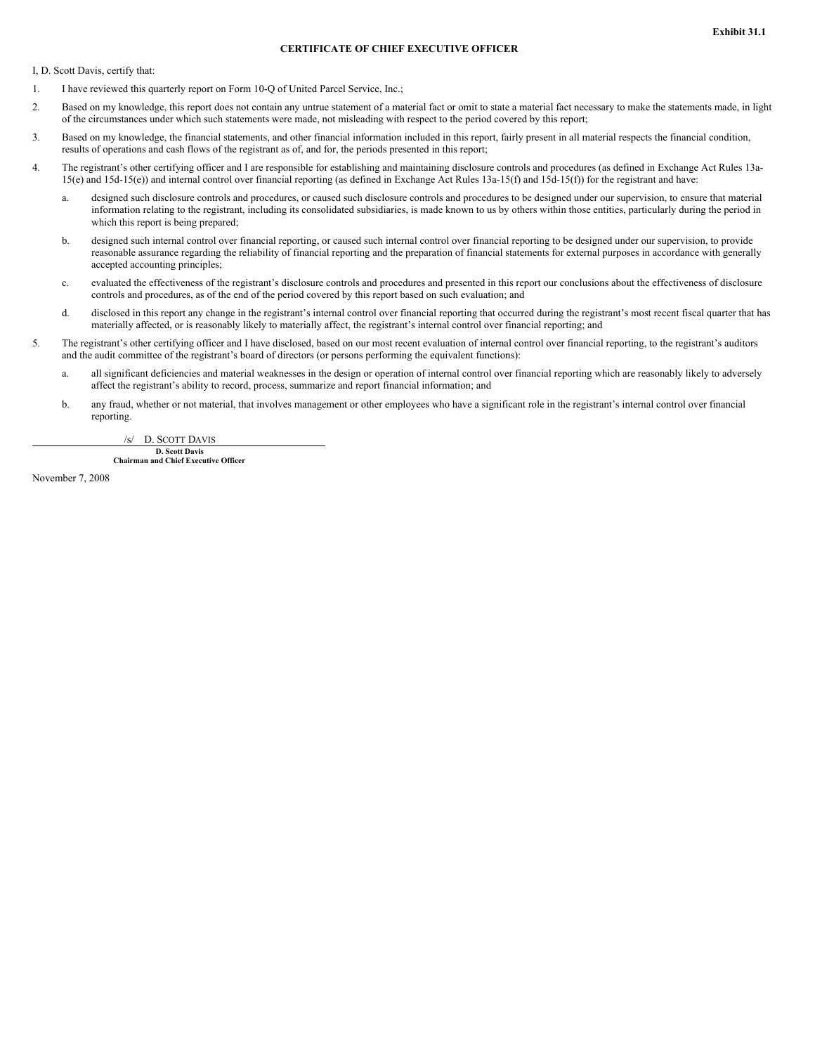#### **CERTIFICATE OF CHIEF EXECUTIVE OFFICER**

I, D. Scott Davis, certify that:

- 1. I have reviewed this quarterly report on Form 10-Q of United Parcel Service, Inc.;
- 2. Based on my knowledge, this report does not contain any untrue statement of a material fact or omit to state a material fact necessary to make the statements made, in light of the circumstances under which such statements were made, not misleading with respect to the period covered by this report;
- 3. Based on my knowledge, the financial statements, and other financial information included in this report, fairly present in all material respects the financial condition, results of operations and cash flows of the registrant as of, and for, the periods presented in this report;
- 4. The registrant's other certifying officer and I are responsible for establishing and maintaining disclosure controls and procedures (as defined in Exchange Act Rules 13a-15(e) and 15d-15(e)) and internal control over financial reporting (as defined in Exchange Act Rules 13a-15(f) and 15d-15(f)) for the registrant and have:
	- a. designed such disclosure controls and procedures, or caused such disclosure controls and procedures to be designed under our supervision, to ensure that material information relating to the registrant, including its consolidated subsidiaries, is made known to us by others within those entities, particularly during the period in which this report is being prepared;
	- b. designed such internal control over financial reporting, or caused such internal control over financial reporting to be designed under our supervision, to provide reasonable assurance regarding the reliability of financial reporting and the preparation of financial statements for external purposes in accordance with generally accepted accounting principles:
	- c. evaluated the effectiveness of the registrant's disclosure controls and procedures and presented in this report our conclusions about the effectiveness of disclosure controls and procedures, as of the end of the period covered by this report based on such evaluation; and
	- d. disclosed in this report any change in the registrant's internal control over financial reporting that occurred during the registrant's most recent fiscal quarter that has materially affected, or is reasonably likely to materially affect, the registrant's internal control over financial reporting; and
- 5. The registrant's other certifying officer and I have disclosed, based on our most recent evaluation of internal control over financial reporting, to the registrant's auditors and the audit committee of the registrant's board of directors (or persons performing the equivalent functions):
	- a. all significant deficiencies and material weaknesses in the design or operation of internal control over financial reporting which are reasonably likely to adversely affect the registrant's ability to record, process, summarize and report financial information; and
	- b. any fraud, whether or not material, that involves management or other employees who have a significant role in the registrant's internal control over financial reporting.

/s/ D. SCOTT DAVIS **D. Scott Davis**

**Chairman and Chief Executive Officer**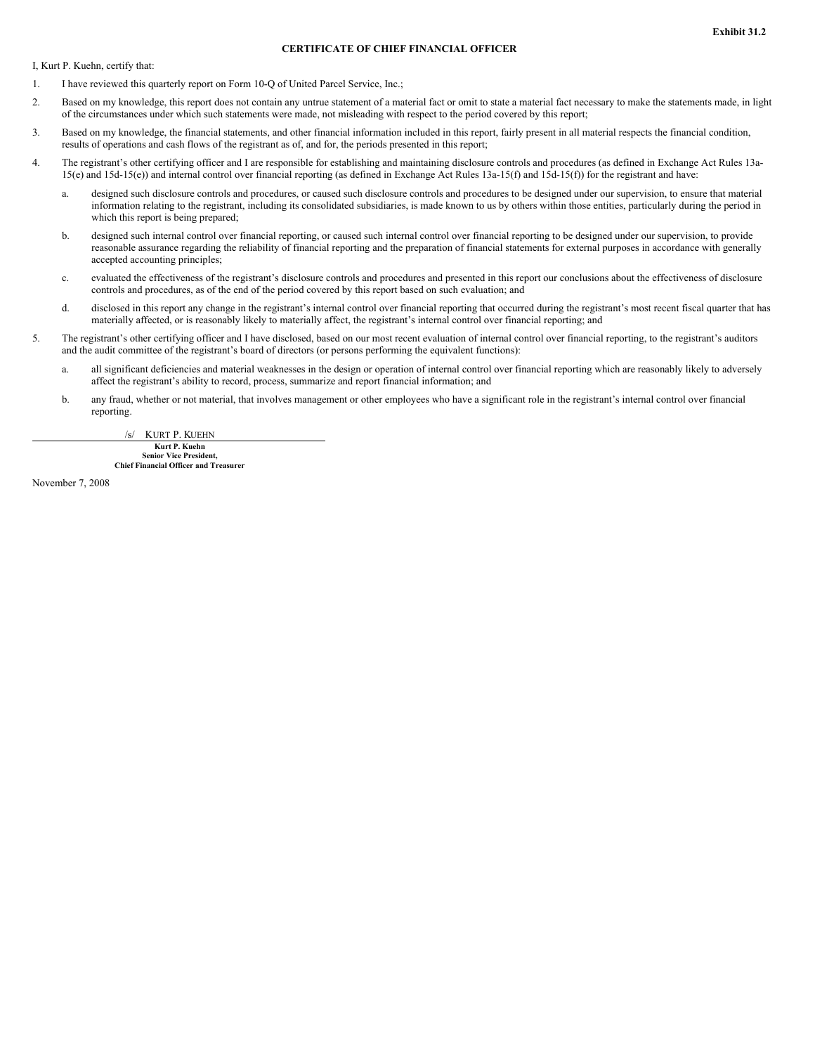#### **CERTIFICATE OF CHIEF FINANCIAL OFFICER**

I, Kurt P. Kuehn, certify that:

- 1. I have reviewed this quarterly report on Form 10-Q of United Parcel Service, Inc.;
- 2. Based on my knowledge, this report does not contain any untrue statement of a material fact or omit to state a material fact necessary to make the statements made, in light of the circumstances under which such statements were made, not misleading with respect to the period covered by this report;
- 3. Based on my knowledge, the financial statements, and other financial information included in this report, fairly present in all material respects the financial condition, results of operations and cash flows of the registrant as of, and for, the periods presented in this report;
- 4. The registrant's other certifying officer and I are responsible for establishing and maintaining disclosure controls and procedures (as defined in Exchange Act Rules 13a-15(e) and 15d-15(e)) and internal control over financial reporting (as defined in Exchange Act Rules 13a-15(f) and 15d-15(f)) for the registrant and have:
	- a. designed such disclosure controls and procedures, or caused such disclosure controls and procedures to be designed under our supervision, to ensure that material information relating to the registrant, including its consolidated subsidiaries, is made known to us by others within those entities, particularly during the period in which this report is being prepared;
	- b. designed such internal control over financial reporting, or caused such internal control over financial reporting to be designed under our supervision, to provide reasonable assurance regarding the reliability of financial reporting and the preparation of financial statements for external purposes in accordance with generally accepted accounting principles;
	- c. evaluated the effectiveness of the registrant's disclosure controls and procedures and presented in this report our conclusions about the effectiveness of disclosure controls and procedures, as of the end of the period covered by this report based on such evaluation; and
	- d. disclosed in this report any change in the registrant's internal control over financial reporting that occurred during the registrant's most recent fiscal quarter that has materially affected, or is reasonably likely to materially affect, the registrant's internal control over financial reporting; and
- 5. The registrant's other certifying officer and I have disclosed, based on our most recent evaluation of internal control over financial reporting, to the registrant's auditors and the audit committee of the registrant's board of directors (or persons performing the equivalent functions):
	- a. all significant deficiencies and material weaknesses in the design or operation of internal control over financial reporting which are reasonably likely to adversely affect the registrant's ability to record, process, summarize and report financial information; and
	- b. any fraud, whether or not material, that involves management or other employees who have a significant role in the registrant's internal control over financial reporting.

/s/ KURT P. KUEHN **Kurt P. Kuehn Senior Vice President, Chief Financial Officer and Treasurer**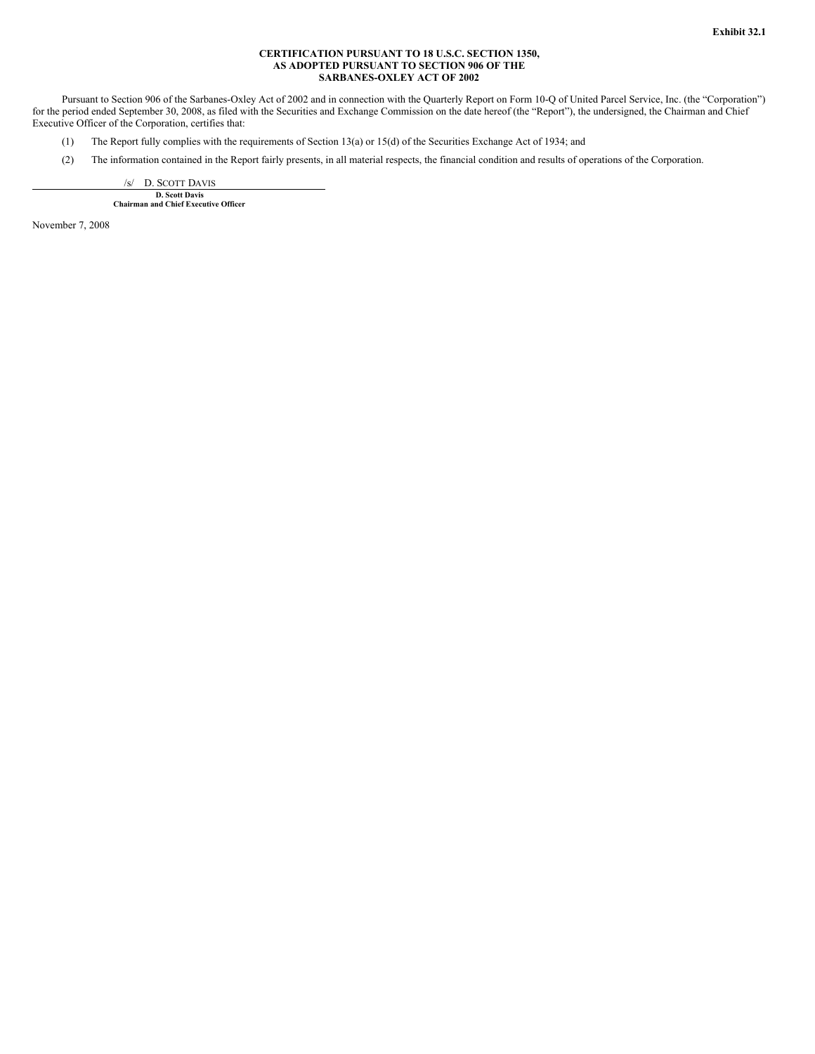## **CERTIFICATION PURSUANT TO 18 U.S.C. SECTION 1350, AS ADOPTED PURSUANT TO SECTION 906 OF THE SARBANES-OXLEY ACT OF 2002**

Pursuant to Section 906 of the Sarbanes-Oxley Act of 2002 and in connection with the Quarterly Report on Form 10-Q of United Parcel Service, Inc. (the "Corporation") for the period ended September 30, 2008, as filed with the Securities and Exchange Commission on the date hereof (the "Report"), the undersigned, the Chairman and Chief Executive Officer of the Corporation, certifies that:

- (1) The Report fully complies with the requirements of Section 13(a) or 15(d) of the Securities Exchange Act of 1934; and
- (2) The information contained in the Report fairly presents, in all material respects, the financial condition and results of operations of the Corporation.

/s/ D. SCOTT DAVIS **D. Scott Davis**

**Chairman and Chief Executive Officer**